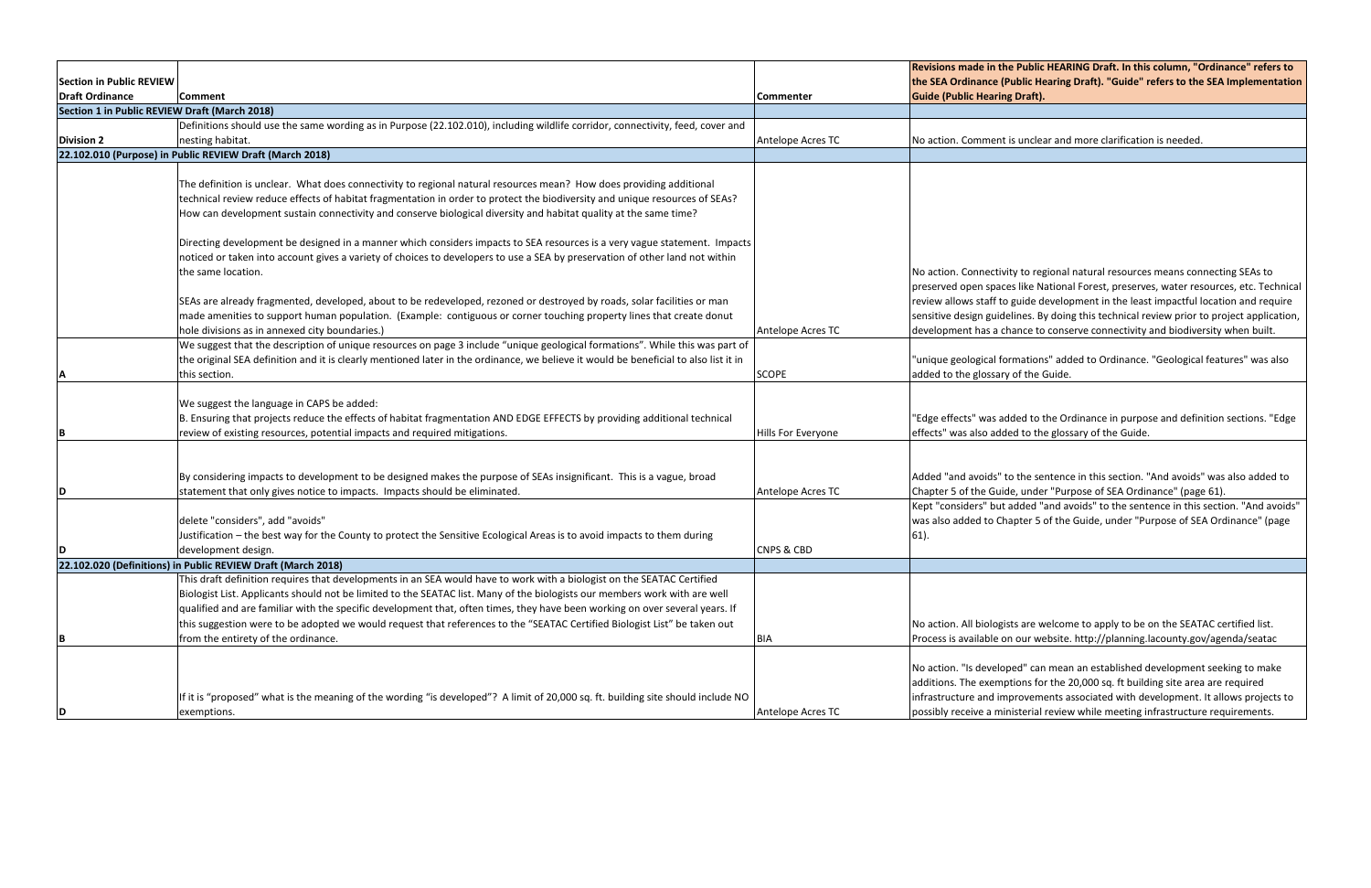|                                               |                                                                                                                                      |                       | <b>Revisions made in th</b> |
|-----------------------------------------------|--------------------------------------------------------------------------------------------------------------------------------------|-----------------------|-----------------------------|
| <b>Section in Public REVIEW</b>               |                                                                                                                                      |                       | the SEA Ordinance (F        |
| Draft Ordinance                               | Comment                                                                                                                              | <b>Commenter</b>      | <b>Guide (Public Hearin</b> |
| Section 1 in Public REVIEW Draft (March 2018) |                                                                                                                                      |                       |                             |
|                                               | Definitions should use the same wording as in Purpose (22.102.010), including wildlife corridor, connectivity, feed, cover and       |                       |                             |
| <b>Division 2</b>                             | nesting habitat.                                                                                                                     | Antelope Acres TC     | No action. Comment          |
|                                               | 22.102.010 (Purpose) in Public REVIEW Draft (March 2018)                                                                             |                       |                             |
|                                               |                                                                                                                                      |                       |                             |
|                                               | The definition is unclear. What does connectivity to regional natural resources mean? How does providing additional                  |                       |                             |
|                                               | technical review reduce effects of habitat fragmentation in order to protect the biodiversity and unique resources of SEAs?          |                       |                             |
|                                               | How can development sustain connectivity and conserve biological diversity and habitat quality at the same time?                     |                       |                             |
|                                               | Directing development be designed in a manner which considers impacts to SEA resources is a very vague statement. Impacts            |                       |                             |
|                                               | noticed or taken into account gives a variety of choices to developers to use a SEA by preservation of other land not within         |                       |                             |
|                                               | the same location.                                                                                                                   |                       | No action. Connectiv        |
|                                               |                                                                                                                                      |                       | preserved open space        |
|                                               | SEAs are already fragmented, developed, about to be redeveloped, rezoned or destroyed by roads, solar facilities or man              |                       | review allows staff to      |
|                                               | made amenities to support human population. (Example: contiguous or corner touching property lines that create donut                 |                       | sensitive design guide      |
|                                               | hole divisions as in annexed city boundaries.)                                                                                       | Antelope Acres TC     | development has a cl        |
|                                               | We suggest that the description of unique resources on page 3 include "unique geological formations". While this was part of         |                       |                             |
|                                               | the original SEA definition and it is clearly mentioned later in the ordinance, we believe it would be beneficial to also list it in |                       | "unique geological fo       |
| ΙA                                            | this section.                                                                                                                        | <b>SCOPE</b>          | added to the glossary       |
|                                               |                                                                                                                                      |                       |                             |
|                                               | We suggest the language in CAPS be added:                                                                                            |                       |                             |
|                                               | B. Ensuring that projects reduce the effects of habitat fragmentation AND EDGE EFFECTS by providing additional technical             |                       | "Edge effects" was ac       |
| İΒ.                                           | review of existing resources, potential impacts and required mitigations.                                                            | Hills For Everyone    | effects" was also add       |
|                                               |                                                                                                                                      |                       |                             |
|                                               | By considering impacts to development to be designed makes the purpose of SEAs insignificant. This is a vague, broad                 |                       | Added "and avoids" t        |
| D                                             | statement that only gives notice to impacts. Impacts should be eliminated.                                                           | Antelope Acres TC     | Chapter 5 of the Guid       |
|                                               |                                                                                                                                      |                       | Kept "considers" but        |
|                                               | delete "considers", add "avoids"                                                                                                     |                       | was also added to Ch        |
|                                               | Justification - the best way for the County to protect the Sensitive Ecological Areas is to avoid impacts to them during             |                       | $61$ ).                     |
| D                                             | development design.                                                                                                                  | <b>CNPS &amp; CBD</b> |                             |
|                                               | 22.102.020 (Definitions) in Public REVIEW Draft (March 2018)                                                                         |                       |                             |
|                                               | This draft definition requires that developments in an SEA would have to work with a biologist on the SEATAC Certified               |                       |                             |
|                                               | Biologist List. Applicants should not be limited to the SEATAC list. Many of the biologists our members work with are well           |                       |                             |
|                                               | qualified and are familiar with the specific development that, often times, they have been working on over several years. If         |                       |                             |
|                                               | this suggestion were to be adopted we would request that references to the "SEATAC Certified Biologist List" be taken out            |                       | No action. All biologis     |
| B                                             | from the entirety of the ordinance.                                                                                                  | <b>BIA</b>            | Process is available o      |
|                                               |                                                                                                                                      |                       |                             |
|                                               |                                                                                                                                      |                       | No action. "Is develo       |
|                                               |                                                                                                                                      |                       | additions. The exemp        |
|                                               | If it is "proposed" what is the meaning of the wording "is developed"? A limit of 20,000 sq. ft. building site should include NO     |                       | infrastructure and im       |
| D                                             | exemptions.                                                                                                                          | Antelope Acres TC     | possibly receive a mir      |

**Re Public HEARING Draft. In this column, "Ordinance" refers to Public Hearing Draft). "Guide" refers to the SEA Implementation g** Draft).

t is unclear and more clarification is needed.

ity to regional natural resources means connecting SEAs to ces like National Forest, preserves, water resources, etc. Technical guide development in the least impactful location and require lelines. By doing this technical review prior to project application, hance to conserve connectivity and biodiversity when built.

ormations" added to Ordinance. "Geological features" was also y of the Guide.

dded to the Ordinance in purpose and definition sections. "Edge ded to the glossary of the Guide.

to the sentence in this section. "And avoids" was also added to de, under "Purpose of SEA Ordinance" (page 61).

added "and avoids" to the sentence in this section. "And avoids" apter 5 of the Guide, under "Purpose of SEA Ordinance" (page

ists are welcome to apply to be on the SEATAC certified list. on our website. http://planning.lacounty.gov/agenda/seatac

ped" can mean an established development seeking to make ptions for the 20,000 sq. ft building site area are required nprovements associated with development. It allows projects to inisterial review while meeting infrastructure requirements.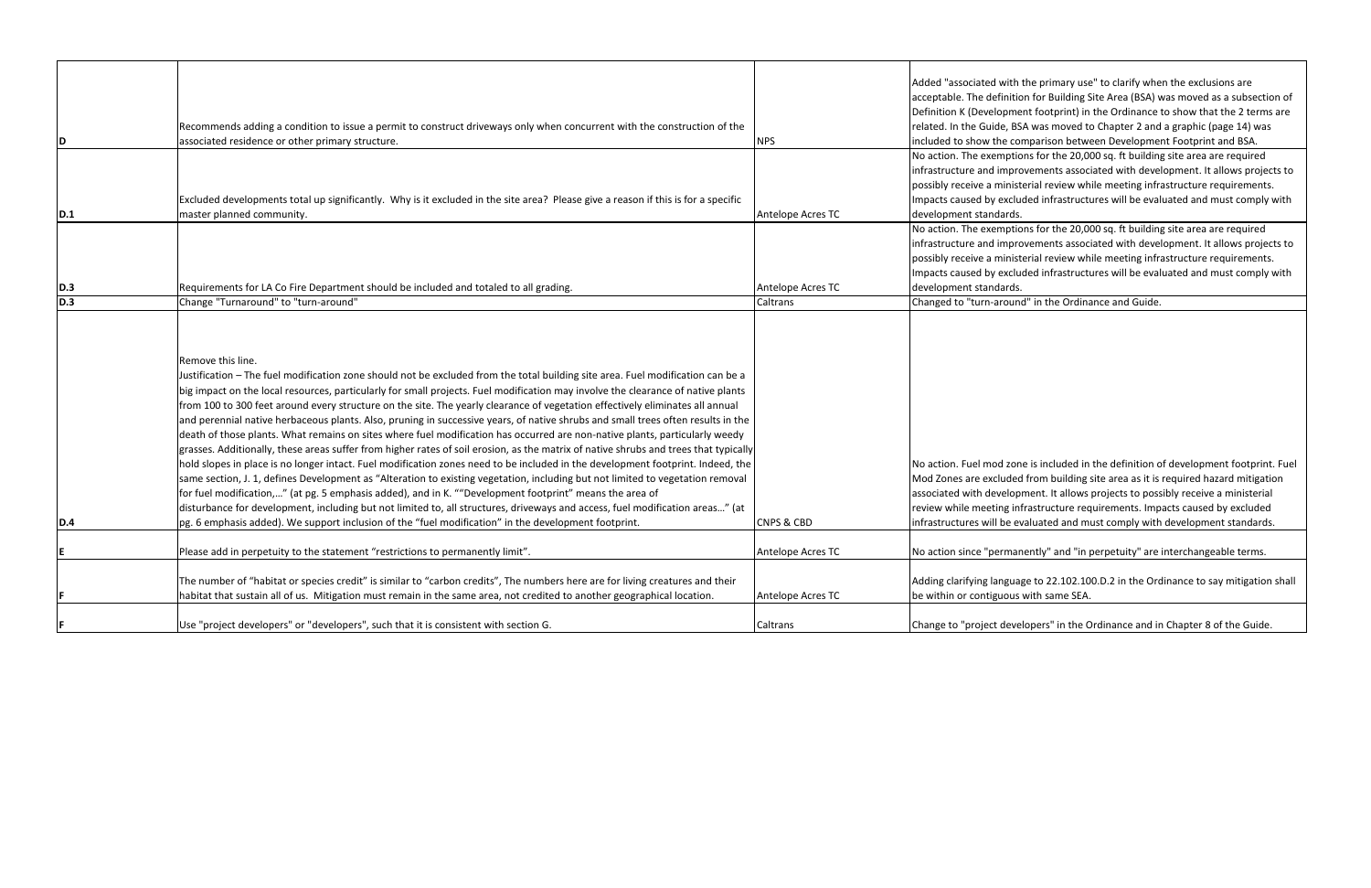|     |                                                                                                                                                                                                                                                                                                                                                                                                                                                                                                                                                                                                                                                                                                                                                                                                                                                                                                                                                                                                                                                                                                                                                                                                                                                                                                                                                                                                                                                               |                       | Added "associated with                                                                                                                |
|-----|---------------------------------------------------------------------------------------------------------------------------------------------------------------------------------------------------------------------------------------------------------------------------------------------------------------------------------------------------------------------------------------------------------------------------------------------------------------------------------------------------------------------------------------------------------------------------------------------------------------------------------------------------------------------------------------------------------------------------------------------------------------------------------------------------------------------------------------------------------------------------------------------------------------------------------------------------------------------------------------------------------------------------------------------------------------------------------------------------------------------------------------------------------------------------------------------------------------------------------------------------------------------------------------------------------------------------------------------------------------------------------------------------------------------------------------------------------------|-----------------------|---------------------------------------------------------------------------------------------------------------------------------------|
|     |                                                                                                                                                                                                                                                                                                                                                                                                                                                                                                                                                                                                                                                                                                                                                                                                                                                                                                                                                                                                                                                                                                                                                                                                                                                                                                                                                                                                                                                               |                       | acceptable. The definitio                                                                                                             |
|     |                                                                                                                                                                                                                                                                                                                                                                                                                                                                                                                                                                                                                                                                                                                                                                                                                                                                                                                                                                                                                                                                                                                                                                                                                                                                                                                                                                                                                                                               |                       | Definition K (Developme                                                                                                               |
|     | Recommends adding a condition to issue a permit to construct driveways only when concurrent with the construction of the                                                                                                                                                                                                                                                                                                                                                                                                                                                                                                                                                                                                                                                                                                                                                                                                                                                                                                                                                                                                                                                                                                                                                                                                                                                                                                                                      |                       | related. In the Guide, BS                                                                                                             |
| D   | associated residence or other primary structure.                                                                                                                                                                                                                                                                                                                                                                                                                                                                                                                                                                                                                                                                                                                                                                                                                                                                                                                                                                                                                                                                                                                                                                                                                                                                                                                                                                                                              | NPS.                  | included to show the co                                                                                                               |
|     |                                                                                                                                                                                                                                                                                                                                                                                                                                                                                                                                                                                                                                                                                                                                                                                                                                                                                                                                                                                                                                                                                                                                                                                                                                                                                                                                                                                                                                                               |                       | No action. The exemptic                                                                                                               |
|     |                                                                                                                                                                                                                                                                                                                                                                                                                                                                                                                                                                                                                                                                                                                                                                                                                                                                                                                                                                                                                                                                                                                                                                                                                                                                                                                                                                                                                                                               |                       | infrastructure and impro                                                                                                              |
|     |                                                                                                                                                                                                                                                                                                                                                                                                                                                                                                                                                                                                                                                                                                                                                                                                                                                                                                                                                                                                                                                                                                                                                                                                                                                                                                                                                                                                                                                               |                       | possibly receive a minist                                                                                                             |
|     | Excluded developments total up significantly. Why is it excluded in the site area? Please give a reason if this is for a specific                                                                                                                                                                                                                                                                                                                                                                                                                                                                                                                                                                                                                                                                                                                                                                                                                                                                                                                                                                                                                                                                                                                                                                                                                                                                                                                             |                       | Impacts caused by exclu                                                                                                               |
| D.1 | master planned community.                                                                                                                                                                                                                                                                                                                                                                                                                                                                                                                                                                                                                                                                                                                                                                                                                                                                                                                                                                                                                                                                                                                                                                                                                                                                                                                                                                                                                                     | Antelope Acres TC     | development standards.                                                                                                                |
|     |                                                                                                                                                                                                                                                                                                                                                                                                                                                                                                                                                                                                                                                                                                                                                                                                                                                                                                                                                                                                                                                                                                                                                                                                                                                                                                                                                                                                                                                               |                       | No action. The exemptic                                                                                                               |
|     |                                                                                                                                                                                                                                                                                                                                                                                                                                                                                                                                                                                                                                                                                                                                                                                                                                                                                                                                                                                                                                                                                                                                                                                                                                                                                                                                                                                                                                                               |                       | infrastructure and impro                                                                                                              |
|     |                                                                                                                                                                                                                                                                                                                                                                                                                                                                                                                                                                                                                                                                                                                                                                                                                                                                                                                                                                                                                                                                                                                                                                                                                                                                                                                                                                                                                                                               |                       | possibly receive a minist                                                                                                             |
|     |                                                                                                                                                                                                                                                                                                                                                                                                                                                                                                                                                                                                                                                                                                                                                                                                                                                                                                                                                                                                                                                                                                                                                                                                                                                                                                                                                                                                                                                               |                       | Impacts caused by exclu                                                                                                               |
| D.3 | Requirements for LA Co Fire Department should be included and totaled to all grading.                                                                                                                                                                                                                                                                                                                                                                                                                                                                                                                                                                                                                                                                                                                                                                                                                                                                                                                                                                                                                                                                                                                                                                                                                                                                                                                                                                         | Antelope Acres TC     | development standards.                                                                                                                |
| D.3 | Change "Turnaround" to "turn-around"                                                                                                                                                                                                                                                                                                                                                                                                                                                                                                                                                                                                                                                                                                                                                                                                                                                                                                                                                                                                                                                                                                                                                                                                                                                                                                                                                                                                                          |                       | Changed to "turn-aroun                                                                                                                |
|     |                                                                                                                                                                                                                                                                                                                                                                                                                                                                                                                                                                                                                                                                                                                                                                                                                                                                                                                                                                                                                                                                                                                                                                                                                                                                                                                                                                                                                                                               | Caltrans              |                                                                                                                                       |
| D.4 | Remove this line.<br>Justification - The fuel modification zone should not be excluded from the total building site area. Fuel modification can be a<br>big impact on the local resources, particularly for small projects. Fuel modification may involve the clearance of native plants<br>from 100 to 300 feet around every structure on the site. The yearly clearance of vegetation effectively eliminates all annual<br>and perennial native herbaceous plants. Also, pruning in successive years, of native shrubs and small trees often results in the<br>death of those plants. What remains on sites where fuel modification has occurred are non-native plants, particularly weedy<br>grasses. Additionally, these areas suffer from higher rates of soil erosion, as the matrix of native shrubs and trees that typically<br>hold slopes in place is no longer intact. Fuel modification zones need to be included in the development footprint. Indeed, the<br>same section, J. 1, defines Development as "Alteration to existing vegetation, including but not limited to vegetation removal<br>for fuel modification," (at pg. 5 emphasis added), and in K. ""Development footprint" means the area of<br>disturbance for development, including but not limited to, all structures, driveways and access, fuel modification areas" (at<br>pg. 6 emphasis added). We support inclusion of the "fuel modification" in the development footprint. | <b>CNPS &amp; CBD</b> | No action. Fuel mod zon<br>Mod Zones are excluded<br>associated with develop<br>review while meeting in<br>infrastructures will be ev |
|     |                                                                                                                                                                                                                                                                                                                                                                                                                                                                                                                                                                                                                                                                                                                                                                                                                                                                                                                                                                                                                                                                                                                                                                                                                                                                                                                                                                                                                                                               |                       |                                                                                                                                       |
| E   | Please add in perpetuity to the statement "restrictions to permanently limit".                                                                                                                                                                                                                                                                                                                                                                                                                                                                                                                                                                                                                                                                                                                                                                                                                                                                                                                                                                                                                                                                                                                                                                                                                                                                                                                                                                                | Antelope Acres TC     | No action since "permar                                                                                                               |
|     | The number of "habitat or species credit" is similar to "carbon credits", The numbers here are for living creatures and their                                                                                                                                                                                                                                                                                                                                                                                                                                                                                                                                                                                                                                                                                                                                                                                                                                                                                                                                                                                                                                                                                                                                                                                                                                                                                                                                 |                       | Adding clarifying langua                                                                                                              |
| F   | habitat that sustain all of us. Mitigation must remain in the same area, not credited to another geographical location.                                                                                                                                                                                                                                                                                                                                                                                                                                                                                                                                                                                                                                                                                                                                                                                                                                                                                                                                                                                                                                                                                                                                                                                                                                                                                                                                       | Antelope Acres TC     | be within or contiguous                                                                                                               |
| F   | Use "project developers" or "developers", such that it is consistent with section G.                                                                                                                                                                                                                                                                                                                                                                                                                                                                                                                                                                                                                                                                                                                                                                                                                                                                                                                                                                                                                                                                                                                                                                                                                                                                                                                                                                          | Caltrans              | Change to "project deve                                                                                                               |
|     |                                                                                                                                                                                                                                                                                                                                                                                                                                                                                                                                                                                                                                                                                                                                                                                                                                                                                                                                                                                                                                                                                                                                                                                                                                                                                                                                                                                                                                                               |                       |                                                                                                                                       |

ith the primary use" to clarify when the exclusions are hition for Building Site Area (BSA) was moved as a subsection of ment footprint) in the Ordinance to show that the 2 terms are RSA was moved to Chapter 2 and a graphic (page 14) was comparison between Development Footprint and BSA.

ptions for the 20,000 sq. ft building site area are required iprovements associated with development. It allows projects to nisterial review while meeting infrastructure requirements. Inpacts cauded infrastructures will be evaluated and must comply with rds.

ptions for the 20,000 sq. ft building site area are required infrastructure and improvement and improvement as inprovements associated with development. It allows projects nisterial review while meeting infrastructure requirements. Inpacts cauded infrastructures will be evaluated and must comply with

**Dund" in the Ordinance and Guide.** 

zone is included in the definition of development footprint. Fuel ded from building site area as it is required hazard mitigation lopment. It allows projects to possibly receive a ministerial refirastructure requirements. Impacts caused by excluded e evaluated and must comply with development standards.

manently" and "in perpetuity" are interchangeable terms.

guage to 22.102.100.D.2 in the Ordinance to say mitigation shall bus with same SEA.

evelopers" in the Ordinance and in Chapter 8 of the Guide.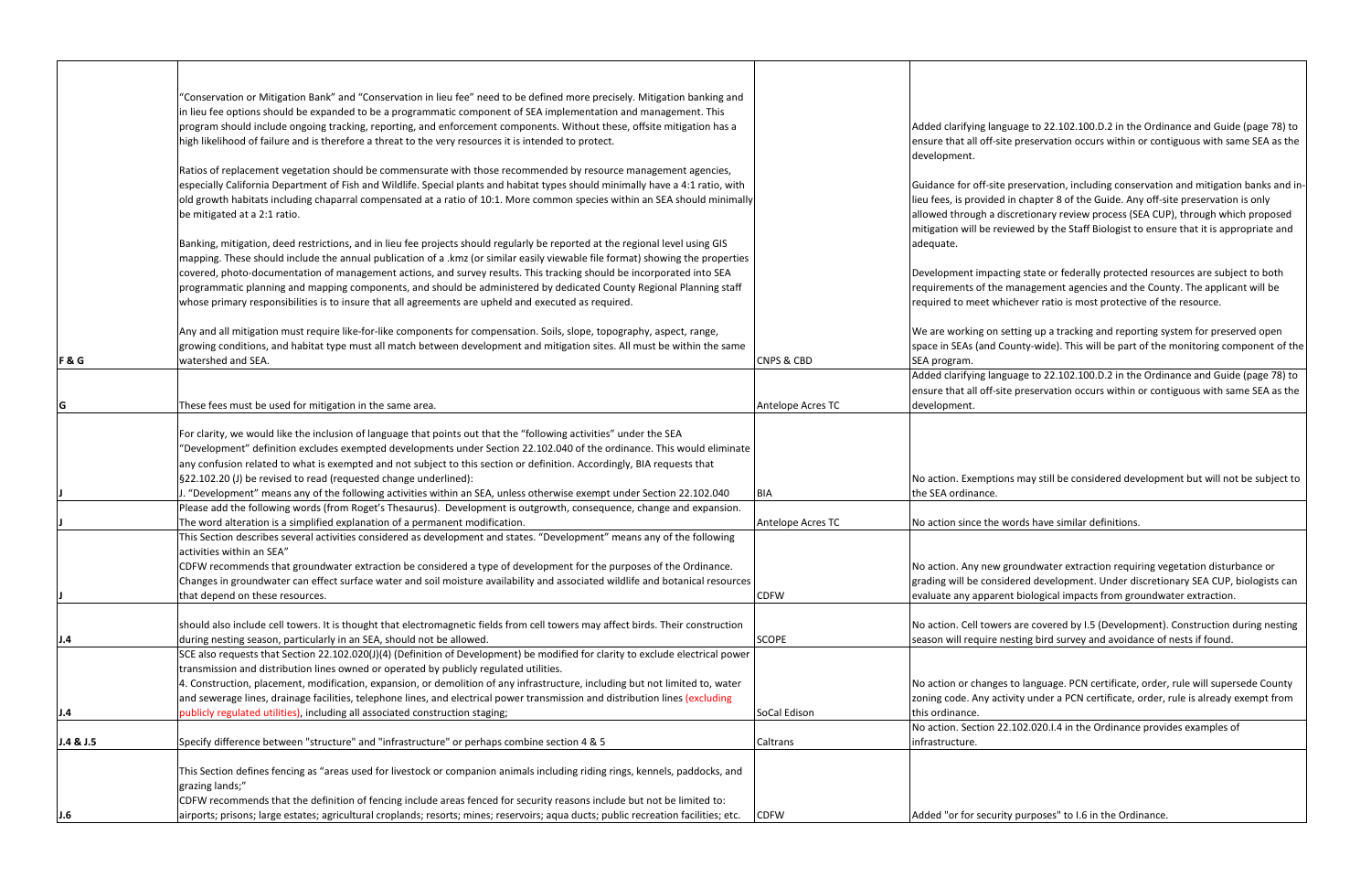|           | "Conservation or Mitigation Bank" and "Conservation in lieu fee" need to be defined more precisely. Mitigation banking and                                                                                                                         |                       |                         |
|-----------|----------------------------------------------------------------------------------------------------------------------------------------------------------------------------------------------------------------------------------------------------|-----------------------|-------------------------|
|           | in lieu fee options should be expanded to be a programmatic component of SEA implementation and management. This                                                                                                                                   |                       |                         |
|           | program should include ongoing tracking, reporting, and enforcement components. Without these, offsite mitigation has a                                                                                                                            |                       | Added clarifying lang   |
|           | high likelihood of failure and is therefore a threat to the very resources it is intended to protect.                                                                                                                                              |                       | ensure that all off-sit |
|           |                                                                                                                                                                                                                                                    |                       | development.            |
|           | Ratios of replacement vegetation should be commensurate with those recommended by resource management agencies,<br>especially California Department of Fish and Wildlife. Special plants and habitat types should minimally have a 4:1 ratio, with |                       | Guidance for off-site   |
|           | old growth habitats including chaparral compensated at a ratio of 10:1. More common species within an SEA should minimally                                                                                                                         |                       | lieu fees, is provided  |
|           | be mitigated at a 2:1 ratio.                                                                                                                                                                                                                       |                       | allowed through a dis   |
|           |                                                                                                                                                                                                                                                    |                       | mitigation will be rev  |
|           | Banking, mitigation, deed restrictions, and in lieu fee projects should regularly be reported at the regional level using GIS                                                                                                                      |                       | adequate.               |
|           | mapping. These should include the annual publication of a .kmz (or similar easily viewable file format) showing the properties                                                                                                                     |                       |                         |
|           | covered, photo-documentation of management actions, and survey results. This tracking should be incorporated into SEA                                                                                                                              |                       | Development impact      |
|           | programmatic planning and mapping components, and should be administered by dedicated County Regional Planning staff                                                                                                                               |                       | requirements of the     |
|           | whose primary responsibilities is to insure that all agreements are upheld and executed as required.                                                                                                                                               |                       | required to meet whi    |
|           |                                                                                                                                                                                                                                                    |                       |                         |
|           | Any and all mitigation must require like-for-like components for compensation. Soils, slope, topography, aspect, range,                                                                                                                            |                       | We are working on se    |
|           | growing conditions, and habitat type must all match between development and mitigation sites. All must be within the same                                                                                                                          |                       | space in SEAs (and Co   |
| F&G       | watershed and SEA.                                                                                                                                                                                                                                 | <b>CNPS &amp; CBD</b> | SEA program.            |
|           |                                                                                                                                                                                                                                                    |                       | Added clarifying lang   |
|           |                                                                                                                                                                                                                                                    |                       | ensure that all off-sit |
| lG        | These fees must be used for mitigation in the same area.                                                                                                                                                                                           | Antelope Acres TC     | development.            |
|           |                                                                                                                                                                                                                                                    |                       |                         |
|           | For clarity, we would like the inclusion of language that points out that the "following activities" under the SEA                                                                                                                                 |                       |                         |
|           | "Development" definition excludes exempted developments under Section 22.102.040 of the ordinance. This would eliminate                                                                                                                            |                       |                         |
|           | any confusion related to what is exempted and not subject to this section or definition. Accordingly, BIA requests that                                                                                                                            |                       |                         |
|           | §22.102.20 (J) be revised to read (requested change underlined):                                                                                                                                                                                   |                       | No action. Exemptior    |
|           | J. "Development" means any of the following activities within an SEA, unless otherwise exempt under Section 22.102.040                                                                                                                             | BIA                   | the SEA ordinance.      |
|           | Please add the following words (from Roget's Thesaurus). Development is outgrowth, consequence, change and expansion.                                                                                                                              |                       |                         |
|           | The word alteration is a simplified explanation of a permanent modification.                                                                                                                                                                       | Antelope Acres TC     | No action since the w   |
|           | This Section describes several activities considered as development and states. "Development" means any of the following                                                                                                                           |                       |                         |
|           | activities within an SEA"                                                                                                                                                                                                                          |                       |                         |
|           | CDFW recommends that groundwater extraction be considered a type of development for the purposes of the Ordinance.                                                                                                                                 |                       | No action. Any new g    |
|           | Changes in groundwater can effect surface water and soil moisture availability and associated wildlife and botanical resources                                                                                                                     |                       | grading will be consid  |
|           | that depend on these resources.                                                                                                                                                                                                                    | <b>CDFW</b>           | evaluate any apparer    |
|           | should also include cell towers. It is thought that electromagnetic fields from cell towers may affect birds. Their construction                                                                                                                   |                       | No action. Cell tower   |
| J.4       | during nesting season, particularly in an SEA, should not be allowed.                                                                                                                                                                              | <b>SCOPE</b>          | season will require no  |
|           | SCE also requests that Section 22.102.020(J)(4) (Definition of Development) be modified for clarity to exclude electrical power                                                                                                                    |                       |                         |
|           | transmission and distribution lines owned or operated by publicly regulated utilities.                                                                                                                                                             |                       |                         |
|           | 4. Construction, placement, modification, expansion, or demolition of any infrastructure, including but not limited to, water                                                                                                                      |                       | No action or changes    |
|           | and sewerage lines, drainage facilities, telephone lines, and electrical power transmission and distribution lines (excluding                                                                                                                      |                       | zoning code. Any acti   |
| J.4       | publicly regulated utilities), including all associated construction staging;                                                                                                                                                                      | SoCal Edison          | this ordinance.         |
|           |                                                                                                                                                                                                                                                    |                       | No action. Section 22   |
| J.4 & J.5 | Specify difference between "structure" and "infrastructure" or perhaps combine section 4 & 5                                                                                                                                                       | Caltrans              | infrastructure.         |
|           |                                                                                                                                                                                                                                                    |                       |                         |
|           | This Section defines fencing as "areas used for livestock or companion animals including riding rings, kennels, paddocks, and                                                                                                                      |                       |                         |
|           | grazing lands;"                                                                                                                                                                                                                                    |                       |                         |
|           | CDFW recommends that the definition of fencing include areas fenced for security reasons include but not be limited to:                                                                                                                            |                       |                         |
| J.6       | airports; prisons; large estates; agricultural croplands; resorts; mines; reservoirs; aqua ducts; public recreation facilities; etc.                                                                                                               | <b>CDFW</b>           | Added "or for securit   |

guage to 22.102.100.D.2 in the Ordinance and Guide (page 78) to te preservation occurs within or contiguous with same SEA as the

preservation, including conservation and mitigation banks and in- $\ln$  chapter 8 of the Guide. Any off-site preservation is only iscretionary review process (SEA CUP), through which proposed viewed by the Staff Biologist to ensure that it is appropriate and

ing state or federally protected resources are subject to both management agencies and the County. The applicant will be ichever ratio is most protective of the resource.

etting up a tracking and reporting system for preserved open ounty-wide). This will be part of the monitoring component of the

guage to 22.102.100.D.2 in the Ordinance and Guide (page 78) to te preservation occurs within or contiguous with same SEA as the

ns may still be considered development but will not be subject to

vords have similar definitions.

groundwater extraction requiring vegetation disturbance or dered development. Under discretionary SEA CUP, biologists can nt biological impacts from groundwater extraction.

rs are covered by I.5 (Development). Construction during nesting esting bird survey and avoidance of nests if found.

to language. PCN certificate, order, rule will supersede County ivity under a PCN certificate, order, rule is already exempt from

. 102.020. I.4 in the Ordinance provides examples of

y purposes" to I.6 in the Ordinance.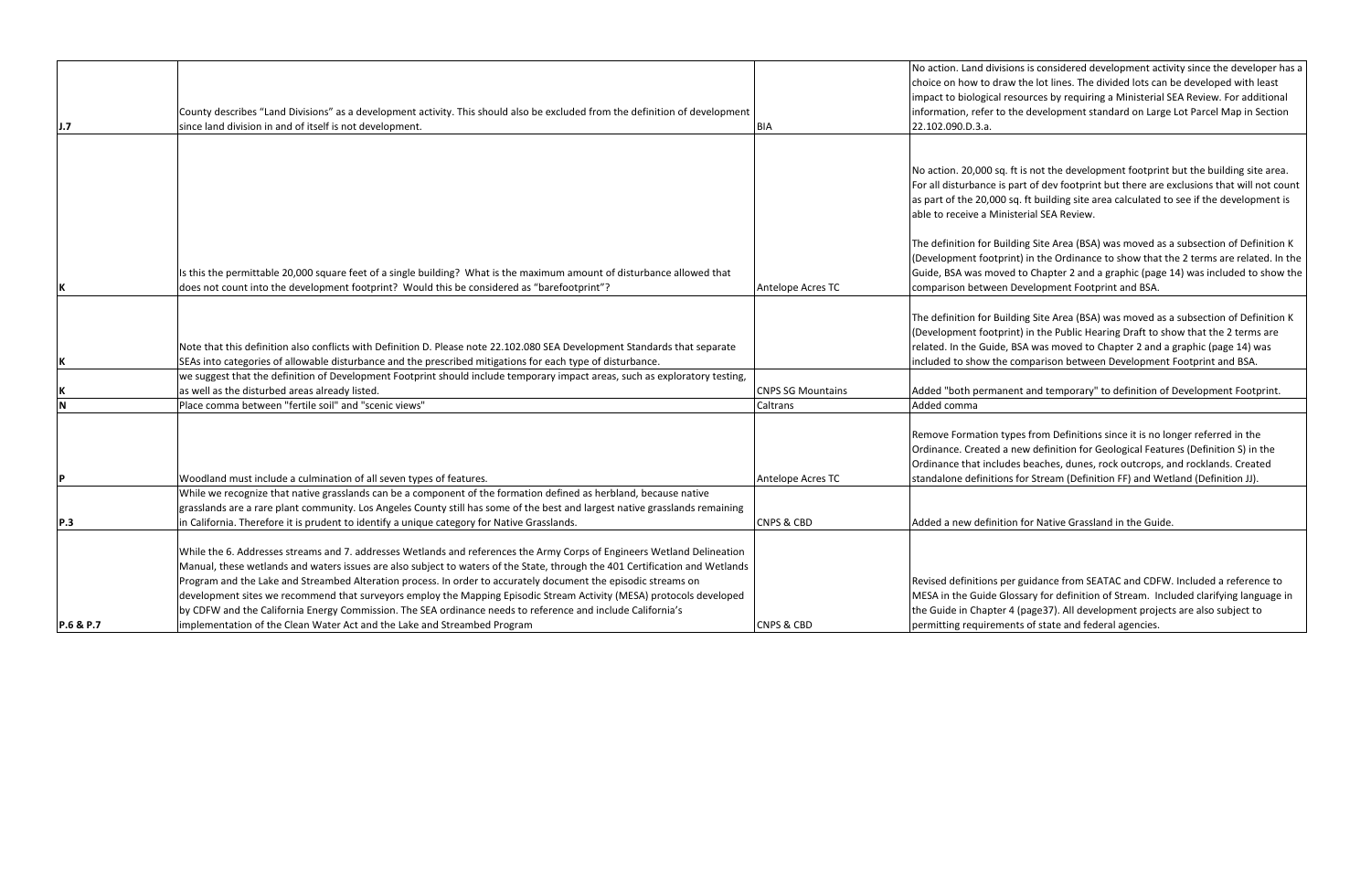|                         |                                                                                                                              |                          | No action. Land divisi                      |
|-------------------------|------------------------------------------------------------------------------------------------------------------------------|--------------------------|---------------------------------------------|
|                         |                                                                                                                              |                          | choice on how to dra                        |
|                         |                                                                                                                              |                          | impact to biological r                      |
|                         | County describes "Land Divisions" as a development activity. This should also be excluded from the definition of development |                          | information, refer to                       |
| J.7                     | since land division in and of itself is not development.                                                                     | <b>BIA</b>               | 22.102.090.D.3.a.                           |
|                         |                                                                                                                              |                          |                                             |
|                         |                                                                                                                              |                          |                                             |
|                         |                                                                                                                              |                          | No action. 20,000 sq.                       |
|                         |                                                                                                                              |                          | For all disturbance is                      |
|                         |                                                                                                                              |                          | as part of the 20,000                       |
|                         |                                                                                                                              |                          | able to receive a Min                       |
|                         |                                                                                                                              |                          | The definition for Bui                      |
|                         |                                                                                                                              |                          | (Development footpr                         |
|                         | Is this the permittable 20,000 square feet of a single building? What is the maximum amount of disturbance allowed that      |                          | Guide, BSA was move                         |
| K                       | does not count into the development footprint? Would this be considered as "barefootprint"?                                  | Antelope Acres TC        | comparison between                          |
|                         |                                                                                                                              |                          |                                             |
|                         |                                                                                                                              |                          | The definition for Bui                      |
|                         |                                                                                                                              |                          | (Development footpr                         |
|                         | Note that this definition also conflicts with Definition D. Please note 22.102.080 SEA Development Standards that separate   |                          | related. In the Guide,                      |
| K                       | SEAs into categories of allowable disturbance and the prescribed mitigations for each type of disturbance.                   |                          | included to show the                        |
|                         | we suggest that the definition of Development Footprint should include temporary impact areas, such as exploratory testing,  |                          |                                             |
| Κ                       | as well as the disturbed areas already listed.                                                                               | <b>CNPS SG Mountains</b> | Added "both perman                          |
| $\overline{\mathsf{N}}$ | Place comma between "fertile soil" and "scenic views"                                                                        | Caltrans                 | Added comma                                 |
|                         |                                                                                                                              |                          |                                             |
|                         |                                                                                                                              |                          | Remove Formation ty<br>Ordinance. Created a |
|                         |                                                                                                                              |                          | Ordinance that includ                       |
| P                       | Woodland must include a culmination of all seven types of features.                                                          | Antelope Acres TC        | standalone definition                       |
|                         | While we recognize that native grasslands can be a component of the formation defined as herbland, because native            |                          |                                             |
|                         | grasslands are a rare plant community. Los Angeles County still has some of the best and largest native grasslands remaining |                          |                                             |
| <b>P.3</b>              | in California. Therefore it is prudent to identify a unique category for Native Grasslands.                                  | <b>CNPS &amp; CBD</b>    | Added a new definitio                       |
|                         |                                                                                                                              |                          |                                             |
|                         | While the 6. Addresses streams and 7. addresses Wetlands and references the Army Corps of Engineers Wetland Delineation      |                          |                                             |
|                         | Manual, these wetlands and waters issues are also subject to waters of the State, through the 401 Certification and Wetlands |                          |                                             |
|                         | Program and the Lake and Streambed Alteration process. In order to accurately document the episodic streams on               |                          | Revised definitions po                      |
|                         | development sites we recommend that surveyors employ the Mapping Episodic Stream Activity (MESA) protocols developed         |                          | MESA in the Guide G                         |
|                         | by CDFW and the California Energy Commission. The SEA ordinance needs to reference and include California's                  |                          | the Guide in Chapter                        |
| P.6 & P.7               | implementation of the Clean Water Act and the Lake and Streambed Program                                                     | <b>CNPS &amp; CBD</b>    | permitting requireme                        |

sions is considered development activity since the developer has a aw the lot lines. The divided lots can be developed with least resources by requiring a Ministerial SEA Review. For additional the development standard on Large Lot Parcel Map in Section

ft is not the development footprint but the building site area. part of dev footprint but there are exclusions that will not count ) sq. ft building site area calculated to see if the development is histerial SEA Review.

ilding Site Area (BSA) was moved as a subsection of Definition K rint) in the Ordinance to show that the 2 terms are related. In the ed to Chapter 2 and a graphic (page 14) was included to show the Development Footprint and BSA.

ilding Site Area (BSA) was moved as a subsection of Definition K rint) in the Public Hearing Draft to show that the 2 terms are RSA was moved to Chapter 2 and a graphic (page 14) was comparison between Development Footprint and BSA.

nent and temporary" to definition of Development Footprint.

ypes from Definitions since it is no longer referred in the new definition for Geological Features (Definition S) in the des beaches, dunes, rock outcrops, and rocklands. Created ns for Stream (Definition FF) and Wetland (Definition JJ).

ion for Native Grassland in the Guide.

er guidance from SEATAC and CDFW. Included a reference to Iossary for definition of Stream. Included clarifying language in r 4 (page37). All development projects are also subject to ents of state and federal agencies.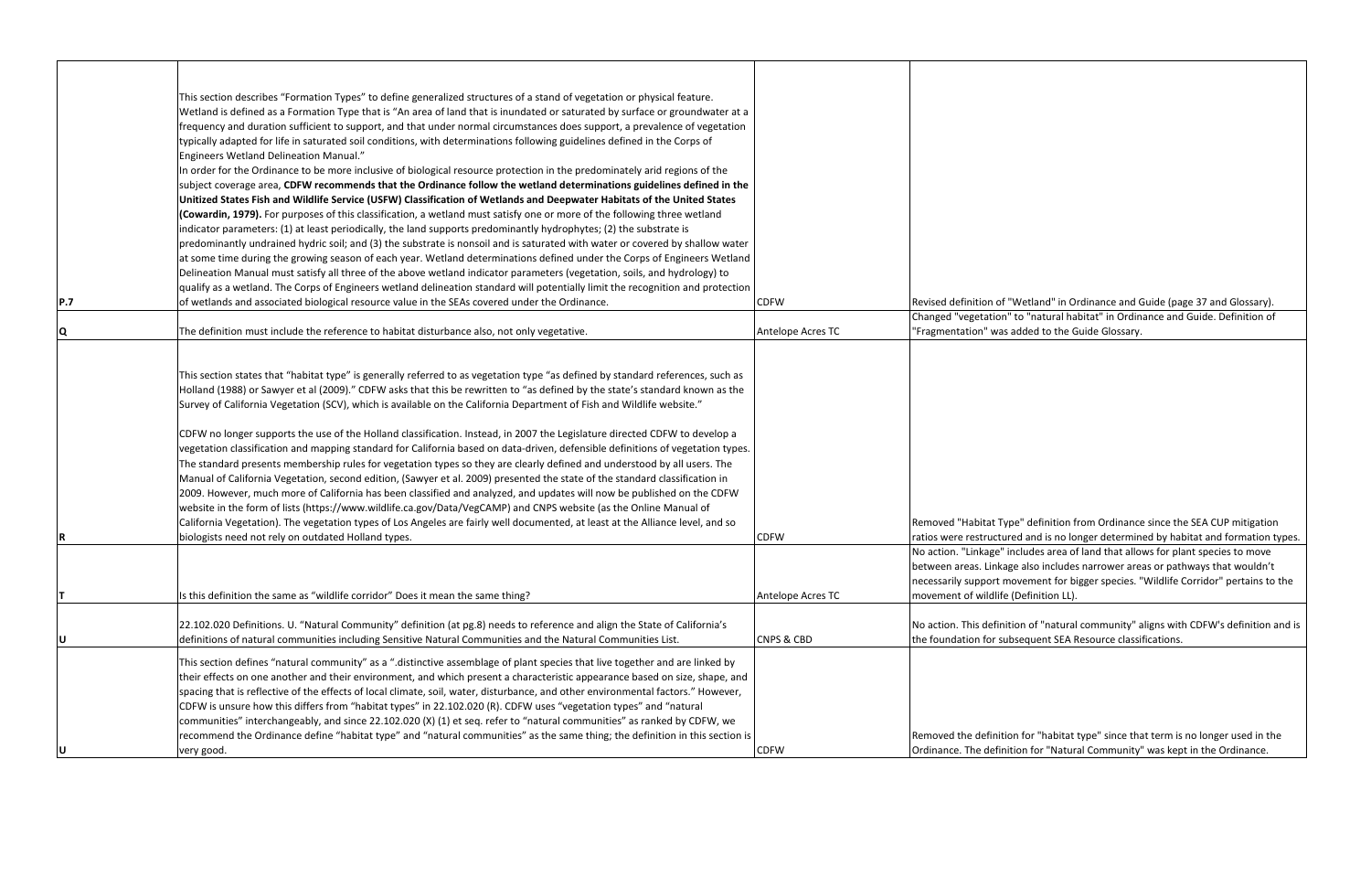> ype" definition from Ordinance since the SEA CUP mitigation ured and is no longer determined by habitat and formation types. includes area of land that allows for plant species to move age also includes narrower areas or pathways that wouldn't movement for bigger species. "Wildlife Corridor" pertains to the e (Definition LL).

> $n$ ition of "natural community" aligns with CDFW's definition and is ubsequent SEA Resource classifications.

|     | This section describes "Formation Types" to define generalized structures of a stand of vegetation or physical feature.          |                       |                                                                                   |
|-----|----------------------------------------------------------------------------------------------------------------------------------|-----------------------|-----------------------------------------------------------------------------------|
|     | Wetland is defined as a Formation Type that is "An area of land that is inundated or saturated by surface or groundwater at a    |                       |                                                                                   |
|     | frequency and duration sufficient to support, and that under normal circumstances does support, a prevalence of vegetation       |                       |                                                                                   |
|     | typically adapted for life in saturated soil conditions, with determinations following guidelines defined in the Corps of        |                       |                                                                                   |
|     | Engineers Wetland Delineation Manual."                                                                                           |                       |                                                                                   |
|     | In order for the Ordinance to be more inclusive of biological resource protection in the predominately arid regions of the       |                       |                                                                                   |
|     | subject coverage area, CDFW recommends that the Ordinance follow the wetland determinations guidelines defined in the            |                       |                                                                                   |
|     | Unitized States Fish and Wildlife Service (USFW) Classification of Wetlands and Deepwater Habitats of the United States          |                       |                                                                                   |
|     | (Cowardin, 1979). For purposes of this classification, a wetland must satisfy one or more of the following three wetland         |                       |                                                                                   |
|     | indicator parameters: (1) at least periodically, the land supports predominantly hydrophytes; (2) the substrate is               |                       |                                                                                   |
|     | predominantly undrained hydric soil; and (3) the substrate is nonsoil and is saturated with water or covered by shallow water    |                       |                                                                                   |
|     | at some time during the growing season of each year. Wetland determinations defined under the Corps of Engineers Wetland         |                       |                                                                                   |
|     | Delineation Manual must satisfy all three of the above wetland indicator parameters (vegetation, soils, and hydrology) to        |                       |                                                                                   |
|     | qualify as a wetland. The Corps of Engineers wetland delineation standard will potentially limit the recognition and protection  |                       |                                                                                   |
|     |                                                                                                                                  |                       |                                                                                   |
| P.7 | of wetlands and associated biological resource value in the SEAs covered under the Ordinance.                                    | <b>CDFW</b>           | Revised definition of "Wetland" in Ordinance and Guide (page 37 and Glossary).    |
|     |                                                                                                                                  |                       | Changed "vegetation" to "natural habitat" in Ordinance and Guide. Definition of   |
| Q   | The definition must include the reference to habitat disturbance also, not only vegetative.                                      | Antelope Acres TC     | "Fragmentation" was added to the Guide Glossary.                                  |
|     |                                                                                                                                  |                       |                                                                                   |
|     |                                                                                                                                  |                       |                                                                                   |
|     | This section states that "habitat type" is generally referred to as vegetation type "as defined by standard references, such as  |                       |                                                                                   |
|     | Holland (1988) or Sawyer et al (2009)." CDFW asks that this be rewritten to "as defined by the state's standard known as the     |                       |                                                                                   |
|     | Survey of California Vegetation (SCV), which is available on the California Department of Fish and Wildlife website."            |                       |                                                                                   |
|     |                                                                                                                                  |                       |                                                                                   |
|     | CDFW no longer supports the use of the Holland classification. Instead, in 2007 the Legislature directed CDFW to develop a       |                       |                                                                                   |
|     | vegetation classification and mapping standard for California based on data-driven, defensible definitions of vegetation types.  |                       |                                                                                   |
|     | The standard presents membership rules for vegetation types so they are clearly defined and understood by all users. The         |                       |                                                                                   |
|     | Manual of California Vegetation, second edition, (Sawyer et al. 2009) presented the state of the standard classification in      |                       |                                                                                   |
|     | 2009. However, much more of California has been classified and analyzed, and updates will now be published on the CDFW           |                       |                                                                                   |
|     | website in the form of lists (https://www.wildlife.ca.gov/Data/VegCAMP) and CNPS website (as the Online Manual of                |                       |                                                                                   |
|     | California Vegetation). The vegetation types of Los Angeles are fairly well documented, at least at the Alliance level, and so   |                       | Removed "Habitat Type" definition from Ordinance since the SEA CUP mitigatio      |
|     | biologists need not rely on outdated Holland types.                                                                              | <b>CDFW</b>           | ratios were restructured and is no longer determined by habitat and formation     |
|     |                                                                                                                                  |                       | No action. "Linkage" includes area of land that allows for plant species to move  |
|     |                                                                                                                                  |                       | between areas. Linkage also includes narrower areas or pathways that wouldn't     |
|     |                                                                                                                                  |                       | necessarily support movement for bigger species. "Wildlife Corridor" pertains to  |
|     | Is this definition the same as "wildlife corridor" Does it mean the same thing?                                                  | Antelope Acres TC     | movement of wildlife (Definition LL).                                             |
|     |                                                                                                                                  |                       |                                                                                   |
|     | 22.102.020 Definitions. U. "Natural Community" definition (at pg.8) needs to reference and align the State of California's       |                       | No action. This definition of "natural community" aligns with CDFW's definition   |
|     | definitions of natural communities including Sensitive Natural Communities and the Natural Communities List.                     | <b>CNPS &amp; CBD</b> | the foundation for subsequent SEA Resource classifications.                       |
|     |                                                                                                                                  |                       |                                                                                   |
|     | This section defines "natural community" as a ".distinctive assemblage of plant species that live together and are linked by     |                       |                                                                                   |
|     | their effects on one another and their environment, and which present a characteristic appearance based on size, shape, and      |                       |                                                                                   |
|     | spacing that is reflective of the effects of local climate, soil, water, disturbance, and other environmental factors." However, |                       |                                                                                   |
|     | CDFW is unsure how this differs from "habitat types" in 22.102.020 (R). CDFW uses "vegetation types" and "natural                |                       |                                                                                   |
|     | communities" interchangeably, and since 22.102.020 (X) (1) et seq. refer to "natural communities" as ranked by CDFW, we          |                       |                                                                                   |
|     | recommend the Ordinance define "habitat type" and "natural communities" as the same thing; the definition in this section is     |                       | Removed the definition for "habitat type" since that term is no longer used in th |
|     | very good.                                                                                                                       | <b>CDFW</b>           | Ordinance. The definition for "Natural Community" was kept in the Ordinance.      |
|     |                                                                                                                                  |                       |                                                                                   |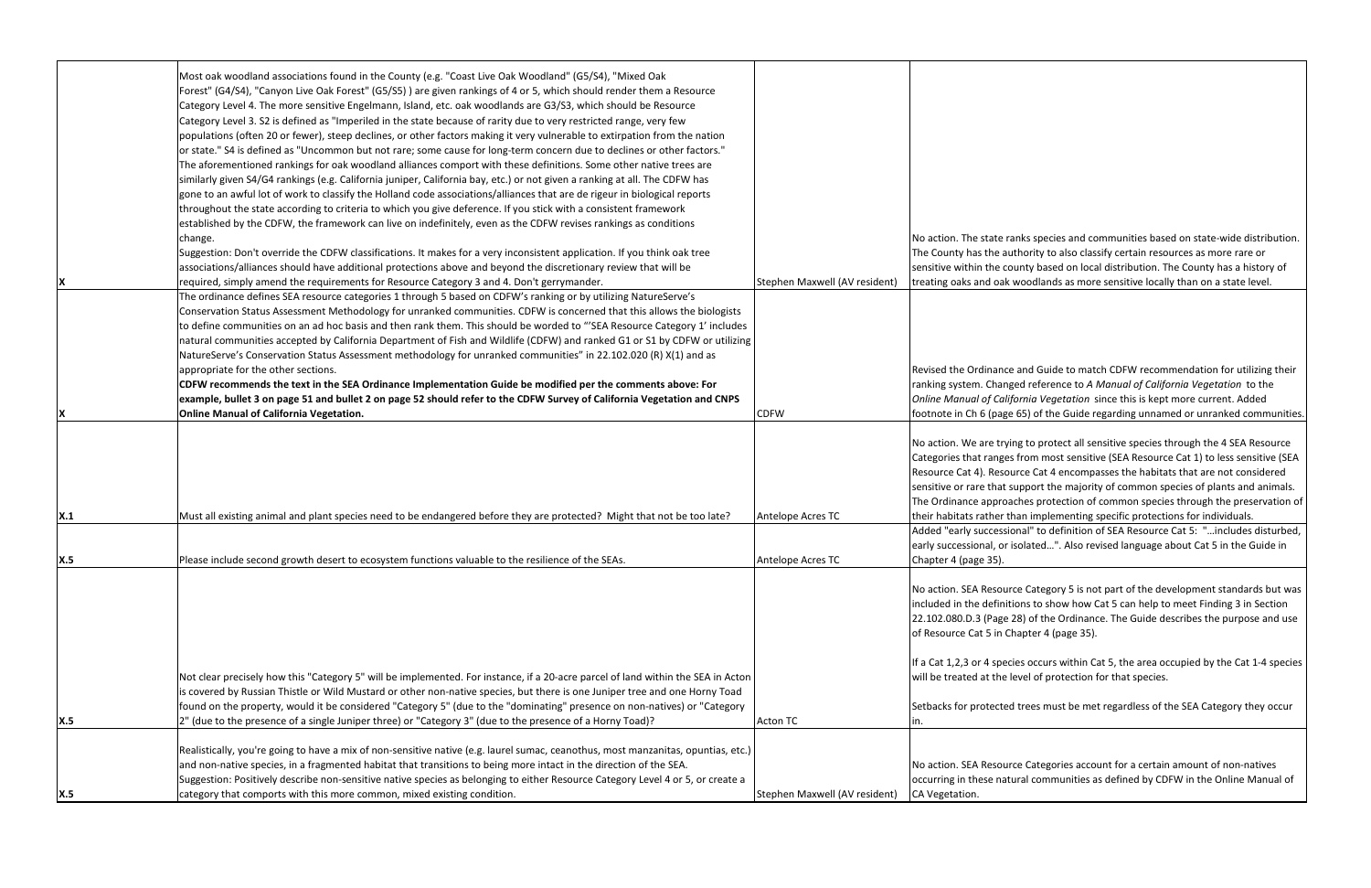|            | Most oak woodland associations found in the County (e.g. "Coast Live Oak Woodland" (G5/S4), "Mixed Oak                            |                               |                         |
|------------|-----------------------------------------------------------------------------------------------------------------------------------|-------------------------------|-------------------------|
|            | Forest" (G4/S4), "Canyon Live Oak Forest" (G5/S5)) are given rankings of 4 or 5, which should render them a Resource              |                               |                         |
|            | Category Level 4. The more sensitive Engelmann, Island, etc. oak woodlands are G3/S3, which should be Resource                    |                               |                         |
|            |                                                                                                                                   |                               |                         |
|            | Category Level 3. S2 is defined as "Imperiled in the state because of rarity due to very restricted range, very few               |                               |                         |
|            | populations (often 20 or fewer), steep declines, or other factors making it very vulnerable to extirpation from the nation        |                               |                         |
|            | or state." S4 is defined as "Uncommon but not rare; some cause for long-term concern due to declines or other factors."           |                               |                         |
|            | The aforementioned rankings for oak woodland alliances comport with these definitions. Some other native trees are                |                               |                         |
|            | similarly given S4/G4 rankings (e.g. California juniper, California bay, etc.) or not given a ranking at all. The CDFW has        |                               |                         |
|            | gone to an awful lot of work to classify the Holland code associations/alliances that are de rigeur in biological reports         |                               |                         |
|            | throughout the state according to criteria to which you give deference. If you stick with a consistent framework                  |                               |                         |
|            | established by the CDFW, the framework can live on indefinitely, even as the CDFW revises rankings as conditions                  |                               |                         |
|            | change.                                                                                                                           |                               | No action. The state    |
|            | Suggestion: Don't override the CDFW classifications. It makes for a very inconsistent application. If you think oak tree          |                               | The County has the a    |
|            | associations/alliances should have additional protections above and beyond the discretionary review that will be                  |                               | sensitive within the o  |
|            | required, simply amend the requirements for Resource Category 3 and 4. Don't gerrymander.                                         | Stephen Maxwell (AV resident) | treating oaks and oal   |
|            | The ordinance defines SEA resource categories 1 through 5 based on CDFW's ranking or by utilizing NatureServe's                   |                               |                         |
|            | Conservation Status Assessment Methodology for unranked communities. CDFW is concerned that this allows the biologists            |                               |                         |
|            | to define communities on an ad hoc basis and then rank them. This should be worded to "'SEA Resource Category 1' includes         |                               |                         |
|            |                                                                                                                                   |                               |                         |
|            | natural communities accepted by California Department of Fish and Wildlife (CDFW) and ranked G1 or S1 by CDFW or utilizing        |                               |                         |
|            | NatureServe's Conservation Status Assessment methodology for unranked communities" in 22.102.020 (R) X(1) and as                  |                               |                         |
|            | appropriate for the other sections.                                                                                               |                               | Revised the Ordinand    |
|            | CDFW recommends the text in the SEA Ordinance Implementation Guide be modified per the comments above: For                        |                               | ranking system. Char    |
|            | example, bullet 3 on page 51 and bullet 2 on page 52 should refer to the CDFW Survey of California Vegetation and CNPS            |                               | Online Manual of Ca     |
|            | <b>Online Manual of California Vegetation.</b>                                                                                    | <b>CDFW</b>                   | footnote in Ch 6 (pag   |
|            |                                                                                                                                   |                               |                         |
|            |                                                                                                                                   |                               | No action. We are try   |
|            |                                                                                                                                   |                               | Categories that range   |
|            |                                                                                                                                   |                               | Resource Cat 4). Reso   |
|            |                                                                                                                                   |                               | sensitive or rare that  |
|            |                                                                                                                                   |                               | The Ordinance appro     |
| X.1        | Must all existing animal and plant species need to be endangered before they are protected? Might that not be too late?           | Antelope Acres TC             | their habitats rather   |
|            |                                                                                                                                   |                               | Added "early success    |
|            |                                                                                                                                   |                               | early successional, or  |
| X.5        | IPlease include second growth desert to ecosystem functions valuable to the resilience of the SEAs.                               | Antelope Acres TC             | Chapter 4 (page 35).    |
|            |                                                                                                                                   |                               |                         |
|            |                                                                                                                                   |                               |                         |
|            |                                                                                                                                   |                               | No action. SEA Resou    |
|            |                                                                                                                                   |                               | included in the defin   |
|            |                                                                                                                                   |                               | 22.102.080.D.3 (Page    |
|            |                                                                                                                                   |                               | of Resource Cat 5 in    |
|            |                                                                                                                                   |                               |                         |
|            |                                                                                                                                   |                               | If a Cat 1,2,3 or 4 spe |
|            | Not clear precisely how this "Category 5" will be implemented. For instance, if a 20-acre parcel of land within the SEA in Acton  |                               | will be treated at the  |
|            | is covered by Russian Thistle or Wild Mustard or other non-native species, but there is one Juniper tree and one Horny Toad       |                               |                         |
|            | found on the property, would it be considered "Category 5" (due to the "dominating" presence on non-natives) or "Category         |                               | Setbacks for protect    |
| <b>X.5</b> | 2" (due to the presence of a single Juniper three) or "Category 3" (due to the presence of a Horny Toad)?                         | <b>Acton TC</b>               | ın.                     |
|            |                                                                                                                                   |                               |                         |
|            | Realistically, you're going to have a mix of non-sensitive native (e.g. laurel sumac, ceanothus, most manzanitas, opuntias, etc.) |                               |                         |
|            | and non-native species, in a fragmented habitat that transitions to being more intact in the direction of the SEA.                |                               | No action. SEA Resou    |
|            | Suggestion: Positively describe non-sensitive native species as belonging to either Resource Category Level 4 or 5, or create a   |                               | occurring in these na   |
| <b>X.5</b> | category that comports with this more common, mixed existing condition.                                                           | Stephen Maxwell (AV resident) | CA Vegetation.          |
|            |                                                                                                                                   |                               |                         |

ranks species and communities based on state-wide distribution. authority to also classify certain resources as more rare or county based on local distribution. The County has a history of k woodlands as more sensitive locally than on a state level.

ce and Guide to match CDFW recommendation for utilizing their ranking system. Changed reference to *A Manual of California Vegetation* to the *Online Manual of California Vegetation* since this is kept more current. Added ge 65) of the Guide regarding unnamed or unranked communities.

ying to protect all sensitive species through the 4 SEA Resource es from most sensitive (SEA Resource Cat 1) to less sensitive (SEA ource Cat 4 encompasses the habitats that are not considered t support the majority of common species of plants and animals. oaches protection of common species through the preservation of than implementing specific protections for individuals.

sional" to definition of SEA Resource Cat 5: "...includes disturbed, r isolated...". Also revised language about Cat 5 in the Guide in

urce Category 5 is not part of the development standards but was iitions to show how Cat 5 can help to meet Finding 3 in Section e 28) of the Ordinance. The Guide describes the purpose and use Chapter 4 (page 35).

ecies occurs within Cat 5, the area occupied by the Cat 1-4 species e level of protection for that species.

ed trees must be met regardless of the SEA Category they occur

urce Categories account for a certain amount of non-natives atural communities as defined by CDFW in the Online Manual of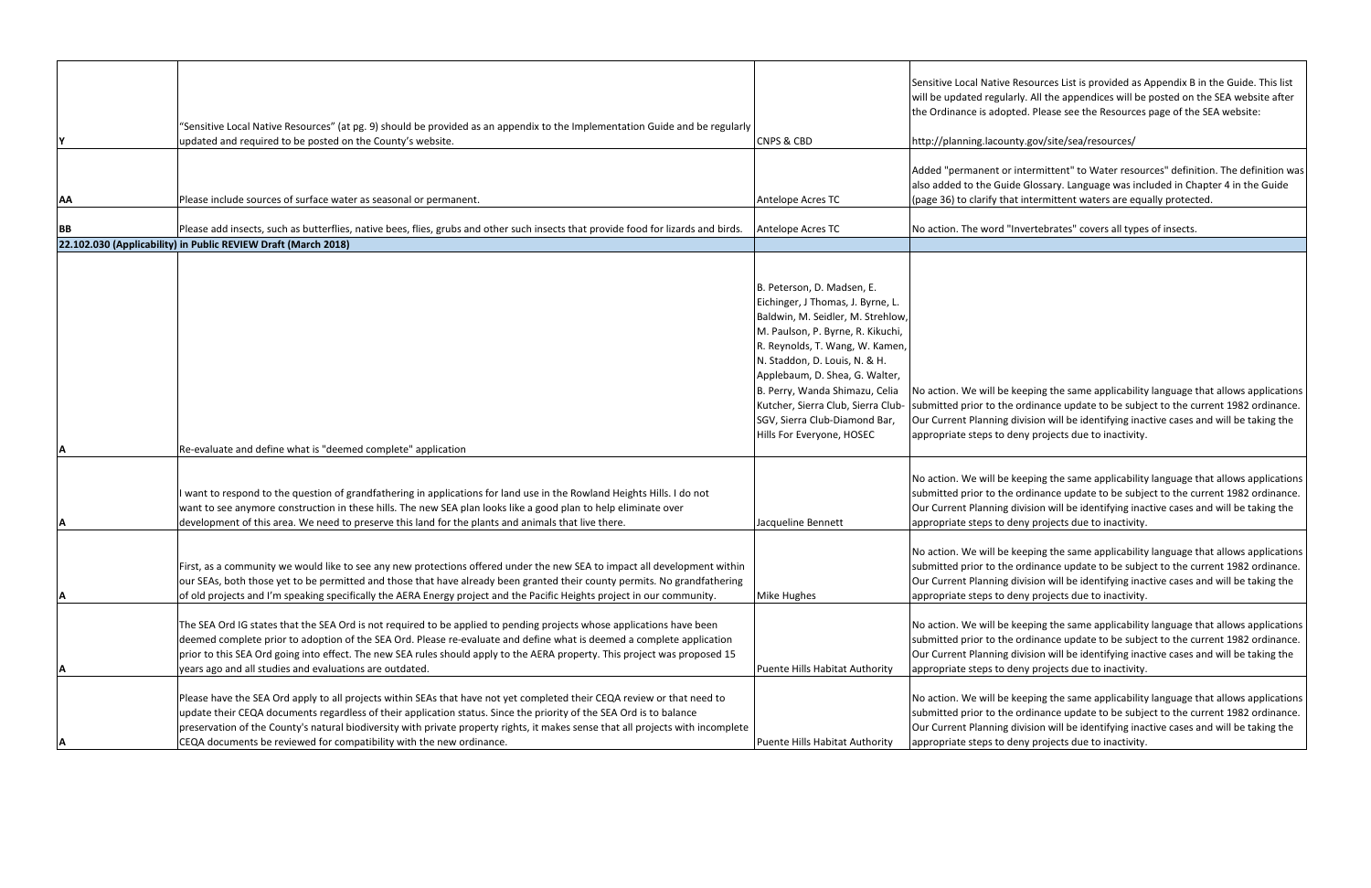|           |                                                                                                                                                                                                                                                                                                                                                                                                                                                            |                                                                                                                                                                                                                                                                                                                                                                                       | Sensitive Local Native<br>will be updated regul                                                |
|-----------|------------------------------------------------------------------------------------------------------------------------------------------------------------------------------------------------------------------------------------------------------------------------------------------------------------------------------------------------------------------------------------------------------------------------------------------------------------|---------------------------------------------------------------------------------------------------------------------------------------------------------------------------------------------------------------------------------------------------------------------------------------------------------------------------------------------------------------------------------------|------------------------------------------------------------------------------------------------|
|           |                                                                                                                                                                                                                                                                                                                                                                                                                                                            |                                                                                                                                                                                                                                                                                                                                                                                       | the Ordinance is ado                                                                           |
|           | "Sensitive Local Native Resources" (at pg. 9) should be provided as an appendix to the Implementation Guide and be regularly                                                                                                                                                                                                                                                                                                                               |                                                                                                                                                                                                                                                                                                                                                                                       |                                                                                                |
| l۷        | updated and required to be posted on the County's website.                                                                                                                                                                                                                                                                                                                                                                                                 | <b>CNPS &amp; CBD</b>                                                                                                                                                                                                                                                                                                                                                                 | http://planning.lacou                                                                          |
| <b>AA</b> | Please include sources of surface water as seasonal or permanent.                                                                                                                                                                                                                                                                                                                                                                                          | Antelope Acres TC                                                                                                                                                                                                                                                                                                                                                                     | Added "permanent o<br>also added to the Gu<br>(page 36) to clarify th                          |
| <b>BB</b> | Please add insects, such as butterflies, native bees, flies, grubs and other such insects that provide food for lizards and birds.                                                                                                                                                                                                                                                                                                                         | Antelope Acres TC                                                                                                                                                                                                                                                                                                                                                                     | No action. The word                                                                            |
|           | 22.102.030 (Applicability) in Public REVIEW Draft (March 2018)                                                                                                                                                                                                                                                                                                                                                                                             |                                                                                                                                                                                                                                                                                                                                                                                       |                                                                                                |
|           |                                                                                                                                                                                                                                                                                                                                                                                                                                                            |                                                                                                                                                                                                                                                                                                                                                                                       |                                                                                                |
| ΙA        | Re-evaluate and define what is "deemed complete" application                                                                                                                                                                                                                                                                                                                                                                                               | B. Peterson, D. Madsen, E.<br>Eichinger, J Thomas, J. Byrne, L.<br>Baldwin, M. Seidler, M. Strehlow,<br>M. Paulson, P. Byrne, R. Kikuchi,<br>R. Reynolds, T. Wang, W. Kamen,<br>N. Staddon, D. Louis, N. & H.<br>Applebaum, D. Shea, G. Walter,<br>B. Perry, Wanda Shimazu, Celia<br>Kutcher, Sierra Club, Sierra Club-<br>SGV, Sierra Club-Diamond Bar,<br>Hills For Everyone, HOSEC | No action. We will be<br>submitted prior to th<br>Our Current Planning<br>appropriate steps to |
|           |                                                                                                                                                                                                                                                                                                                                                                                                                                                            |                                                                                                                                                                                                                                                                                                                                                                                       |                                                                                                |
| A         | I want to respond to the question of grandfathering in applications for land use in the Rowland Heights Hills. I do not<br>want to see anymore construction in these hills. The new SEA plan looks like a good plan to help eliminate over<br>development of this area. We need to preserve this land for the plants and animals that live there.                                                                                                          | Jacqueline Bennett                                                                                                                                                                                                                                                                                                                                                                    | No action. We will be<br>submitted prior to th<br>Our Current Planning<br>appropriate steps to |
| ļΑ        | First, as a community we would like to see any new protections offered under the new SEA to impact all development within<br>our SEAs, both those yet to be permitted and those that have already been granted their county permits. No grandfathering<br>of old projects and I'm speaking specifically the AERA Energy project and the Pacific Heights project in our community.                                                                          | Mike Hughes                                                                                                                                                                                                                                                                                                                                                                           | No action. We will be<br>submitted prior to th<br>Our Current Planning<br>appropriate steps to |
| ΙA        | The SEA Ord IG states that the SEA Ord is not required to be applied to pending projects whose applications have been<br>deemed complete prior to adoption of the SEA Ord. Please re-evaluate and define what is deemed a complete application<br>prior to this SEA Ord going into effect. The new SEA rules should apply to the AERA property. This project was proposed 15<br>years ago and all studies and evaluations are outdated.                    | Puente Hills Habitat Authority                                                                                                                                                                                                                                                                                                                                                        | No action. We will be<br>submitted prior to th<br>Our Current Planning<br>appropriate steps to |
| ΙA        | Please have the SEA Ord apply to all projects within SEAs that have not yet completed their CEQA review or that need to<br>update their CEQA documents regardless of their application status. Since the priority of the SEA Ord is to balance<br>preservation of the County's natural biodiversity with private property rights, it makes sense that all projects with incomplete<br>CEQA documents be reviewed for compatibility with the new ordinance. | Puente Hills Habitat Authority                                                                                                                                                                                                                                                                                                                                                        | No action. We will be<br>submitted prior to th<br>Our Current Planning<br>appropriate steps to |

e Resources List is provided as Appendix B in the Guide. This list llarly. All the appendices will be posted on the SEA website after pted. Please see the Resources page of the SEA website:

inty.gov/site/sea/resources/

or intermittent" to Water resources" definition. The definition was ide Glossary. Language was included in Chapter 4 in the Guide at intermittent waters are equally protected.

"Invertebrates" covers all types of insects.

keeping the same applicability language that allows applications ne ordinance update to be subject to the current 1982 ordinance. division will be identifying inactive cases and will be taking the deny projects due to inactivity.

If actions we photosapportability language that allows applications ne ordinance update to be subject to the current 1982 ordinance. division will be identifying inactive cases and will be taking the deny projects due to inactivity.

 $\theta$  keeping the same applicability language that allows applications ne ordinance update to be subject to the current 1982 ordinance. division will be identifying inactive cases and will be taking the deny projects due to inactivity.

 $\theta$  keeping the same applicability language that allows applications ne ordinance update to be subject to the current 1982 ordinance. division will be identifying inactive cases and will be taking the deny projects due to inactivity.

 $\theta$  keeping the same applicability language that allows applications ne ordinance update to be subject to the current 1982 ordinance. division will be identifying inactive cases and will be taking the deny projects due to inactivity.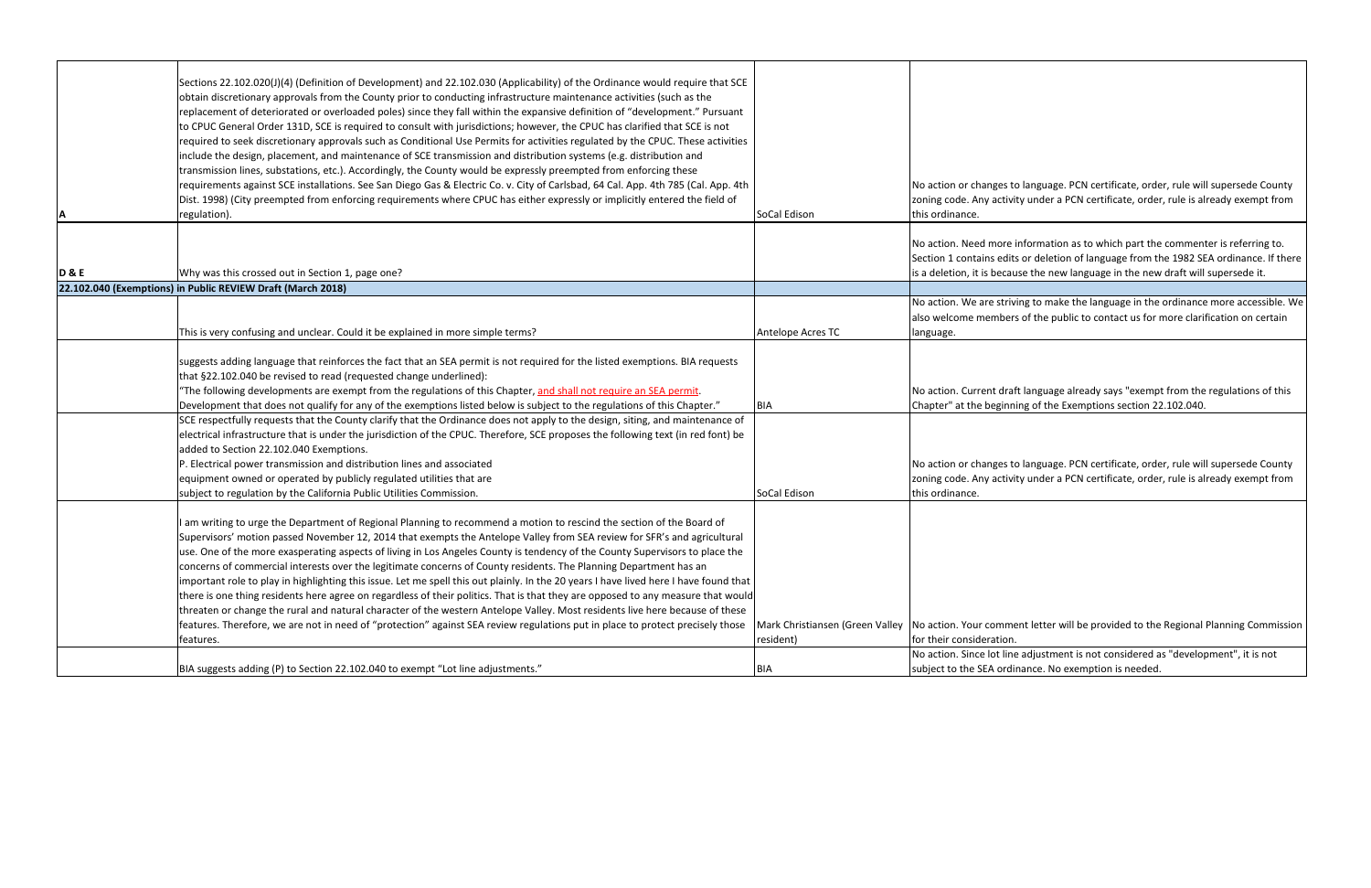| ΙA             | Sections 22.102.020(J)(4) (Definition of Development) and 22.102.030 (Applicability) of the Ordinance would require that SCE<br>obtain discretionary approvals from the County prior to conducting infrastructure maintenance activities (such as the<br>replacement of deteriorated or overloaded poles) since they fall within the expansive definition of "development." Pursuant<br>to CPUC General Order 131D, SCE is required to consult with jurisdictions; however, the CPUC has clarified that SCE is not<br>required to seek discretionary approvals such as Conditional Use Permits for activities regulated by the CPUC. These activities<br>include the design, placement, and maintenance of SCE transmission and distribution systems (e.g. distribution and<br>transmission lines, substations, etc.). Accordingly, the County would be expressly preempted from enforcing these<br>requirements against SCE installations. See San Diego Gas & Electric Co. v. City of Carlsbad, 64 Cal. App. 4th 785 (Cal. App. 4th<br>Dist. 1998) (City preempted from enforcing requirements where CPUC has either expressly or implicitly entered the field of<br>regulation). | SoCal Edison                                                         | No action or changes to<br>zoning code. Any activit<br>this ordinance.             |
|----------------|-------------------------------------------------------------------------------------------------------------------------------------------------------------------------------------------------------------------------------------------------------------------------------------------------------------------------------------------------------------------------------------------------------------------------------------------------------------------------------------------------------------------------------------------------------------------------------------------------------------------------------------------------------------------------------------------------------------------------------------------------------------------------------------------------------------------------------------------------------------------------------------------------------------------------------------------------------------------------------------------------------------------------------------------------------------------------------------------------------------------------------------------------------------------------------------|----------------------------------------------------------------------|------------------------------------------------------------------------------------|
| <b>D&amp;E</b> | Why was this crossed out in Section 1, page one?                                                                                                                                                                                                                                                                                                                                                                                                                                                                                                                                                                                                                                                                                                                                                                                                                                                                                                                                                                                                                                                                                                                                    |                                                                      | No action. Need more in<br>Section 1 contains edits<br>is a deletion, it is becaus |
|                | 22.102.040 (Exemptions) in Public REVIEW Draft (March 2018)                                                                                                                                                                                                                                                                                                                                                                                                                                                                                                                                                                                                                                                                                                                                                                                                                                                                                                                                                                                                                                                                                                                         |                                                                      |                                                                                    |
|                | This is very confusing and unclear. Could it be explained in more simple terms?                                                                                                                                                                                                                                                                                                                                                                                                                                                                                                                                                                                                                                                                                                                                                                                                                                                                                                                                                                                                                                                                                                     | Antelope Acres TC                                                    | No action. We are strivi<br>also welcome members<br>language.                      |
|                | suggests adding language that reinforces the fact that an SEA permit is not required for the listed exemptions. BIA requests<br>that §22.102.040 be revised to read (requested change underlined):<br>"The following developments are exempt from the regulations of this Chapter, and shall not require an SEA permit.<br>Development that does not qualify for any of the exemptions listed below is subject to the regulations of this Chapter."                                                                                                                                                                                                                                                                                                                                                                                                                                                                                                                                                                                                                                                                                                                                 | <b>BIA</b>                                                           | No action. Current draft<br>Chapter" at the beginni                                |
|                | SCE respectfully requests that the County clarify that the Ordinance does not apply to the design, siting, and maintenance of<br>electrical infrastructure that is under the jurisdiction of the CPUC. Therefore, SCE proposes the following text (in red font) be<br>added to Section 22.102.040 Exemptions.<br>P. Electrical power transmission and distribution lines and associated<br>equipment owned or operated by publicly regulated utilities that are<br>subject to regulation by the California Public Utilities Commission.                                                                                                                                                                                                                                                                                                                                                                                                                                                                                                                                                                                                                                             | SoCal Edison                                                         | No action or changes to<br>zoning code. Any activit<br>this ordinance.             |
|                | I am writing to urge the Department of Regional Planning to recommend a motion to rescind the section of the Board of<br>Supervisors' motion passed November 12, 2014 that exempts the Antelope Valley from SEA review for SFR's and agricultural<br>use. One of the more exasperating aspects of living in Los Angeles County is tendency of the County Supervisors to place the<br>concerns of commercial interests over the legitimate concerns of County residents. The Planning Department has an<br>important role to play in highlighting this issue. Let me spell this out plainly. In the 20 years I have lived here I have found that<br>there is one thing residents here agree on regardless of their politics. That is that they are opposed to any measure that would<br>threaten or change the rural and natural character of the western Antelope Valley. Most residents live here because of these<br>features. Therefore, we are not in need of "protection" against SEA review regulations put in place to protect precisely those<br>features.                                                                                                                  | Mark Christiansen (Green Valley   No action. Your comme<br>resident) | for their consideration.                                                           |
|                | BIA suggests adding (P) to Section 22.102.040 to exempt "Lot line adjustments."                                                                                                                                                                                                                                                                                                                                                                                                                                                                                                                                                                                                                                                                                                                                                                                                                                                                                                                                                                                                                                                                                                     | <b>BIA</b>                                                           | No action. Since lot line<br>subject to the SEA ordir                              |

to language. PCN certificate, order, rule will supersede County zivity under a PCN certificate, order, rule is already exempt from

re information as to which part the commenter is referring to. dits or deletion of language from the 1982 SEA ordinance. If there cause the new language in the new draft will supersede it.

riving to make the language in the ordinance more accessible. We lers of the public to contact us for more clarification on certain

raft language already says "exempt from the regulations of this nning of the Exemptions section 22.102.040.

to language. PCN certificate, order, rule will supersede County zonity under a PCN certificate, order, rule is already exempt from

ment letter will be provided to the Regional Planning Commission

line adjustment is not considered as "development", it is not dinance. No exemption is needed.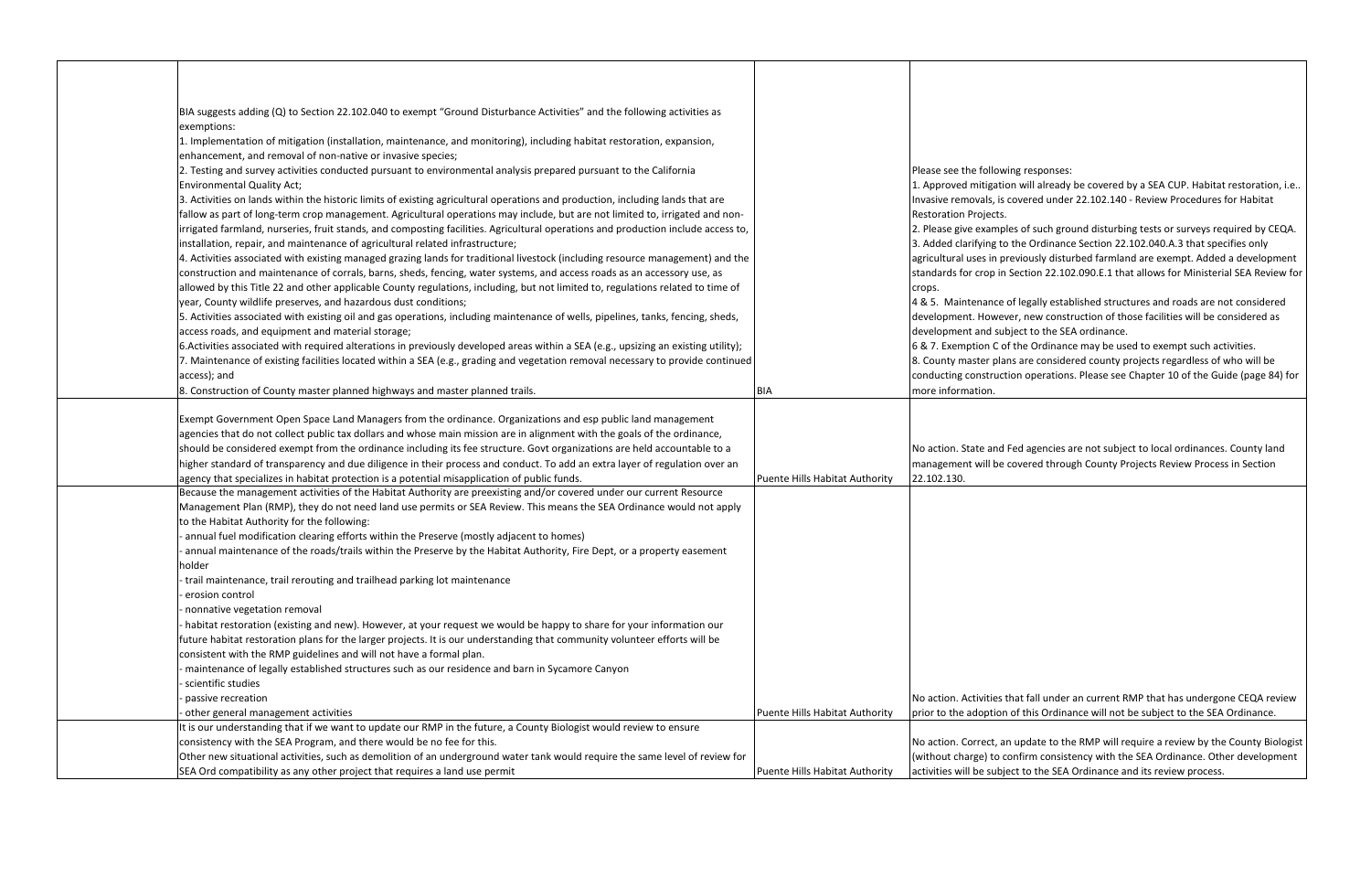| BIA suggests adding (Q) to Section 22.102.040 to exempt "Ground Disturbance Activities" and the following activities as             |                                |                              |
|-------------------------------------------------------------------------------------------------------------------------------------|--------------------------------|------------------------------|
| exemptions:                                                                                                                         |                                |                              |
| 1. Implementation of mitigation (installation, maintenance, and monitoring), including habitat restoration, expansion,              |                                |                              |
| enhancement, and removal of non-native or invasive species;                                                                         |                                |                              |
| 2. Testing and survey activities conducted pursuant to environmental analysis prepared pursuant to the California                   |                                | Please see the follow        |
| <b>Environmental Quality Act;</b>                                                                                                   |                                | 1. Approved mitigatio        |
| 3. Activities on lands within the historic limits of existing agricultural operations and production, including lands that are      |                                | Invasive removals, is        |
| fallow as part of long-term crop management. Agricultural operations may include, but are not limited to, irrigated and non-        |                                | <b>Restoration Projects.</b> |
| irrigated farmland, nurseries, fruit stands, and composting facilities. Agricultural operations and production include access to,   |                                | 2. Please give exampl        |
| installation, repair, and maintenance of agricultural related infrastructure;                                                       |                                | 3. Added clarifying to       |
| 4. Activities associated with existing managed grazing lands for traditional livestock (including resource management) and the      |                                | agricultural uses in pr      |
| construction and maintenance of corrals, barns, sheds, fencing, water systems, and access roads as an accessory use, as             |                                | standards for crop in        |
| allowed by this Title 22 and other applicable County regulations, including, but not limited to, regulations related to time of     |                                | crops.                       |
| year, County wildlife preserves, and hazardous dust conditions;                                                                     |                                | 4 & 5. Maintenance           |
| 5. Activities associated with existing oil and gas operations, including maintenance of wells, pipelines, tanks, fencing, sheds,    |                                | development. Howev           |
| access roads, and equipment and material storage;                                                                                   |                                | development and sub          |
| 6. Activities associated with required alterations in previously developed areas within a SEA (e.g., upsizing an existing utility); |                                | 6 & 7. Exemption C of        |
| 7. Maintenance of existing facilities located within a SEA (e.g., grading and vegetation removal necessary to provide continued     |                                | 8. County master plar        |
| access); and                                                                                                                        |                                | conducting construct         |
| 8. Construction of County master planned highways and master planned trails.                                                        | BIA                            | more information.            |
|                                                                                                                                     |                                |                              |
| Exempt Government Open Space Land Managers from the ordinance. Organizations and esp public land management                         |                                |                              |
| agencies that do not collect public tax dollars and whose main mission are in alignment with the goals of the ordinance,            |                                |                              |
| should be considered exempt from the ordinance including its fee structure. Govt organizations are held accountable to a            |                                | No action. State and         |
| higher standard of transparency and due diligence in their process and conduct. To add an extra layer of regulation over an         |                                | management will be           |
| agency that specializes in habitat protection is a potential misapplication of public funds.                                        | Puente Hills Habitat Authority | 22.102.130.                  |
| Because the management activities of the Habitat Authority are preexisting and/or covered under our current Resource                |                                |                              |
| Management Plan (RMP), they do not need land use permits or SEA Review. This means the SEA Ordinance would not apply                |                                |                              |
| to the Habitat Authority for the following:                                                                                         |                                |                              |
| annual fuel modification clearing efforts within the Preserve (mostly adjacent to homes)                                            |                                |                              |
| annual maintenance of the roads/trails within the Preserve by the Habitat Authority, Fire Dept, or a property easement              |                                |                              |
| holder                                                                                                                              |                                |                              |
| trail maintenance, trail rerouting and trailhead parking lot maintenance                                                            |                                |                              |
| erosion control                                                                                                                     |                                |                              |
| nonnative vegetation removal                                                                                                        |                                |                              |
| habitat restoration (existing and new). However, at your request we would be happy to share for your information our                |                                |                              |
| future habitat restoration plans for the larger projects. It is our understanding that community volunteer efforts will be          |                                |                              |
| consistent with the RMP guidelines and will not have a formal plan.                                                                 |                                |                              |
| maintenance of legally established structures such as our residence and barn in Sycamore Canyon                                     |                                |                              |
| scientific studies                                                                                                                  |                                |                              |
| passive recreation                                                                                                                  |                                | No action. Activities t      |
| other general management activities                                                                                                 | Puente Hills Habitat Authority | prior to the adoption        |
| It is our understanding that if we want to update our RMP in the future, a County Biologist would review to ensure                  |                                |                              |
| consistency with the SEA Program, and there would be no fee for this.                                                               |                                | No action. Correct, ar       |
| Other new situational activities, such as demolition of an underground water tank would require the same level of review for        |                                | (without charge) to c        |
| SEA Ord compatibility as any other project that requires a land use permit                                                          | Puente Hills Habitat Authority | activities will be subje     |

ing responses:

on will already be covered by a SEA CUP. Habitat restoration, i.e.. covered under 22.102.140 - Review Procedures for Habitat

les of such ground disturbing tests or surveys required by CEQA. the Ordinance Section 22.102.040.A.3 that specifies only reviously disturbed farmland are exempt. Added a development Section 22.102.090.E.1 that allows for Ministerial SEA Review for

of legally established structures and roads are not considered ver, new construction of those facilities will be considered as bject to the SEA ordinance.

f the Ordinance may be used to exempt such activities. ns are considered county projects regardless of who will be ion operations. Please see Chapter 10 of the Guide (page 84) for

Fed agencies are not subject to local ordinances. County land covered through County Projects Review Process in Section

that fall under an current RMP that has undergone CEQA review of this Ordinance will not be subject to the SEA Ordinance.

In update to the RMP will require a review by the County Biologist confirm consistency with the SEA Ordinance. Other development ect to the SEA Ordinance and its review process.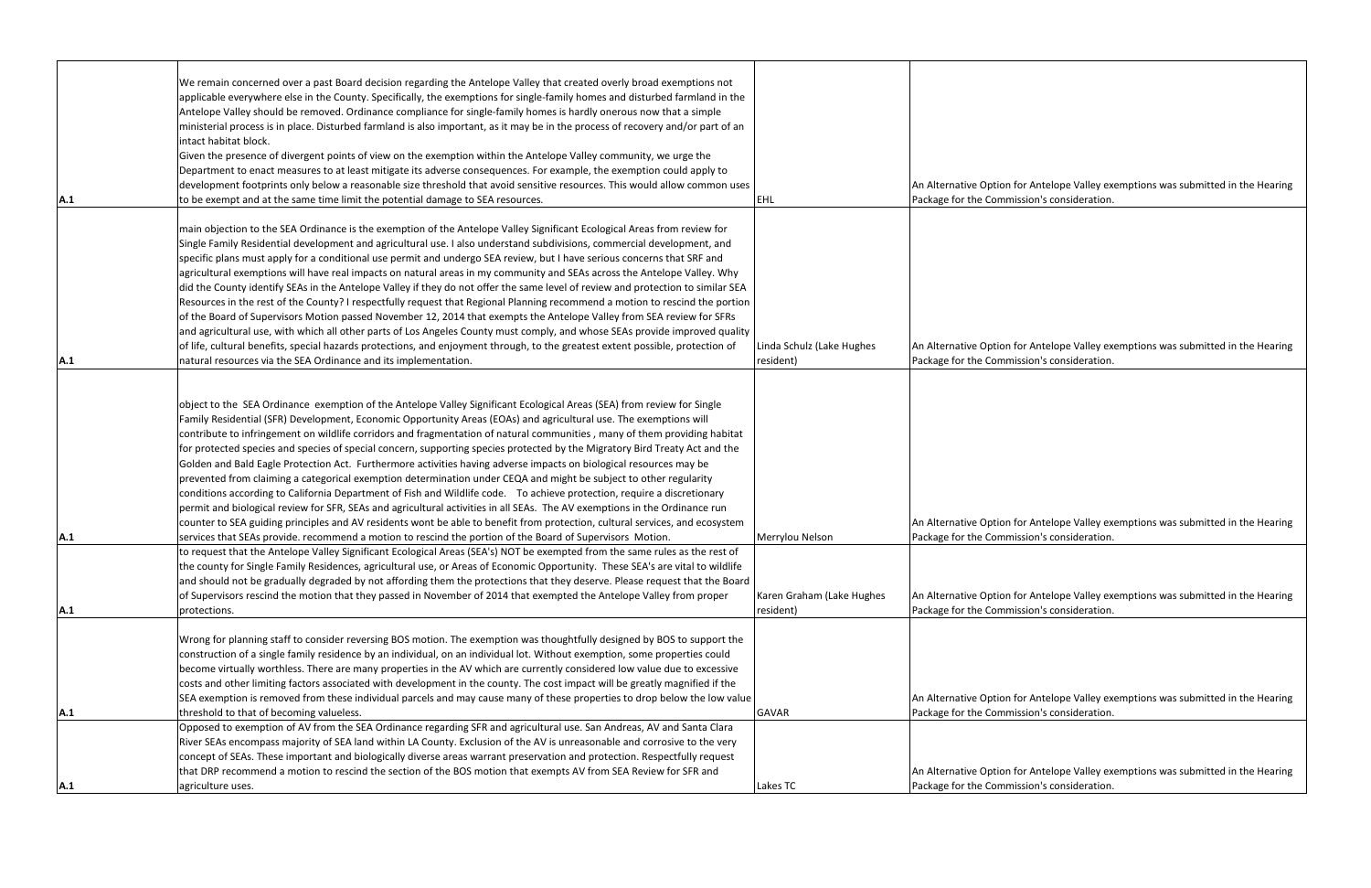|     | We remain concerned over a past Board decision regarding the Antelope Valley that created overly broad exemptions not<br>applicable everywhere else in the County. Specifically, the exemptions for single-family homes and disturbed farmland in the<br>Antelope Valley should be removed. Ordinance compliance for single-family homes is hardly onerous now that a simple<br>ministerial process is in place. Disturbed farmland is also important, as it may be in the process of recovery and/or part of an                                                                                                                                                                                                                                                                                                                                                                                                                                                                                                                                                                                                                                                        |                                              |                                             |
|-----|-------------------------------------------------------------------------------------------------------------------------------------------------------------------------------------------------------------------------------------------------------------------------------------------------------------------------------------------------------------------------------------------------------------------------------------------------------------------------------------------------------------------------------------------------------------------------------------------------------------------------------------------------------------------------------------------------------------------------------------------------------------------------------------------------------------------------------------------------------------------------------------------------------------------------------------------------------------------------------------------------------------------------------------------------------------------------------------------------------------------------------------------------------------------------|----------------------------------------------|---------------------------------------------|
| A.1 | intact habitat block.<br>Given the presence of divergent points of view on the exemption within the Antelope Valley community, we urge the<br>Department to enact measures to at least mitigate its adverse consequences. For example, the exemption could apply to<br>development footprints only below a reasonable size threshold that avoid sensitive resources. This would allow common uses<br>to be exempt and at the same time limit the potential damage to SEA resources.                                                                                                                                                                                                                                                                                                                                                                                                                                                                                                                                                                                                                                                                                     | <b>EHL</b>                                   | An Alternative Optio<br>Package for the Com |
|     | main objection to the SEA Ordinance is the exemption of the Antelope Valley Significant Ecological Areas from review for<br>Single Family Residential development and agricultural use. I also understand subdivisions, commercial development, and<br>specific plans must apply for a conditional use permit and undergo SEA review, but I have serious concerns that SRF and<br>agricultural exemptions will have real impacts on natural areas in my community and SEAs across the Antelope Valley. Why<br>did the County identify SEAs in the Antelope Valley if they do not offer the same level of review and protection to similar SEA<br>Resources in the rest of the County? I respectfully request that Regional Planning recommend a motion to rescind the portion<br>of the Board of Supervisors Motion passed November 12, 2014 that exempts the Antelope Valley from SEA review for SFRs<br>and agricultural use, with which all other parts of Los Angeles County must comply, and whose SEAs provide improved quality<br>of life, cultural benefits, special hazards protections, and enjoyment through, to the greatest extent possible, protection of | Linda Schulz (Lake Hughes                    | An Alternative Optio                        |
| A.1 | natural resources via the SEA Ordinance and its implementation.                                                                                                                                                                                                                                                                                                                                                                                                                                                                                                                                                                                                                                                                                                                                                                                                                                                                                                                                                                                                                                                                                                         | resident)                                    | Package for the Com                         |
|     | object to the SEA Ordinance exemption of the Antelope Valley Significant Ecological Areas (SEA) from review for Single<br>Family Residential (SFR) Development, Economic Opportunity Areas (EOAs) and agricultural use. The exemptions will<br>contribute to infringement on wildlife corridors and fragmentation of natural communities, many of them providing habitat<br>for protected species and species of special concern, supporting species protected by the Migratory Bird Treaty Act and the<br>Golden and Bald Eagle Protection Act. Furthermore activities having adverse impacts on biological resources may be<br>prevented from claiming a categorical exemption determination under CEQA and might be subject to other regularity<br>conditions according to California Department of Fish and Wildlife code. To achieve protection, require a discretionary<br>permit and biological review for SFR, SEAs and agricultural activities in all SEAs. The AV exemptions in the Ordinance run<br>counter to SEA guiding principles and AV residents wont be able to benefit from protection, cultural services, and ecosystem                             |                                              | An Alternative Optio                        |
| A.1 | services that SEAs provide. recommend a motion to rescind the portion of the Board of Supervisors Motion.<br>to request that the Antelope Valley Significant Ecological Areas (SEA's) NOT be exempted from the same rules as the rest of<br>the county for Single Family Residences, agricultural use, or Areas of Economic Opportunity. These SEA's are vital to wildlife<br>and should not be gradually degraded by not affording them the protections that they deserve. Please request that the Board<br>of Supervisors rescind the motion that they passed in November of 2014 that exempted the Antelope Valley from proper                                                                                                                                                                                                                                                                                                                                                                                                                                                                                                                                       | Merrylou Nelson<br>Karen Graham (Lake Hughes | Package for the Com<br>An Alternative Optio |
| A.1 | protections.                                                                                                                                                                                                                                                                                                                                                                                                                                                                                                                                                                                                                                                                                                                                                                                                                                                                                                                                                                                                                                                                                                                                                            | resident)                                    | Package for the Com                         |
|     | Wrong for planning staff to consider reversing BOS motion. The exemption was thoughtfully designed by BOS to support the<br>construction of a single family residence by an individual, on an individual lot. Without exemption, some properties could<br>become virtually worthless. There are many properties in the AV which are currently considered low value due to excessive<br>costs and other limiting factors associated with development in the county. The cost impact will be greatly magnified if the<br>SEA exemption is removed from these individual parcels and may cause many of these properties to drop below the low value                                                                                                                                                                                                                                                                                                                                                                                                                                                                                                                        |                                              | An Alternative Optio                        |
| A.1 | threshold to that of becoming valueless.                                                                                                                                                                                                                                                                                                                                                                                                                                                                                                                                                                                                                                                                                                                                                                                                                                                                                                                                                                                                                                                                                                                                | <b>GAVAR</b>                                 | Package for the Com                         |
|     | Opposed to exemption of AV from the SEA Ordinance regarding SFR and agricultural use. San Andreas, AV and Santa Clara<br>River SEAs encompass majority of SEA land within LA County. Exclusion of the AV is unreasonable and corrosive to the very<br>concept of SEAs. These important and biologically diverse areas warrant preservation and protection. Respectfully request<br>that DRP recommend a motion to rescind the section of the BOS motion that exempts AV from SEA Review for SFR and                                                                                                                                                                                                                                                                                                                                                                                                                                                                                                                                                                                                                                                                     |                                              | An Alternative Optio                        |
| A.1 | agriculture uses.                                                                                                                                                                                                                                                                                                                                                                                                                                                                                                                                                                                                                                                                                                                                                                                                                                                                                                                                                                                                                                                                                                                                                       | Lakes TC                                     | Package for the Com                         |

on for Antelope Valley exemptions was submitted in the Hearing mission's consideration.

on for Antelope Valley exemptions was submitted in the Hearing mission's consideration.

on for Antelope Valley exemptions was submitted in the Hearing mission's consideration.

on for Antelope Valley exemptions was submitted in the Hearing mission's consideration.

on for Antelope Valley exemptions was submitted in the Hearing mission's consideration.

on for Antelope Valley exemptions was submitted in the Hearing mission's consideration.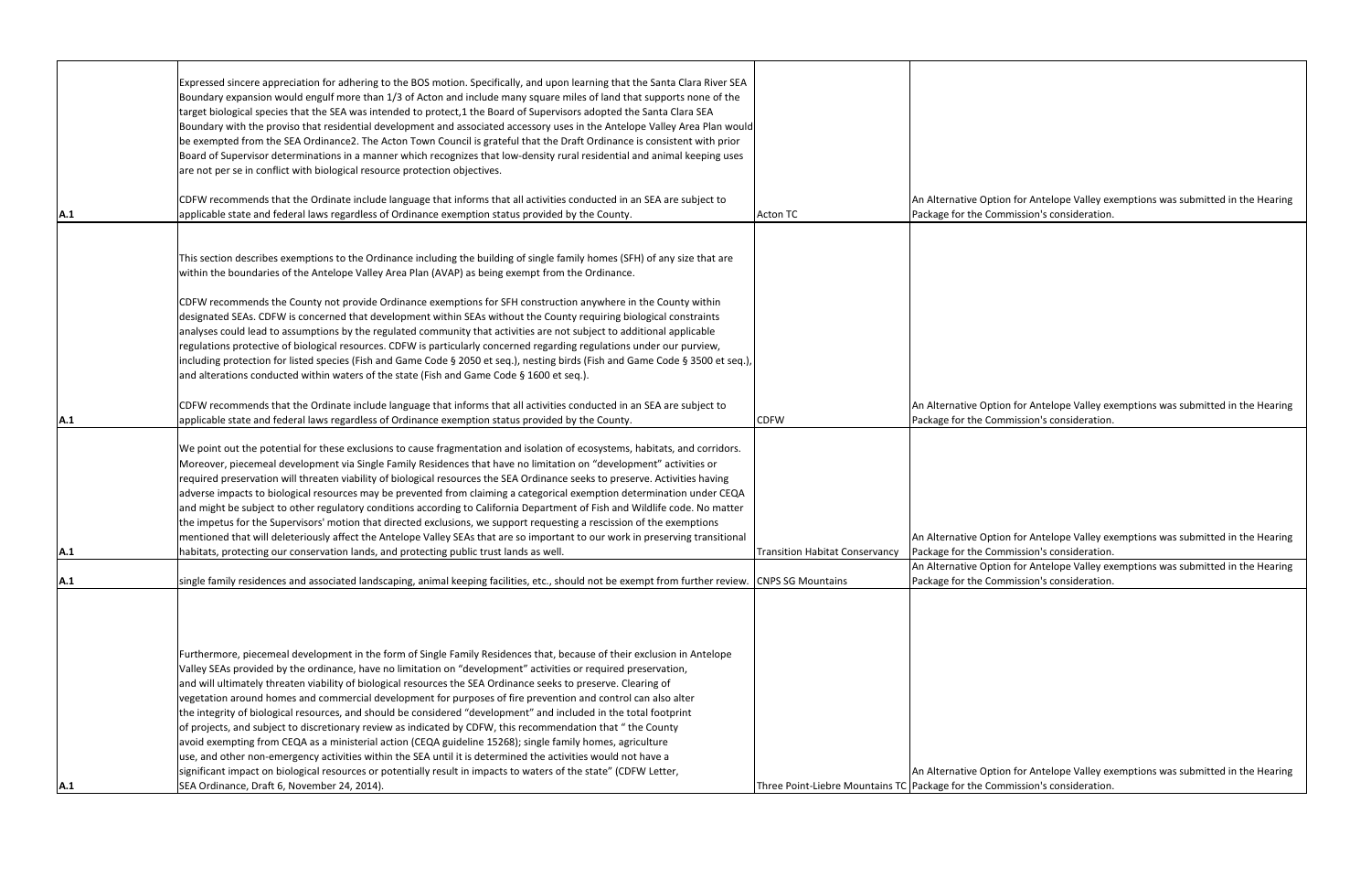|            | Expressed sincere appreciation for adhering to the BOS motion. Specifically, and upon learning that the Santa Clara River SEA<br>Boundary expansion would engulf more than 1/3 of Acton and include many square miles of land that supports none of the<br>target biological species that the SEA was intended to protect,1 the Board of Supervisors adopted the Santa Clara SEA<br>Boundary with the proviso that residential development and associated accessory uses in the Antelope Valley Area Plan would<br>be exempted from the SEA Ordinance2. The Acton Town Council is grateful that the Draft Ordinance is consistent with prior<br>Board of Supervisor determinations in a manner which recognizes that low-density rural residential and animal keeping uses<br>are not per se in conflict with biological resource protection objectives.                                                                                                                                                                                                                                                               |                                                     |                                             |
|------------|------------------------------------------------------------------------------------------------------------------------------------------------------------------------------------------------------------------------------------------------------------------------------------------------------------------------------------------------------------------------------------------------------------------------------------------------------------------------------------------------------------------------------------------------------------------------------------------------------------------------------------------------------------------------------------------------------------------------------------------------------------------------------------------------------------------------------------------------------------------------------------------------------------------------------------------------------------------------------------------------------------------------------------------------------------------------------------------------------------------------|-----------------------------------------------------|---------------------------------------------|
| <b>A.1</b> | CDFW recommends that the Ordinate include language that informs that all activities conducted in an SEA are subject to<br>applicable state and federal laws regardless of Ordinance exemption status provided by the County.                                                                                                                                                                                                                                                                                                                                                                                                                                                                                                                                                                                                                                                                                                                                                                                                                                                                                           | <b>Acton TC</b>                                     | An Alternative Optio<br>Package for the Com |
|            | This section describes exemptions to the Ordinance including the building of single family homes (SFH) of any size that are<br>within the boundaries of the Antelope Valley Area Plan (AVAP) as being exempt from the Ordinance.<br>CDFW recommends the County not provide Ordinance exemptions for SFH construction anywhere in the County within<br>designated SEAs. CDFW is concerned that development within SEAs without the County requiring biological constraints<br>analyses could lead to assumptions by the regulated community that activities are not subject to additional applicable<br>regulations protective of biological resources. CDFW is particularly concerned regarding regulations under our purview,<br>including protection for listed species (Fish and Game Code § 2050 et seq.), nesting birds (Fish and Game Code § 3500 et seq.),<br>and alterations conducted within waters of the state (Fish and Game Code § 1600 et seq.).                                                                                                                                                         |                                                     |                                             |
| A.1        | CDFW recommends that the Ordinate include language that informs that all activities conducted in an SEA are subject to<br>applicable state and federal laws regardless of Ordinance exemption status provided by the County.                                                                                                                                                                                                                                                                                                                                                                                                                                                                                                                                                                                                                                                                                                                                                                                                                                                                                           | <b>CDFW</b>                                         | An Alternative Optio<br>Package for the Com |
| A.1        | We point out the potential for these exclusions to cause fragmentation and isolation of ecosystems, habitats, and corridors.<br>Moreover, piecemeal development via Single Family Residences that have no limitation on "development" activities or<br>required preservation will threaten viability of biological resources the SEA Ordinance seeks to preserve. Activities having<br>adverse impacts to biological resources may be prevented from claiming a categorical exemption determination under CEQA<br>and might be subject to other regulatory conditions according to California Department of Fish and Wildlife code. No matter<br>the impetus for the Supervisors' motion that directed exclusions, we support requesting a rescission of the exemptions<br>mentioned that will deleteriously affect the Antelope Valley SEAs that are so important to our work in preserving transitional<br>habitats, protecting our conservation lands, and protecting public trust lands as well.                                                                                                                   | <b>Transition Habitat Conservancy</b>               | An Alternative Optio<br>Package for the Com |
| A.1        | single family residences and associated landscaping, animal keeping facilities, etc., should not be exempt from further review. CNPS SG Mountains                                                                                                                                                                                                                                                                                                                                                                                                                                                                                                                                                                                                                                                                                                                                                                                                                                                                                                                                                                      |                                                     | An Alternative Optio<br>Package for the Com |
| <b>A.1</b> | Furthermore, piecemeal development in the form of Single Family Residences that, because of their exclusion in Antelope<br>Valley SEAs provided by the ordinance, have no limitation on "development" activities or required preservation,<br>and will ultimately threaten viability of biological resources the SEA Ordinance seeks to preserve. Clearing of<br>vegetation around homes and commercial development for purposes of fire prevention and control can also alter<br>the integrity of biological resources, and should be considered "development" and included in the total footprint<br>of projects, and subject to discretionary review as indicated by CDFW, this recommendation that " the County<br>avoid exempting from CEQA as a ministerial action (CEQA guideline 15268); single family homes, agriculture<br>use, and other non-emergency activities within the SEA until it is determined the activities would not have a<br>significant impact on biological resources or potentially result in impacts to waters of the state" (CDFW Letter,<br>SEA Ordinance, Draft 6, November 24, 2014). | Three Point-Liebre Mountains TC Package for the Com | An Alternative Optio                        |

on for Antelope Valley exemptions was submitted in the Hearing nmission's consideration.

ion for Antelope Valley exemptions was submitted in the Hearing nmission's consideration.

on for Antelope Valley exemptions was submitted in the Hearing mission's consideration.

on for Antelope Valley exemptions was submitted in the Hearing mission's consideration.

on for Antelope Valley exemptions was submitted in the Hearing mission's consideration.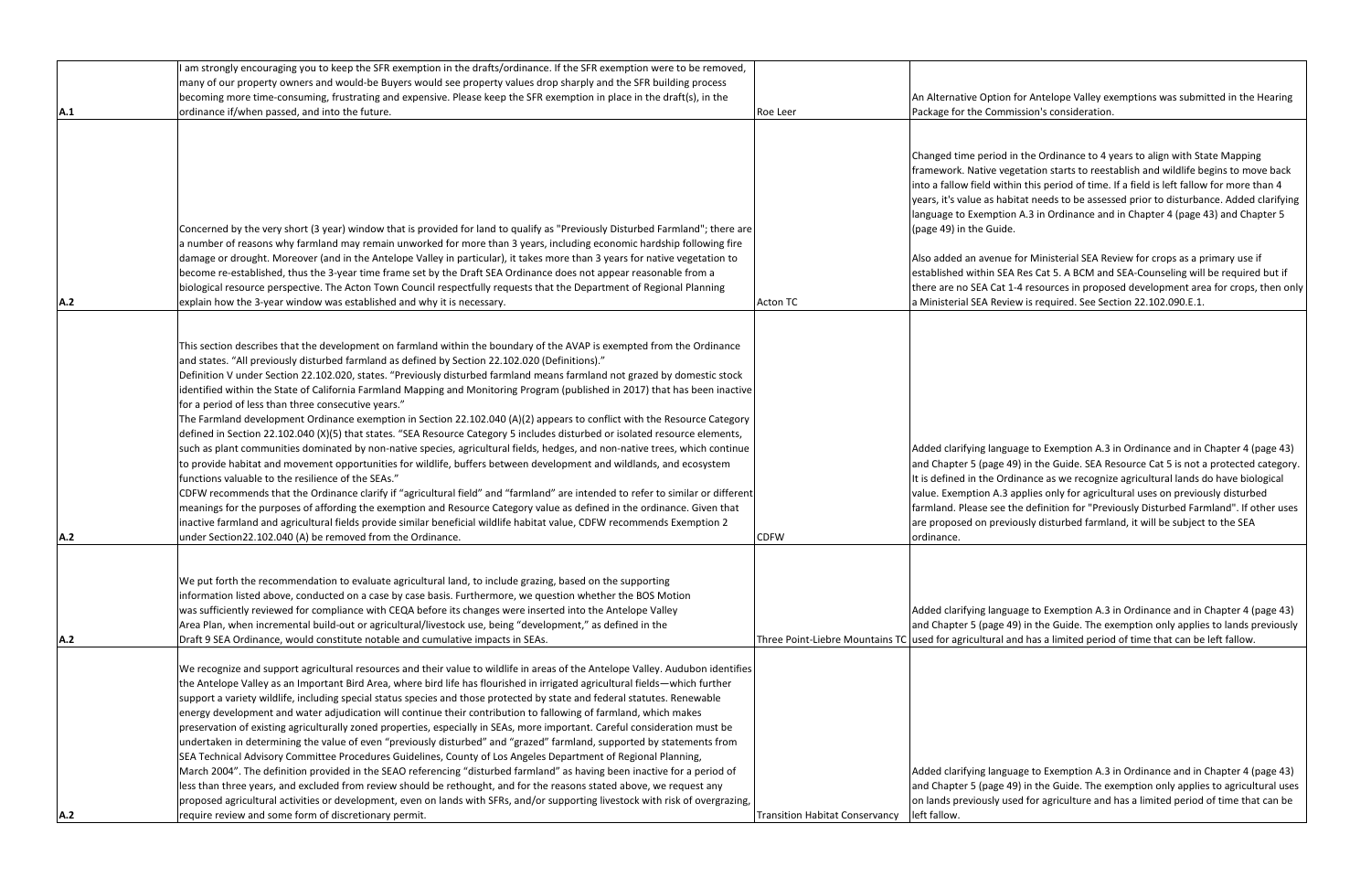|     | I am strongly encouraging you to keep the SFR exemption in the drafts/ordinance. If the SFR exemption were to be removed,       |                                                       |                         |
|-----|---------------------------------------------------------------------------------------------------------------------------------|-------------------------------------------------------|-------------------------|
|     | many of our property owners and would-be Buyers would see property values drop sharply and the SFR building process             |                                                       |                         |
|     | becoming more time-consuming, frustrating and expensive. Please keep the SFR exemption in place in the draft(s), in the         |                                                       | An Alternative Option   |
| A.1 | ordinance if/when passed, and into the future.                                                                                  | Roe Leer                                              | Package for the Com     |
|     |                                                                                                                                 |                                                       |                         |
|     |                                                                                                                                 |                                                       |                         |
|     |                                                                                                                                 |                                                       | Changed time period     |
|     |                                                                                                                                 |                                                       | framework. Native ve    |
|     |                                                                                                                                 |                                                       | into a fallow field wit |
|     |                                                                                                                                 |                                                       | years, it's value as ha |
|     |                                                                                                                                 |                                                       | language to Exemption   |
|     | Concerned by the very short (3 year) window that is provided for land to qualify as "Previously Disturbed Farmland"; there are  |                                                       | (page 49) in the Guid   |
|     | a number of reasons why farmland may remain unworked for more than 3 years, including economic hardship following fire          |                                                       |                         |
|     | damage or drought. Moreover (and in the Antelope Valley in particular), it takes more than 3 years for native vegetation to     |                                                       | Also added an avenu     |
|     | become re-established, thus the 3-year time frame set by the Draft SEA Ordinance does not appear reasonable from a              |                                                       | established within SE   |
|     | biological resource perspective. The Acton Town Council respectfully requests that the Department of Regional Planning          |                                                       | there are no SEA Cat    |
| A.2 | explain how the 3-year window was established and why it is necessary.                                                          | <b>Acton TC</b>                                       | a Ministerial SEA Rev   |
|     |                                                                                                                                 |                                                       |                         |
|     |                                                                                                                                 |                                                       |                         |
|     | This section describes that the development on farmland within the boundary of the AVAP is exempted from the Ordinance          |                                                       |                         |
|     | and states. "All previously disturbed farmland as defined by Section 22.102.020 (Definitions)."                                 |                                                       |                         |
|     | Definition V under Section 22.102.020, states. "Previously disturbed farmland means farmland not grazed by domestic stock       |                                                       |                         |
|     | identified within the State of California Farmland Mapping and Monitoring Program (published in 2017) that has been inactive    |                                                       |                         |
|     | for a period of less than three consecutive years."                                                                             |                                                       |                         |
|     | The Farmland development Ordinance exemption in Section 22.102.040 (A)(2) appears to conflict with the Resource Category        |                                                       |                         |
|     | defined in Section 22.102.040 (X)(5) that states. "SEA Resource Category 5 includes disturbed or isolated resource elements,    |                                                       |                         |
|     | such as plant communities dominated by non-native species, agricultural fields, hedges, and non-native trees, which continue    |                                                       | Added clarifying lang   |
|     | to provide habitat and movement opportunities for wildlife, buffers between development and wildlands, and ecosystem            |                                                       | and Chapter 5 (page     |
|     | functions valuable to the resilience of the SEAs."                                                                              |                                                       | It is defined in the Or |
|     | CDFW recommends that the Ordinance clarify if "agricultural field" and "farmland" are intended to refer to similar or different |                                                       | value. Exemption A.3    |
|     | meanings for the purposes of affording the exemption and Resource Category value as defined in the ordinance. Given that        |                                                       | farmland. Please see    |
|     | inactive farmland and agricultural fields provide similar beneficial wildlife habitat value, CDFW recommends Exemption 2        |                                                       | are proposed on prev    |
| A.2 | under Section22.102.040 (A) be removed from the Ordinance.                                                                      | <b>CDFW</b>                                           | ordinance.              |
|     |                                                                                                                                 |                                                       |                         |
|     |                                                                                                                                 |                                                       |                         |
|     | We put forth the recommendation to evaluate agricultural land, to include grazing, based on the supporting                      |                                                       |                         |
|     | information listed above, conducted on a case by case basis. Furthermore, we question whether the BOS Motion                    |                                                       |                         |
|     |                                                                                                                                 |                                                       |                         |
|     | was sufficiently reviewed for compliance with CEQA before its changes were inserted into the Antelope Valley                    |                                                       | Added clarifying lang   |
|     | Area Plan, when incremental build-out or agricultural/livestock use, being "development," as defined in the                     | Three Point-Liebre Mountains TC used for agricultural | and Chapter 5 (page     |
| A.2 | Draft 9 SEA Ordinance, would constitute notable and cumulative impacts in SEAs.                                                 |                                                       |                         |
|     | We recognize and support agricultural resources and their value to wildlife in areas of the Antelope Valley. Audubon identifies |                                                       |                         |
|     | the Antelope Valley as an Important Bird Area, where bird life has flourished in irrigated agricultural fields—which further    |                                                       |                         |
|     |                                                                                                                                 |                                                       |                         |
|     | support a variety wildlife, including special status species and those protected by state and federal statutes. Renewable       |                                                       |                         |
|     | energy development and water adjudication will continue their contribution to fallowing of farmland, which makes                |                                                       |                         |
|     | preservation of existing agriculturally zoned properties, especially in SEAs, more important. Careful consideration must be     |                                                       |                         |
|     | undertaken in determining the value of even "previously disturbed" and "grazed" farmland, supported by statements from          |                                                       |                         |
|     | SEA Technical Advisory Committee Procedures Guidelines, County of Los Angeles Department of Regional Planning,                  |                                                       |                         |
|     | March 2004". The definition provided in the SEAO referencing "disturbed farmland" as having been inactive for a period of       |                                                       | Added clarifying lang   |
|     | less than three years, and excluded from review should be rethought, and for the reasons stated above, we request any           |                                                       | and Chapter 5 (page     |
|     | proposed agricultural activities or development, even on lands with SFRs, and/or supporting livestock with risk of overgrazing, |                                                       | on lands previously u   |
| A.2 | require review and some form of discretionary permit.                                                                           | <b>Transition Habitat Conservancy</b>                 | left fallow.            |

## In for Antelope Valley exemptions was submitted in the Hearing mission's consideration.

in the Ordinance to 4 years to align with State Mapping egetation starts to reestablish and wildlife begins to move back thin this period of time. If a field is left fallow for more than 4 abitat needs to be assessed prior to disturbance. Added clarifying ion A.3 in Ordinance and in Chapter 4 (page 43) and Chapter 5 de.

Le for Ministerial SEA Review for crops as a primary use if EA Res Cat 5. A BCM and SEA-Counseling will be required but if t 1-4 resources in proposed development area for crops, then only view is required. See Section 22.102.090.E.1.

guage to Exemption A.3 in Ordinance and in Chapter 4 (page 43)  $a_1$  49) in the Guide. SEA Resource Cat 5 is not a protected category. rdinance as we recognize agricultural lands do have biological applies only for agricultural uses on previously disturbed the definition for "Previously Disturbed Farmland". If other uses viously disturbed farmland, it will be subject to the SEA

guage to Exemption A.3 in Ordinance and in Chapter 4 (page 43)  $49$ ) in the Guide. The exemption only applies to lands previously and has a limited period of time that can be left fallow.

guage to Exemption A.3 in Ordinance and in Chapter 4 (page 43)  $a$  49) in the Guide. The exemption only applies to agricultural uses used for agriculture and has a limited period of time that can be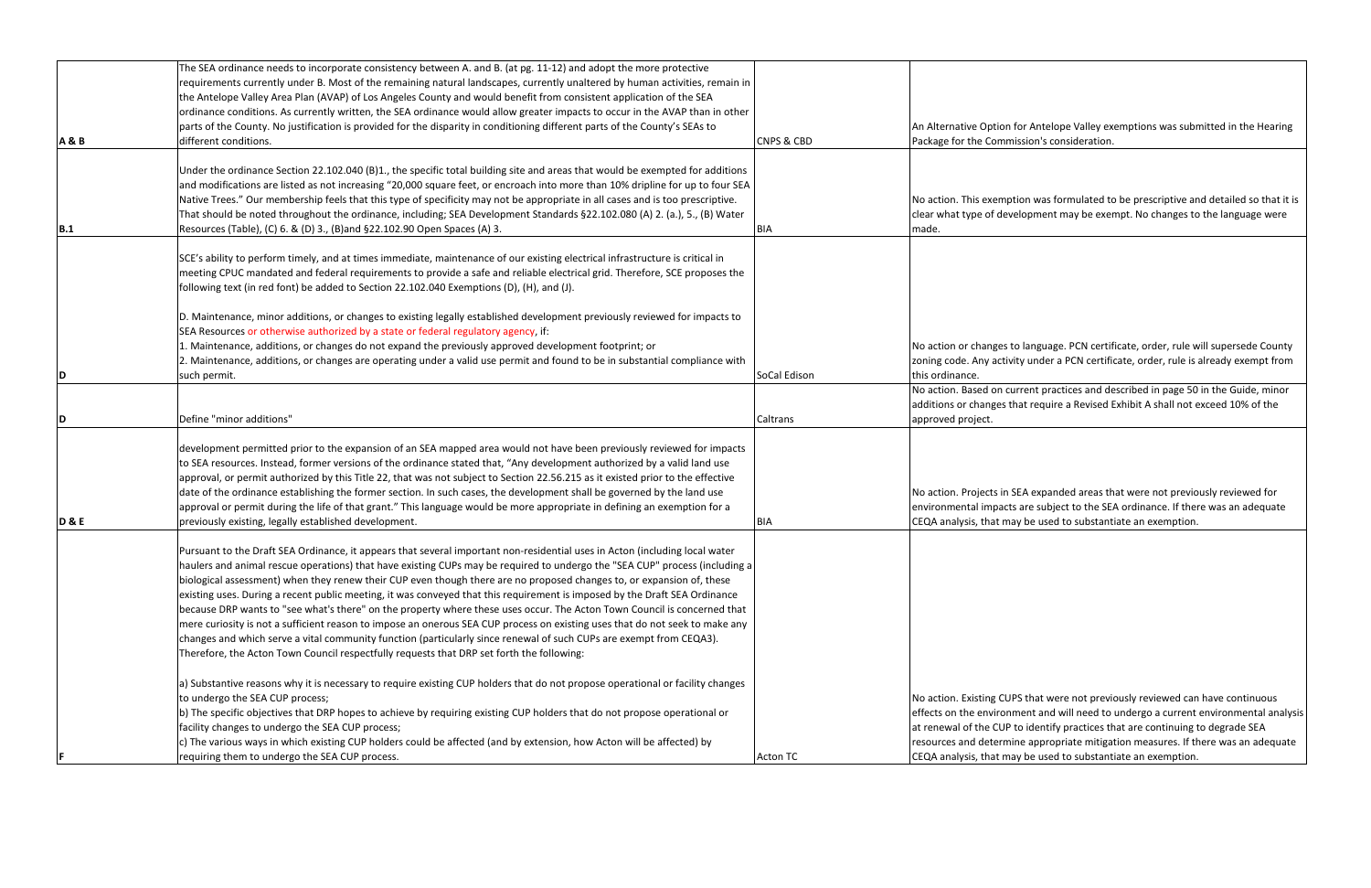| <b>A&amp;B</b> | The SEA ordinance needs to incorporate consistency between A. and B. (at pg. 11-12) and adopt the more protective<br>requirements currently under B. Most of the remaining natural landscapes, currently unaltered by human activities, remain in<br>the Antelope Valley Area Plan (AVAP) of Los Angeles County and would benefit from consistent application of the SEA<br>ordinance conditions. As currently written, the SEA ordinance would allow greater impacts to occur in the AVAP than in other<br>parts of the County. No justification is provided for the disparity in conditioning different parts of the County's SEAs to<br>different conditions.                                                                                                                                                                                                                                                                                                                                  | <b>CNPS &amp; CBD</b> | An Alternative Optior<br>Package for the Com                                                                             |
|----------------|---------------------------------------------------------------------------------------------------------------------------------------------------------------------------------------------------------------------------------------------------------------------------------------------------------------------------------------------------------------------------------------------------------------------------------------------------------------------------------------------------------------------------------------------------------------------------------------------------------------------------------------------------------------------------------------------------------------------------------------------------------------------------------------------------------------------------------------------------------------------------------------------------------------------------------------------------------------------------------------------------|-----------------------|--------------------------------------------------------------------------------------------------------------------------|
| B.1            | Under the ordinance Section 22.102.040 (B)1., the specific total building site and areas that would be exempted for additions<br>and modifications are listed as not increasing "20,000 square feet, or encroach into more than 10% dripline for up to four SEA<br>Native Trees." Our membership feels that this type of specificity may not be appropriate in all cases and is too prescriptive.<br>That should be noted throughout the ordinance, including; SEA Development Standards §22.102.080 (A) 2. (a.), 5., (B) Water<br>Resources (Table), (C) 6. & (D) 3., (B) and §22.102.90 Open Spaces (A) 3.                                                                                                                                                                                                                                                                                                                                                                                      | BIA                   | No action. This exem<br>clear what type of de<br>made.                                                                   |
|                | SCE's ability to perform timely, and at times immediate, maintenance of our existing electrical infrastructure is critical in<br>meeting CPUC mandated and federal requirements to provide a safe and reliable electrical grid. Therefore, SCE proposes the<br>following text (in red font) be added to Section 22.102.040 Exemptions (D), (H), and (J).                                                                                                                                                                                                                                                                                                                                                                                                                                                                                                                                                                                                                                          |                       |                                                                                                                          |
| ID             | D. Maintenance, minor additions, or changes to existing legally established development previously reviewed for impacts to<br>SEA Resources or otherwise authorized by a state or federal regulatory agency, if:<br>1. Maintenance, additions, or changes do not expand the previously approved development footprint; or<br>2. Maintenance, additions, or changes are operating under a valid use permit and found to be in substantial compliance with<br>such permit.                                                                                                                                                                                                                                                                                                                                                                                                                                                                                                                          | SoCal Edison          | No action or changes<br>zoning code. Any act<br>this ordinance.                                                          |
|                |                                                                                                                                                                                                                                                                                                                                                                                                                                                                                                                                                                                                                                                                                                                                                                                                                                                                                                                                                                                                   |                       | No action. Based on<br>additions or changes                                                                              |
| ID             | Define "minor additions"                                                                                                                                                                                                                                                                                                                                                                                                                                                                                                                                                                                                                                                                                                                                                                                                                                                                                                                                                                          | Caltrans              | approved project.                                                                                                        |
| <b>D&amp;E</b> | development permitted prior to the expansion of an SEA mapped area would not have been previously reviewed for impacts<br>to SEA resources. Instead, former versions of the ordinance stated that, "Any development authorized by a valid land use<br>approval, or permit authorized by this Title 22, that was not subject to Section 22.56.215 as it existed prior to the effective<br>date of the ordinance establishing the former section. In such cases, the development shall be governed by the land use<br>approval or permit during the life of that grant." This language would be more appropriate in defining an exemption for a<br>previously existing, legally established development.                                                                                                                                                                                                                                                                                            | <b>BIA</b>            | No action. Projects in<br>environmental impad<br>CEQA analysis, that n                                                   |
|                | Pursuant to the Draft SEA Ordinance, it appears that several important non-residential uses in Acton (including local water<br>haulers and animal rescue operations) that have existing CUPs may be required to undergo the "SEA CUP" process (including a<br>biological assessment) when they renew their CUP even though there are no proposed changes to, or expansion of, these<br>existing uses. During a recent public meeting, it was conveyed that this requirement is imposed by the Draft SEA Ordinance<br>because DRP wants to "see what's there" on the property where these uses occur. The Acton Town Council is concerned that<br>mere curiosity is not a sufficient reason to impose an onerous SEA CUP process on existing uses that do not seek to make any<br>changes and which serve a vital community function (particularly since renewal of such CUPs are exempt from CEQA3).<br>Therefore, the Acton Town Council respectfully requests that DRP set forth the following: |                       |                                                                                                                          |
|                | a) Substantive reasons why it is necessary to require existing CUP holders that do not propose operational or facility changes<br>to undergo the SEA CUP process;<br>b) The specific objectives that DRP hopes to achieve by requiring existing CUP holders that do not propose operational or<br>facility changes to undergo the SEA CUP process;<br>c) The various ways in which existing CUP holders could be affected (and by extension, how Acton will be affected) by<br>requiring them to undergo the SEA CUP process.                                                                                                                                                                                                                                                                                                                                                                                                                                                                     | <b>Acton TC</b>       | No action. Existing Cl<br>effects on the enviro<br>at renewal of the CU<br>resources and deterr<br>CEQA analysis, that n |

In for Antelope Valley exemptions was submitted in the Hearing mission's consideration.

nption was formulated to be prescriptive and detailed so that it is evelopment may be exempt. No changes to the language were

to language. PCN certificate, order, rule will supersede County tivity under a PCN certificate, order, rule is already exempt from

current practices and described in page 50 in the Guide, minor s that require a Revised Exhibit A shall not exceed 10% of the

n SEA expanded areas that were not previously reviewed for cts are subject to the SEA ordinance. If there was an adequate may be used to substantiate an exemption.

UPS that were not previously reviewed can have continuous onment and will need to undergo a current environmental analysis IP to identify practices that are continuing to degrade SEA mine appropriate mitigation measures. If there was an adequate may be used to substantiate an exemption.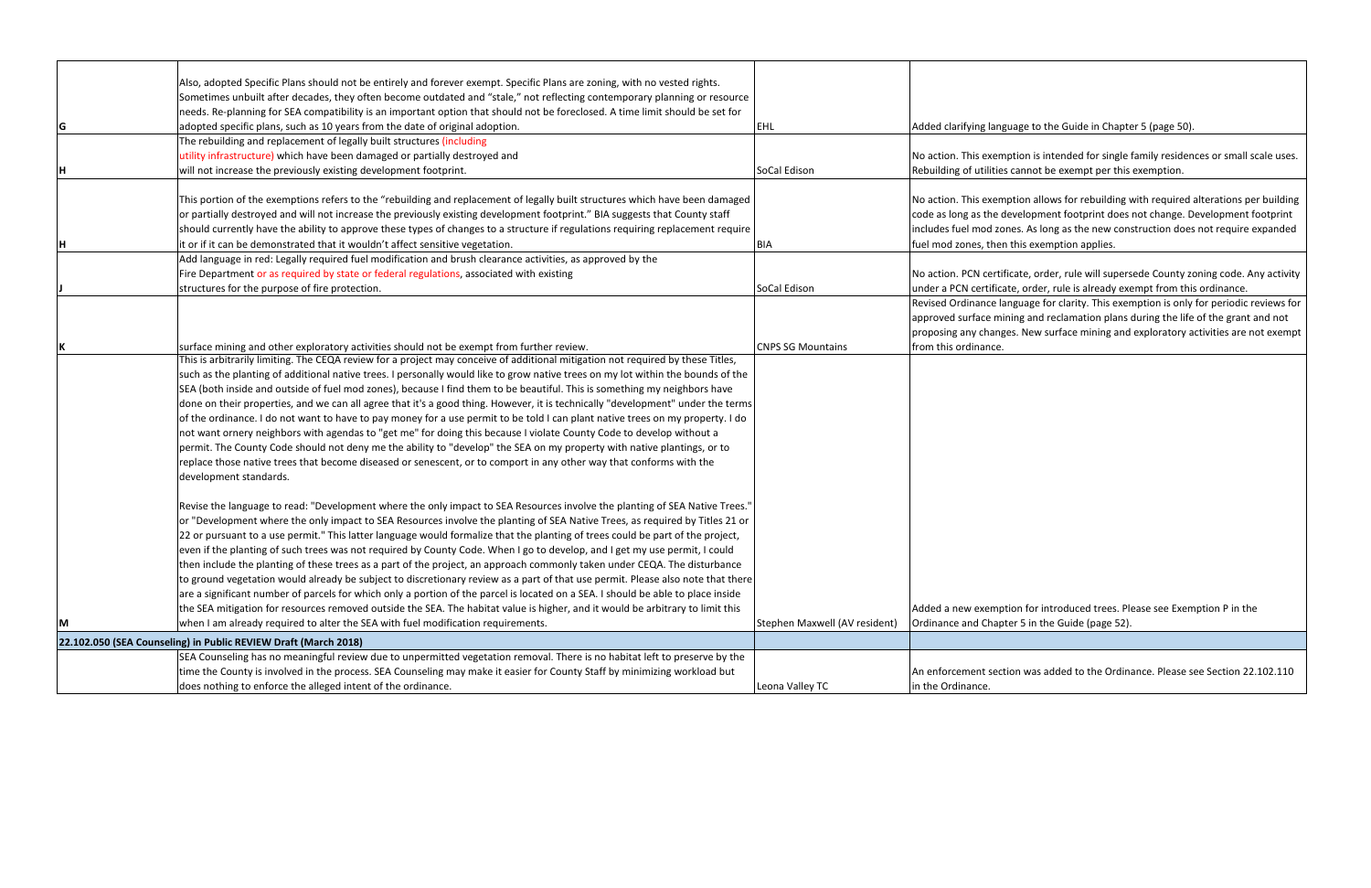|    | Also, adopted Specific Plans should not be entirely and forever exempt. Specific Plans are zoning, with no vested rights.        |                               |                            |
|----|----------------------------------------------------------------------------------------------------------------------------------|-------------------------------|----------------------------|
|    | Sometimes unbuilt after decades, they often become outdated and "stale," not reflecting contemporary planning or resource        |                               |                            |
|    | needs. Re-planning for SEA compatibility is an important option that should not be foreclosed. A time limit should be set for    |                               |                            |
| G  | adopted specific plans, such as 10 years from the date of original adoption.                                                     | EHL                           | Added clarifying lang      |
|    | The rebuilding and replacement of legally built structures (including                                                            |                               |                            |
|    | utility infrastructure) which have been damaged or partially destroyed and                                                       |                               | No action. This exem       |
| Η  | will not increase the previously existing development footprint.                                                                 | SoCal Edison                  | Rebuilding of utilities    |
|    |                                                                                                                                  |                               |                            |
|    | This portion of the exemptions refers to the "rebuilding and replacement of legally built structures which have been damaged     |                               | No action. This exem       |
|    | or partially destroyed and will not increase the previously existing development footprint." BIA suggests that County staff      |                               | code as long as the d      |
|    | should currently have the ability to approve these types of changes to a structure if regulations requiring replacement require  |                               | includes fuel mod zor      |
| Iн | it or if it can be demonstrated that it wouldn't affect sensitive vegetation.                                                    | <b>BIA</b>                    | fuel mod zones, then       |
|    | Add language in red: Legally required fuel modification and brush clearance activities, as approved by the                       |                               |                            |
|    | Fire Department or as required by state or federal regulations, associated with existing                                         |                               | No action. PCN certif      |
|    | structures for the purpose of fire protection.                                                                                   | SoCal Edison                  | under a PCN certifica      |
|    |                                                                                                                                  |                               | Revised Ordinance la       |
|    |                                                                                                                                  |                               | approved surface mir       |
|    |                                                                                                                                  |                               | proposing any change       |
|    | surface mining and other exploratory activities should not be exempt from further review.                                        | <b>CNPS SG Mountains</b>      | from this ordinance.       |
|    | This is arbitrarily limiting. The CEQA review for a project may conceive of additional mitigation not required by these Titles,  |                               |                            |
|    | such as the planting of additional native trees. I personally would like to grow native trees on my lot within the bounds of the |                               |                            |
|    | SEA (both inside and outside of fuel mod zones), because I find them to be beautiful. This is something my neighbors have        |                               |                            |
|    | done on their properties, and we can all agree that it's a good thing. However, it is technically "development" under the terms  |                               |                            |
|    | of the ordinance. I do not want to have to pay money for a use permit to be told I can plant native trees on my property. I do   |                               |                            |
|    | not want ornery neighbors with agendas to "get me" for doing this because I violate County Code to develop without a             |                               |                            |
|    | permit. The County Code should not deny me the ability to "develop" the SEA on my property with native plantings, or to          |                               |                            |
|    | replace those native trees that become diseased or senescent, or to comport in any other way that conforms with the              |                               |                            |
|    | development standards.                                                                                                           |                               |                            |
|    |                                                                                                                                  |                               |                            |
|    | Revise the language to read: "Development where the only impact to SEA Resources involve the planting of SEA Native Trees."      |                               |                            |
|    | or "Development where the only impact to SEA Resources involve the planting of SEA Native Trees, as required by Titles 21 or     |                               |                            |
|    | 22 or pursuant to a use permit." This latter language would formalize that the planting of trees could be part of the project,   |                               |                            |
|    | even if the planting of such trees was not required by County Code. When I go to develop, and I get my use permit, I could       |                               |                            |
|    | then include the planting of these trees as a part of the project, an approach commonly taken under CEQA. The disturbance        |                               |                            |
|    | to ground vegetation would already be subject to discretionary review as a part of that use permit. Please also note that there  |                               |                            |
|    | are a significant number of parcels for which only a portion of the parcel is located on a SEA. I should be able to place inside |                               |                            |
|    | the SEA mitigation for resources removed outside the SEA. The habitat value is higher, and it would be arbitrary to limit this   |                               | Added a new exempt         |
| М  | when I am already required to alter the SEA with fuel modification requirements.                                                 | Stephen Maxwell (AV resident) | <b>Ordinance and Chapt</b> |
|    | 22.102.050 (SEA Counseling) in Public REVIEW Draft (March 2018)                                                                  |                               |                            |
|    | SEA Counseling has no meaningful review due to unpermitted vegetation removal. There is no habitat left to preserve by the       |                               |                            |
|    | time the County is involved in the process. SEA Counseling may make it easier for County Staff by minimizing workload but        |                               | An enforcement sect        |
|    | does nothing to enforce the alleged intent of the ordinance.                                                                     | Leona Valley TC               | in the Ordinance.          |
|    |                                                                                                                                  |                               |                            |

guage to the Guide in Chapter 5 (page 50).

nption is intended for single family residences or small scale uses. cannot be exempt per this exemption.

nption allows for rebuilding with required alterations per building development footprint does not change. Development footprint ines. As long as the new construction does not require expanded i this exemption applies.

ficate, order, rule will supersede County zoning code. Any activity ate, order, rule is already exempt from this ordinance.

anguage for clarity. This exemption is only for periodic reviews for ining and reclamation plans during the life of the grant and not ges. New surface mining and exploratory activities are not exempt

tion for introduced trees. Please see Exemption P in the ter 5 in the Guide (page 52).

tion was added to the Ordinance. Please see Section 22.102.110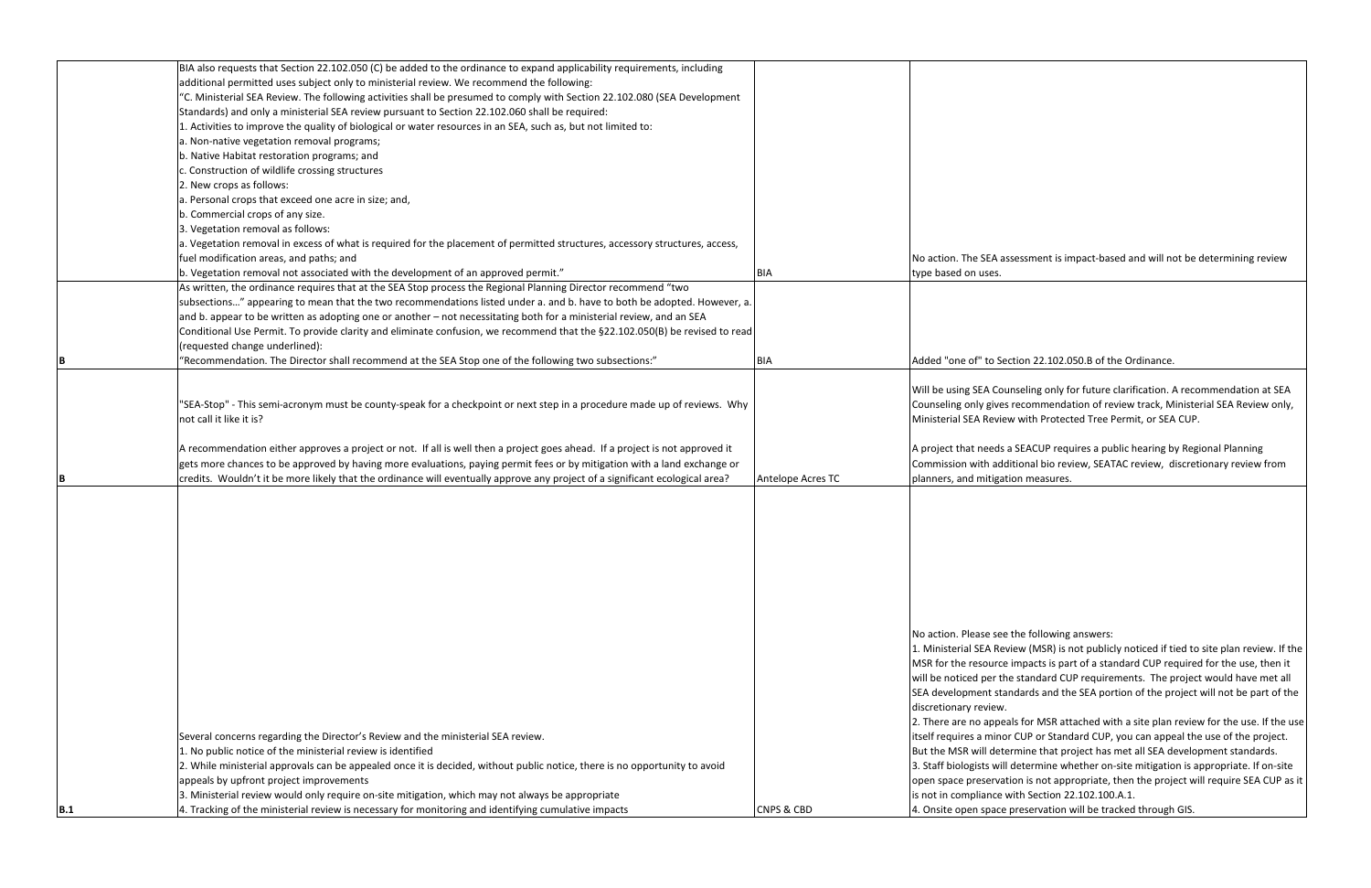|            | BIA also requests that Section 22.102.050 (C) be added to the ordinance to expand applicability requirements, including      |                       |                          |
|------------|------------------------------------------------------------------------------------------------------------------------------|-----------------------|--------------------------|
|            | additional permitted uses subject only to ministerial review. We recommend the following:                                    |                       |                          |
|            | "C. Ministerial SEA Review. The following activities shall be presumed to comply with Section 22.102.080 (SEA Development    |                       |                          |
|            | Standards) and only a ministerial SEA review pursuant to Section 22.102.060 shall be required:                               |                       |                          |
|            | 1. Activities to improve the quality of biological or water resources in an SEA, such as, but not limited to:                |                       |                          |
|            | a. Non-native vegetation removal programs;                                                                                   |                       |                          |
|            | b. Native Habitat restoration programs; and                                                                                  |                       |                          |
|            | c. Construction of wildlife crossing structures                                                                              |                       |                          |
|            | 2. New crops as follows:                                                                                                     |                       |                          |
|            | a. Personal crops that exceed one acre in size; and,                                                                         |                       |                          |
|            | b. Commercial crops of any size.                                                                                             |                       |                          |
|            | 3. Vegetation removal as follows:                                                                                            |                       |                          |
|            | a. Vegetation removal in excess of what is required for the placement of permitted structures, accessory structures, access, |                       |                          |
|            | fuel modification areas, and paths; and                                                                                      |                       | No action. The SEA a     |
|            | b. Vegetation removal not associated with the development of an approved permit."                                            | <b>BIA</b>            | type based on uses.      |
|            | As written, the ordinance requires that at the SEA Stop process the Regional Planning Director recommend "two                |                       |                          |
|            | subsections" appearing to mean that the two recommendations listed under a. and b. have to both be adopted. However, a.      |                       |                          |
|            | and b. appear to be written as adopting one or another - not necessitating both for a ministerial review, and an SEA         |                       |                          |
|            | Conditional Use Permit. To provide clarity and eliminate confusion, we recommend that the §22.102.050(B) be revised to read  |                       |                          |
|            |                                                                                                                              |                       |                          |
|            | (requested change underlined):                                                                                               |                       |                          |
| IΒ         | 'Recommendation. The Director shall recommend at the SEA Stop one of the following two subsections:"                         | <b>BIA</b>            | Added "one of" to Se     |
|            |                                                                                                                              |                       |                          |
|            |                                                                                                                              |                       | Will be using SEA Cou    |
|            | "SEA-Stop" - This semi-acronym must be county-speak for a checkpoint or next step in a procedure made up of reviews. Why     |                       | Counseling only gives    |
|            | not call it like it is?                                                                                                      |                       | Ministerial SEA Revie    |
|            |                                                                                                                              |                       |                          |
|            | A recommendation either approves a project or not. If all is well then a project goes ahead. If a project is not approved it |                       | A project that needs     |
|            | gets more chances to be approved by having more evaluations, paying permit fees or by mitigation with a land exchange or     |                       | Commission with add      |
| IΒ         | credits. Wouldn't it be more likely that the ordinance will eventually approve any project of a significant ecological area? | Antelope Acres TC     | planners, and mitigat    |
|            |                                                                                                                              |                       |                          |
|            |                                                                                                                              |                       |                          |
|            |                                                                                                                              |                       |                          |
|            |                                                                                                                              |                       |                          |
|            |                                                                                                                              |                       |                          |
|            |                                                                                                                              |                       |                          |
|            |                                                                                                                              |                       |                          |
|            |                                                                                                                              |                       |                          |
|            |                                                                                                                              |                       |                          |
|            |                                                                                                                              |                       |                          |
|            |                                                                                                                              |                       | No action. Please see    |
|            |                                                                                                                              |                       |                          |
|            |                                                                                                                              |                       | 1. Ministerial SEA Rev   |
|            |                                                                                                                              |                       | MSR for the resource     |
|            |                                                                                                                              |                       | will be noticed per th   |
|            |                                                                                                                              |                       | SEA development sta      |
|            |                                                                                                                              |                       | discretionary review.    |
|            |                                                                                                                              |                       | 2. There are no appe     |
|            | Several concerns regarding the Director's Review and the ministerial SEA review.                                             |                       | itself requires a mino   |
|            | 1. No public notice of the ministerial review is identified                                                                  |                       | But the MSR will det     |
|            | 2. While ministerial approvals can be appealed once it is decided, without public notice, there is no opportunity to avoid   |                       | 3. Staff biologists will |
|            | appeals by upfront project improvements                                                                                      |                       | open space preservat     |
|            | 3. Ministerial review would only require on-site mitigation, which may not always be appropriate                             |                       | is not in compliance     |
|            |                                                                                                                              | <b>CNPS &amp; CBD</b> |                          |
| <b>B.1</b> | 4. Tracking of the ministerial review is necessary for monitoring and identifying cumulative impacts                         |                       | 4. Onsite open space     |

assessment is impact-based and will not be determining review

## ection 22.102.050.B of the Ordinance.

unseling only for future clarification. A recommendation at SEA Is recommendation of review track, Ministerial SEA Review only, ew with Protected Tree Permit, or SEA CUP.

a SEACUP requires a public hearing by Regional Planning ditional bio review, SEATAC review, discretionary review from ition measures.

the following answers:

view (MSR) is not publicly noticed if tied to site plan review. If the e impacts is part of a standard CUP required for the use, then it he standard CUP requirements. The project would have met all andards and the SEA portion of the project will not be part of the

eals for MSR attached with a site plan review for the use. If the use or CUP or Standard CUP, you can appeal the use of the project. ermine that project has met all SEA development standards. I determine whether on-site mitigation is appropriate. If on-site ation is not appropriate, then the project will require SEA CUP as it

with Section 22.102.100.A.1.

e preservation will be tracked through GIS.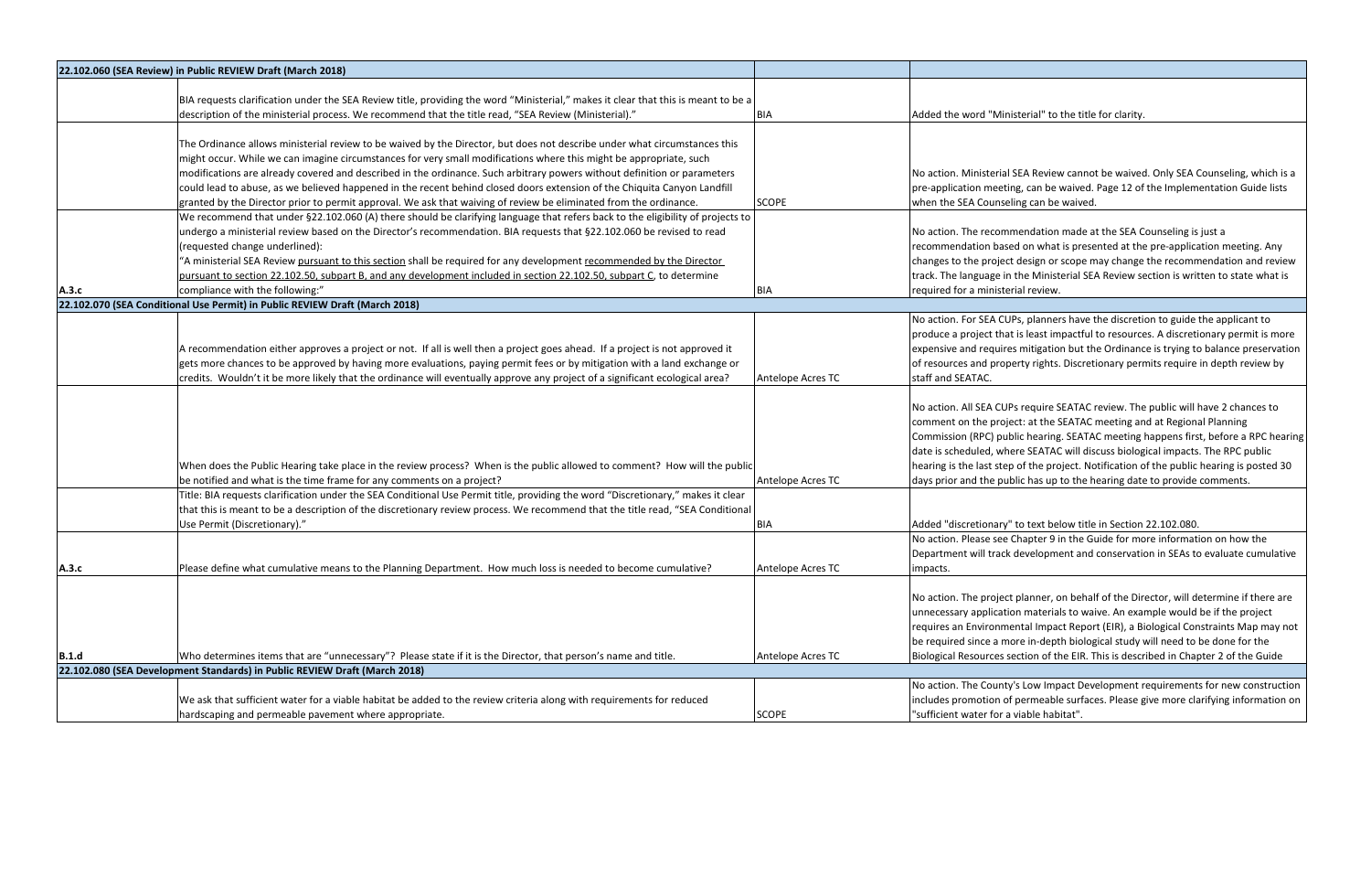|       | 22.102.060 (SEA Review) in Public REVIEW Draft (March 2018)                                                                        |                   |                               |
|-------|------------------------------------------------------------------------------------------------------------------------------------|-------------------|-------------------------------|
|       |                                                                                                                                    |                   |                               |
|       | BIA requests clarification under the SEA Review title, providing the word "Ministerial," makes it clear that this is meant to be a |                   |                               |
|       | description of the ministerial process. We recommend that the title read, "SEA Review (Ministerial)."                              | <b>BIA</b>        | Added the word "Min           |
|       |                                                                                                                                    |                   |                               |
|       | The Ordinance allows ministerial review to be waived by the Director, but does not describe under what circumstances this          |                   |                               |
|       | might occur. While we can imagine circumstances for very small modifications where this might be appropriate, such                 |                   |                               |
|       | modifications are already covered and described in the ordinance. Such arbitrary powers without definition or parameters           |                   | No action. Ministerial        |
|       | could lead to abuse, as we believed happened in the recent behind closed doors extension of the Chiquita Canyon Landfill           |                   | pre-application meeti         |
|       | granted by the Director prior to permit approval. We ask that waiving of review be eliminated from the ordinance.                  | <b>SCOPE</b>      | when the SEA Counse           |
|       | We recommend that under §22.102.060 (A) there should be clarifying language that refers back to the eligibility of projects to     |                   |                               |
|       | undergo a ministerial review based on the Director's recommendation. BIA requests that §22.102.060 be revised to read              |                   | No action. The recom          |
|       | (requested change underlined):                                                                                                     |                   | recommendation bas            |
|       | "A ministerial SEA Review pursuant to this section shall be required for any development recommended by the Director               |                   | changes to the projec         |
|       | pursuant to section 22.102.50, subpart B, and any development included in section 22.102.50, subpart C, to determine               |                   | track. The language ir        |
| A.3.c | compliance with the following:"                                                                                                    | BIA               | required for a ministe        |
|       | 22.102.070 (SEA Conditional Use Permit) in Public REVIEW Draft (March 2018)                                                        |                   |                               |
|       |                                                                                                                                    |                   | No action. For SEA CL         |
|       |                                                                                                                                    |                   | produce a project tha         |
|       | A recommendation either approves a project or not. If all is well then a project goes ahead. If a project is not approved it       |                   | expensive and require         |
|       | gets more chances to be approved by having more evaluations, paying permit fees or by mitigation with a land exchange or           |                   | of resources and prop         |
|       | credits. Wouldn't it be more likely that the ordinance will eventually approve any project of a significant ecological area?       | Antelope Acres TC | staff and SEATAC.             |
|       |                                                                                                                                    |                   |                               |
|       |                                                                                                                                    |                   | No action. All SEA CUI        |
|       |                                                                                                                                    |                   | comment on the proj           |
|       |                                                                                                                                    |                   | Commission (RPC) pul          |
|       |                                                                                                                                    |                   |                               |
|       |                                                                                                                                    |                   | date is scheduled, wh         |
|       | When does the Public Hearing take place in the review process? When is the public allowed to comment? How will the public          |                   | hearing is the last ste       |
|       | be notified and what is the time frame for any comments on a project?                                                              | Antelope Acres TC | days prior and the pu         |
|       | Title: BIA requests clarification under the SEA Conditional Use Permit title, providing the word "Discretionary," makes it clear   |                   |                               |
|       | that this is meant to be a description of the discretionary review process. We recommend that the title read, "SEA Conditional     |                   |                               |
|       | Use Permit (Discretionary)."                                                                                                       | <b>BIA</b>        | Added "discretionary'         |
|       |                                                                                                                                    |                   | No action. Please see         |
|       |                                                                                                                                    |                   | Department will track         |
| A.3.c | Please define what cumulative means to the Planning Department. How much loss is needed to become cumulative?                      | Antelope Acres TC | impacts.                      |
|       |                                                                                                                                    |                   |                               |
|       |                                                                                                                                    |                   | No action. The projec         |
|       |                                                                                                                                    |                   | unnecessary applicati         |
|       |                                                                                                                                    |                   | requires an Environm          |
|       |                                                                                                                                    |                   | be required since a m         |
| B.1.d | Who determines items that are "unnecessary"? Please state if it is the Director, that person's name and title.                     | Antelope Acres TC | <b>Biological Resources s</b> |
|       | 22.102.080 (SEA Development Standards) in Public REVIEW Draft (March 2018)                                                         |                   |                               |
|       |                                                                                                                                    |                   | No action. The Count          |
|       | We ask that sufficient water for a viable habitat be added to the review criteria along with requirements for reduced              |                   | includes promotion o          |
|       | hardscaping and permeable pavement where appropriate.                                                                              | <b>SCOPE</b>      | "sufficient water for a       |

histerial" to the title for clarity.

I SEA Review cannot be waived. Only SEA Counseling, which is a ing, can be waived. Page 12 of the Implementation Guide lists eling can be waived.

Imendation made at the SEA Counseling is just a ed on what is presented at the pre-application meeting. Any ct design or scope may change the recommendation and review n the Ministerial SEA Review section is written to state what is erial review.

JPs, planners have the discretion to guide the applicant to at is least impactful to resources. A discretionary permit is more es mitigation but the Ordinance is trying to balance preservation oerty rights. Discretionary permits require in depth review by

Ps require SEATAC review. The public will have 2 chances to ject: at the SEATAC meeting and at Regional Planning blic hearing. SEATAC meeting happens first, before a RPC hearing nere SEATAC will discuss biological impacts. The RPC public ep of the project. Notification of the public hearing is posted 30 blic has up to the hearing date to provide comments.

" to text below title in Section 22.102.080.

Chapter 9 in the Guide for more information on how the development and conservation in SEAs to evaluate cumulative

t planner, on behalf of the Director, will determine if there are ion materials to waive. An example would be if the project rental Impact Report (EIR), a Biological Constraints Map may not ore in-depth biological study will need to be done for the section of the EIR. This is described in Chapter 2 of the Guide

y's Low Impact Development requirements for new construction of permeable surfaces. Please give more clarifying information on a viable habitat".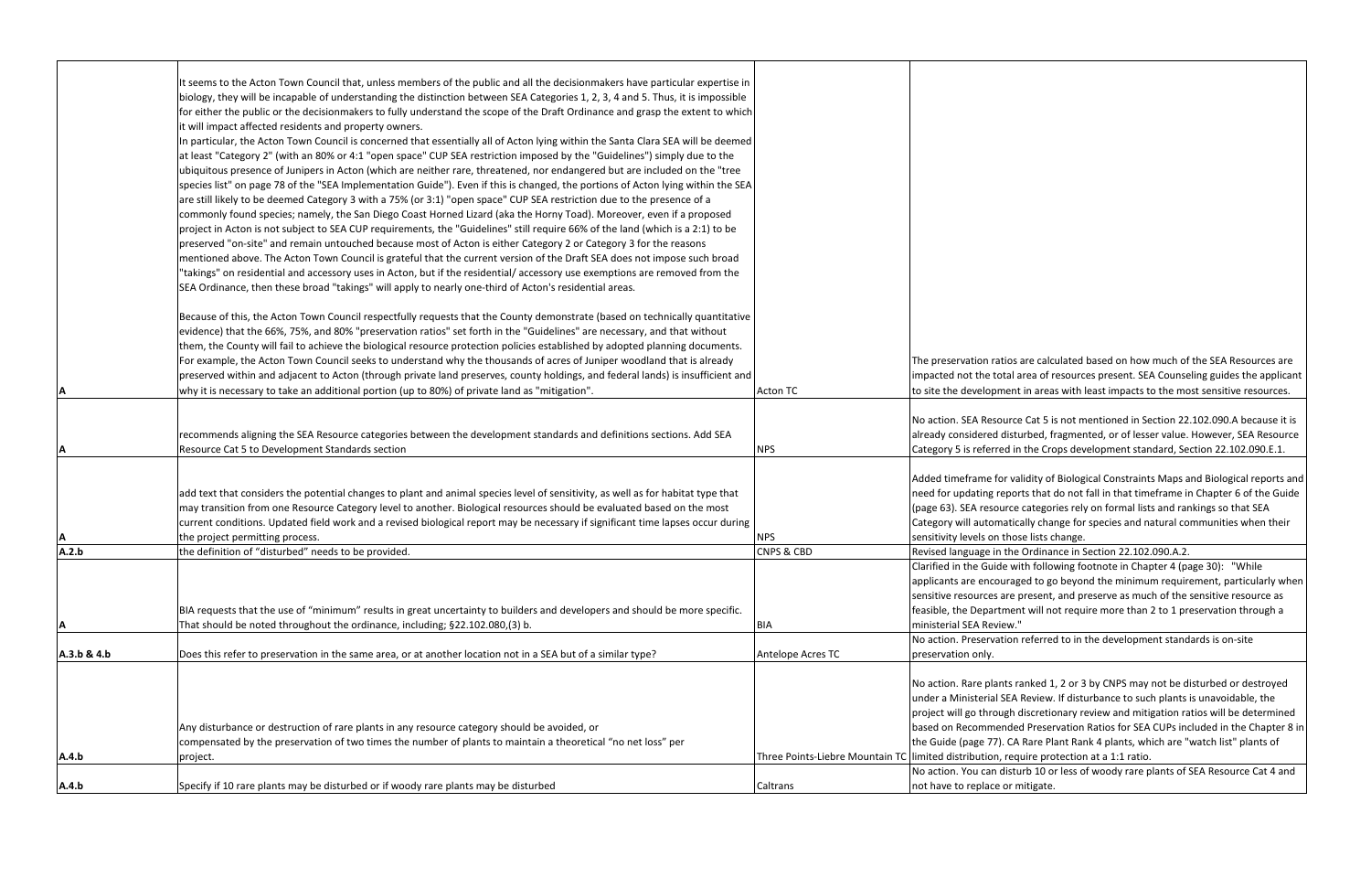|             | It seems to the Acton Town Council that, unless members of the public and all the decisionmakers have particular expertise in                                                                                                        |                                                       |                         |
|-------------|--------------------------------------------------------------------------------------------------------------------------------------------------------------------------------------------------------------------------------------|-------------------------------------------------------|-------------------------|
|             | biology, they will be incapable of understanding the distinction between SEA Categories 1, 2, 3, 4 and 5. Thus, it is impossible                                                                                                     |                                                       |                         |
|             | for either the public or the decisionmakers to fully understand the scope of the Draft Ordinance and grasp the extent to which                                                                                                       |                                                       |                         |
|             | it will impact affected residents and property owners.                                                                                                                                                                               |                                                       |                         |
|             | In particular, the Acton Town Council is concerned that essentially all of Acton lying within the Santa Clara SEA will be deemed                                                                                                     |                                                       |                         |
|             | at least "Category 2" (with an 80% or 4:1 "open space" CUP SEA restriction imposed by the "Guidelines") simply due to the                                                                                                            |                                                       |                         |
|             | ubiquitous presence of Junipers in Acton (which are neither rare, threatened, nor endangered but are included on the "tree                                                                                                           |                                                       |                         |
|             | species list" on page 78 of the "SEA Implementation Guide"). Even if this is changed, the portions of Acton lying within the SEA                                                                                                     |                                                       |                         |
|             | are still likely to be deemed Category 3 with a 75% (or 3:1) "open space" CUP SEA restriction due to the presence of a                                                                                                               |                                                       |                         |
|             | commonly found species; namely, the San Diego Coast Horned Lizard (aka the Horny Toad). Moreover, even if a proposed                                                                                                                 |                                                       |                         |
|             | project in Acton is not subject to SEA CUP requirements, the "Guidelines" still require 66% of the land (which is a 2:1) to be                                                                                                       |                                                       |                         |
|             | preserved "on-site" and remain untouched because most of Acton is either Category 2 or Category 3 for the reasons                                                                                                                    |                                                       |                         |
|             | mentioned above. The Acton Town Council is grateful that the current version of the Draft SEA does not impose such broad                                                                                                             |                                                       |                         |
|             | "takings" on residential and accessory uses in Acton, but if the residential/accessory use exemptions are removed from the<br>SEA Ordinance, then these broad "takings" will apply to nearly one-third of Acton's residential areas. |                                                       |                         |
|             |                                                                                                                                                                                                                                      |                                                       |                         |
|             | Because of this, the Acton Town Council respectfully requests that the County demonstrate (based on technically quantitative                                                                                                         |                                                       |                         |
|             | evidence) that the 66%, 75%, and 80% "preservation ratios" set forth in the "Guidelines" are necessary, and that without                                                                                                             |                                                       |                         |
|             | them, the County will fail to achieve the biological resource protection policies established by adopted planning documents.                                                                                                         |                                                       |                         |
|             | For example, the Acton Town Council seeks to understand why the thousands of acres of Juniper woodland that is already                                                                                                               |                                                       | The preservation rat    |
|             | preserved within and adjacent to Acton (through private land preserves, county holdings, and federal lands) is insufficient and                                                                                                      |                                                       | impacted not the to     |
|             | why it is necessary to take an additional portion (up to 80%) of private land as "mitigation".                                                                                                                                       | <b>Acton TC</b>                                       | to site the developm    |
|             |                                                                                                                                                                                                                                      |                                                       |                         |
|             |                                                                                                                                                                                                                                      |                                                       | No action. SEA Reso     |
|             | recommends aligning the SEA Resource categories between the development standards and definitions sections. Add SEA                                                                                                                  |                                                       | already considered o    |
| А           | Resource Cat 5 to Development Standards section                                                                                                                                                                                      | <b>NPS</b>                                            | Category 5 is referre   |
|             |                                                                                                                                                                                                                                      |                                                       | Added timeframe fo      |
|             | add text that considers the potential changes to plant and animal species level of sensitivity, as well as for habitat type that                                                                                                     |                                                       | need for updating re    |
|             | may transition from one Resource Category level to another. Biological resources should be evaluated based on the most                                                                                                               |                                                       | (page 63). SEA resou    |
|             | current conditions. Updated field work and a revised biological report may be necessary if significant time lapses occur during                                                                                                      |                                                       | Category will autom     |
| Α           | the project permitting process.                                                                                                                                                                                                      | <b>NPS</b>                                            | sensitivity levels on t |
| A.2.b       | the definition of "disturbed" needs to be provided.                                                                                                                                                                                  | <b>CNPS &amp; CBD</b>                                 | Revised language in     |
|             |                                                                                                                                                                                                                                      |                                                       | Clarified in the Guide  |
|             |                                                                                                                                                                                                                                      |                                                       | applicants are encou    |
|             |                                                                                                                                                                                                                                      |                                                       | sensitive resources a   |
|             | BIA requests that the use of "minimum" results in great uncertainty to builders and developers and should be more specific.                                                                                                          |                                                       | feasible, the Departi   |
| Α           | That should be noted throughout the ordinance, including; §22.102.080,(3) b.                                                                                                                                                         | <b>BIA</b>                                            | ministerial SEA Revie   |
|             |                                                                                                                                                                                                                                      |                                                       | No action. Preservat    |
| A.3.b & 4.b | Does this refer to preservation in the same area, or at another location not in a SEA but of a similar type?                                                                                                                         | Antelope Acres TC                                     | preservation only.      |
|             |                                                                                                                                                                                                                                      |                                                       | No action. Rare plan    |
|             |                                                                                                                                                                                                                                      |                                                       | under a Ministerial 9   |
|             |                                                                                                                                                                                                                                      |                                                       | project will go throu   |
|             | Any disturbance or destruction of rare plants in any resource category should be avoided, or                                                                                                                                         |                                                       | based on Recommer       |
|             | compensated by the preservation of two times the number of plants to maintain a theoretical "no net loss" per                                                                                                                        |                                                       | the Guide (page 77).    |
| A.4.b       | project.                                                                                                                                                                                                                             | Three Points-Liebre Mountain TC limited distribution, |                         |
|             |                                                                                                                                                                                                                                      |                                                       | No action. You can c    |
| A.4.b       | Specify if 10 rare plants may be disturbed or if woody rare plants may be disturbed                                                                                                                                                  | Caltrans                                              | not have to replace     |

tios are calculated based on how much of the SEA Resources are tal area of resources present. SEA Counseling guides the applicant nent in areas with least impacts to the most sensitive resources.

urce Cat 5 is not mentioned in Section 22.102.090.A because it is disturbed, fragmented, or of lesser value. However, SEA Resource ed in the Crops development standard, Section 22.102.090.E.1.

or validity of Biological Constraints Maps and Biological reports and eports that do not fall in that timeframe in Chapter 6 of the Guide rce categories rely on formal lists and rankings so that SEA atically change for species and natural communities when their those lists change.

the Ordinance in Section 22.102.090.A.2.

le with following footnote in Chapter 4 (page 30): "While uraged to go beyond the minimum requirement, particularly when are present, and preserve as much of the sensitive resource as ment will not require more than 2 to 1 preservation through a ew."

tion referred to in the development standards is on-site

nts ranked 1, 2 or 3 by CNPS may not be disturbed or destroyed SEA Review. If disturbance to such plants is unavoidable, the agh discretionary review and mitigation ratios will be determined nded Preservation Ratios for SEA CUPs included in the Chapter 8 in . CA Rare Plant Rank 4 plants, which are "watch list" plants of require protection at a 1:1 ratio.

listurb 10 or less of woody rare plants of SEA Resource Cat 4 and or mitigate.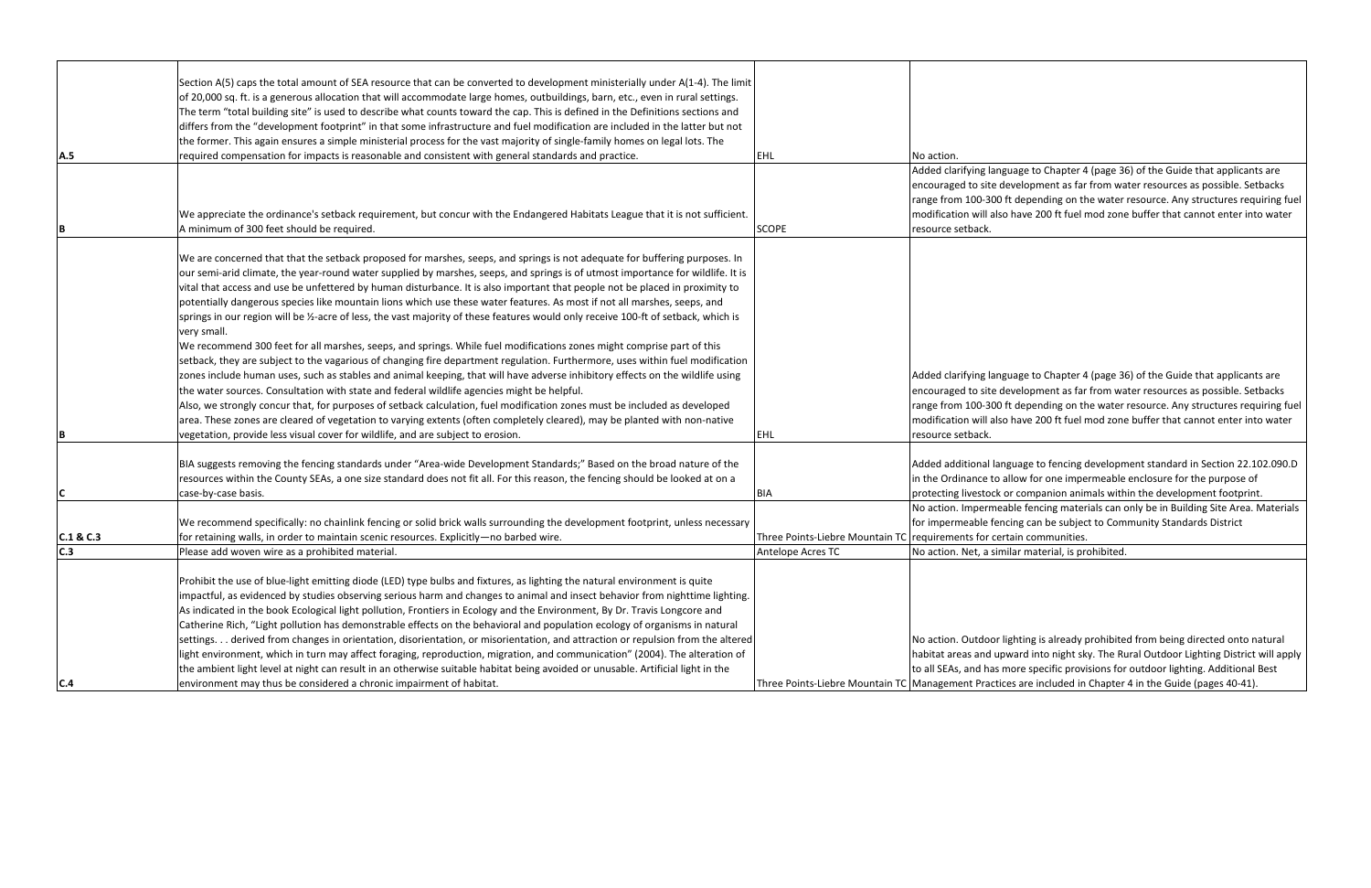|           | Section A(5) caps the total amount of SEA resource that can be converted to development ministerially under A(1-4). The limit      |                                                      |                        |
|-----------|------------------------------------------------------------------------------------------------------------------------------------|------------------------------------------------------|------------------------|
|           | of 20,000 sq. ft. is a generous allocation that will accommodate large homes, outbuildings, barn, etc., even in rural settings.    |                                                      |                        |
|           | The term "total building site" is used to describe what counts toward the cap. This is defined in the Definitions sections and     |                                                      |                        |
|           | differs from the "development footprint" in that some infrastructure and fuel modification are included in the latter but not      |                                                      |                        |
|           | the former. This again ensures a simple ministerial process for the vast majority of single-family homes on legal lots. The        |                                                      |                        |
| A.5       | required compensation for impacts is reasonable and consistent with general standards and practice.                                | <b>EHL</b>                                           | No action.             |
|           |                                                                                                                                    |                                                      | Added clarifying lang  |
|           |                                                                                                                                    |                                                      | encouraged to site d   |
|           |                                                                                                                                    |                                                      | range from 100-300     |
|           | We appreciate the ordinance's setback requirement, but concur with the Endangered Habitats League that it is not sufficient.       |                                                      | modification will also |
| B         | A minimum of 300 feet should be required.                                                                                          | <b>SCOPE</b>                                         | resource setback.      |
|           |                                                                                                                                    |                                                      |                        |
|           | We are concerned that that the setback proposed for marshes, seeps, and springs is not adequate for buffering purposes. In         |                                                      |                        |
|           | our semi-arid climate, the year-round water supplied by marshes, seeps, and springs is of utmost importance for wildlife. It is    |                                                      |                        |
|           | vital that access and use be unfettered by human disturbance. It is also important that people not be placed in proximity to       |                                                      |                        |
|           | potentially dangerous species like mountain lions which use these water features. As most if not all marshes, seeps, and           |                                                      |                        |
|           | springs in our region will be 1/2-acre of less, the vast majority of these features would only receive 100-ft of setback, which is |                                                      |                        |
|           | very small.                                                                                                                        |                                                      |                        |
|           | We recommend 300 feet for all marshes, seeps, and springs. While fuel modifications zones might comprise part of this              |                                                      |                        |
|           | setback, they are subject to the vagarious of changing fire department regulation. Furthermore, uses within fuel modification      |                                                      |                        |
|           | zones include human uses, such as stables and animal keeping, that will have adverse inhibitory effects on the wildlife using      |                                                      | Added clarifying lang  |
|           | the water sources. Consultation with state and federal wildlife agencies might be helpful.                                         |                                                      | encouraged to site d   |
|           | Also, we strongly concur that, for purposes of setback calculation, fuel modification zones must be included as developed          |                                                      | range from 100-300     |
|           | area. These zones are cleared of vegetation to varying extents (often completely cleared), may be planted with non-native          |                                                      | modification will also |
| B         | vegetation, provide less visual cover for wildlife, and are subject to erosion.                                                    | EHL                                                  | resource setback.      |
|           |                                                                                                                                    |                                                      |                        |
|           | BIA suggests removing the fencing standards under "Area-wide Development Standards;" Based on the broad nature of the              |                                                      | Added additional lan   |
|           | resources within the County SEAs, a one size standard does not fit all. For this reason, the fencing should be looked at on a      |                                                      | in the Ordinance to a  |
| C         | case-by-case basis.                                                                                                                | <b>BIA</b>                                           | protecting livestock o |
|           |                                                                                                                                    |                                                      | No action. Impermea    |
|           | We recommend specifically: no chainlink fencing or solid brick walls surrounding the development footprint, unless necessary       |                                                      | for impermeable fen    |
| C.1 & C.3 | for retaining walls, in order to maintain scenic resources. Explicitly-no barbed wire.                                             | Three Points-Liebre Mountain TC requirements for cer |                        |
| C.3       | Please add woven wire as a prohibited material.                                                                                    | Antelope Acres TC                                    | No action. Net, a sim  |
|           | Prohibit the use of blue-light emitting diode (LED) type bulbs and fixtures, as lighting the natural environment is quite          |                                                      |                        |
|           |                                                                                                                                    |                                                      |                        |
|           | impactful, as evidenced by studies observing serious harm and changes to animal and insect behavior from nighttime lighting.       |                                                      |                        |
|           | As indicated in the book Ecological light pollution, Frontiers in Ecology and the Environment, By Dr. Travis Longcore and          |                                                      |                        |
|           | Catherine Rich, "Light pollution has demonstrable effects on the behavioral and population ecology of organisms in natural         |                                                      |                        |
|           | settings derived from changes in orientation, disorientation, or misorientation, and attraction or repulsion from the altered      |                                                      | No action. Outdoor I   |
|           | light environment, which in turn may affect foraging, reproduction, migration, and communication" (2004). The alteration of        |                                                      | habitat areas and up   |
|           | the ambient light level at night can result in an otherwise suitable habitat being avoided or unusable. Artificial light in the    |                                                      | to all SEAs, and has r |
| C.4       | environment may thus be considered a chronic impairment of habitat.                                                                | Three Points-Liebre Mountain TC Management Practic   |                        |

guage to Chapter 4 (page 36) of the Guide that applicants are levelopment as far from water resources as possible. Setbacks ft depending on the water resource. Any structures requiring fuel o have 200 ft fuel mod zone buffer that cannot enter into water

guage to Chapter 4 (page 36) of the Guide that applicants are levelopment as far from water resources as possible. Setbacks ft depending on the water resource. Any structures requiring fuel o have 200 ft fuel mod zone buffer that cannot enter into water

aguage to fencing development standard in Section 22.102.090.D allow for one impermeable enclosure for the purpose of or companion animals within the development footprint.

able fencing materials can only be in Building Site Area. Materials icing can be subject to Community Standards District rtain communities.

nilar material, is prohibited.

lighting is already prohibited from being directed onto natural ward into night sky. The Rural Outdoor Lighting District will apply more specific provisions for outdoor lighting. Additional Best ces are included in Chapter 4 in the Guide (pages 40-41).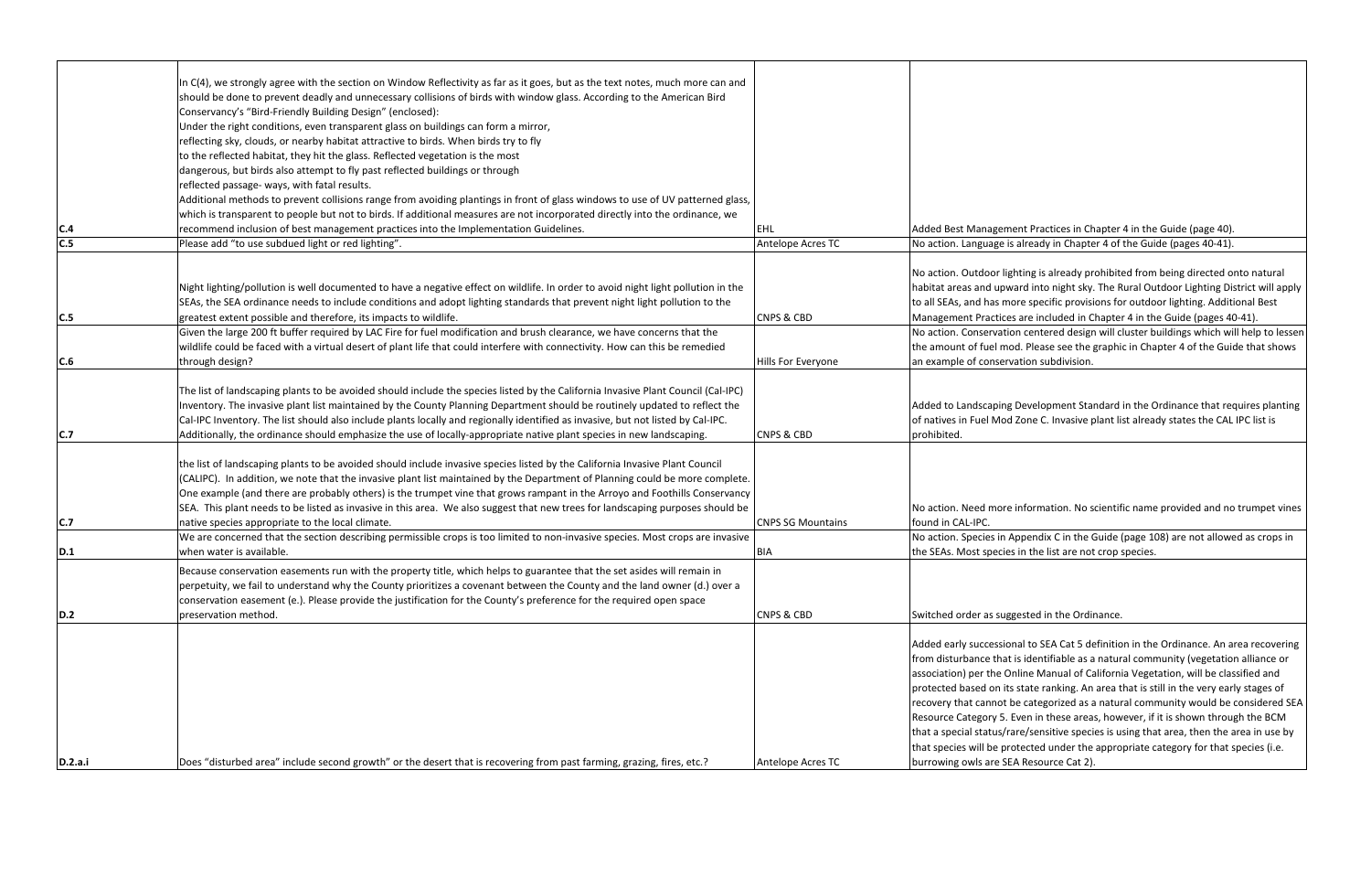|         | In C(4), we strongly agree with the section on Window Reflectivity as far as it goes, but as the text notes, much more can and<br>should be done to prevent deadly and unnecessary collisions of birds with window glass. According to the American Bird<br>Conservancy's "Bird-Friendly Building Design" (enclosed):<br>Under the right conditions, even transparent glass on buildings can form a mirror,<br>reflecting sky, clouds, or nearby habitat attractive to birds. When birds try to fly<br>to the reflected habitat, they hit the glass. Reflected vegetation is the most<br>dangerous, but birds also attempt to fly past reflected buildings or through<br>reflected passage- ways, with fatal results. |                          |                                                                                                                                                                                                       |
|---------|-----------------------------------------------------------------------------------------------------------------------------------------------------------------------------------------------------------------------------------------------------------------------------------------------------------------------------------------------------------------------------------------------------------------------------------------------------------------------------------------------------------------------------------------------------------------------------------------------------------------------------------------------------------------------------------------------------------------------|--------------------------|-------------------------------------------------------------------------------------------------------------------------------------------------------------------------------------------------------|
|         | Additional methods to prevent collisions range from avoiding plantings in front of glass windows to use of UV patterned glass,                                                                                                                                                                                                                                                                                                                                                                                                                                                                                                                                                                                        |                          |                                                                                                                                                                                                       |
|         | which is transparent to people but not to birds. If additional measures are not incorporated directly into the ordinance, we                                                                                                                                                                                                                                                                                                                                                                                                                                                                                                                                                                                          |                          |                                                                                                                                                                                                       |
| C.4     | recommend inclusion of best management practices into the Implementation Guidelines.                                                                                                                                                                                                                                                                                                                                                                                                                                                                                                                                                                                                                                  | EHL                      | <b>Added Best Managen</b>                                                                                                                                                                             |
| C.5     | Please add "to use subdued light or red lighting".                                                                                                                                                                                                                                                                                                                                                                                                                                                                                                                                                                                                                                                                    | Antelope Acres TC        | No action. Language                                                                                                                                                                                   |
| C.5     | Night lighting/pollution is well documented to have a negative effect on wildlife. In order to avoid night light pollution in the<br>SEAs, the SEA ordinance needs to include conditions and adopt lighting standards that prevent night light pollution to the<br>greatest extent possible and therefore, its impacts to wildlife.                                                                                                                                                                                                                                                                                                                                                                                   | <b>CNPS &amp; CBD</b>    | No action. Outdoor li<br>habitat areas and upv<br>to all SEAs, and has m<br><b>Management Practice</b>                                                                                                |
|         | Given the large 200 ft buffer required by LAC Fire for fuel modification and brush clearance, we have concerns that the                                                                                                                                                                                                                                                                                                                                                                                                                                                                                                                                                                                               |                          | No action. Conservati                                                                                                                                                                                 |
|         | wildlife could be faced with a virtual desert of plant life that could interfere with connectivity. How can this be remedied                                                                                                                                                                                                                                                                                                                                                                                                                                                                                                                                                                                          |                          | the amount of fuel m                                                                                                                                                                                  |
| C.6     | through design?                                                                                                                                                                                                                                                                                                                                                                                                                                                                                                                                                                                                                                                                                                       | Hills For Everyone       | an example of conser                                                                                                                                                                                  |
| C.7     | The list of landscaping plants to be avoided should include the species listed by the California Invasive Plant Council (Cal-IPC)<br>Inventory. The invasive plant list maintained by the County Planning Department should be routinely updated to reflect the<br>Cal-IPC Inventory. The list should also include plants locally and regionally identified as invasive, but not listed by Cal-IPC.<br>Additionally, the ordinance should emphasize the use of locally-appropriate native plant species in new landscaping.                                                                                                                                                                                           | <b>CNPS &amp; CBD</b>    | Added to Landscaping<br>of natives in Fuel Mo<br>prohibited.                                                                                                                                          |
| C.7     | the list of landscaping plants to be avoided should include invasive species listed by the California Invasive Plant Council<br>(CALIPC). In addition, we note that the invasive plant list maintained by the Department of Planning could be more complete.<br>One example (and there are probably others) is the trumpet vine that grows rampant in the Arroyo and Foothills Conservancy<br>SEA. This plant needs to be listed as invasive in this area. We also suggest that new trees for landscaping purposes should be<br>native species appropriate to the local climate.                                                                                                                                      | <b>CNPS SG Mountains</b> | No action. Need more<br>found in CAL-IPC.                                                                                                                                                             |
|         | We are concerned that the section describing permissible crops is too limited to non-invasive species. Most crops are invasive                                                                                                                                                                                                                                                                                                                                                                                                                                                                                                                                                                                        |                          | No action. Species in                                                                                                                                                                                 |
| D.1     | when water is available.                                                                                                                                                                                                                                                                                                                                                                                                                                                                                                                                                                                                                                                                                              | <b>BIA</b>               | the SEAs. Most specie                                                                                                                                                                                 |
| D.2     | Because conservation easements run with the property title, which helps to guarantee that the set asides will remain in<br>perpetuity, we fail to understand why the County prioritizes a covenant between the County and the land owner (d.) over a<br>conservation easement (e.). Please provide the justification for the County's preference for the required open space<br>preservation method.                                                                                                                                                                                                                                                                                                                  | <b>CNPS &amp; CBD</b>    | Switched order as sug                                                                                                                                                                                 |
|         |                                                                                                                                                                                                                                                                                                                                                                                                                                                                                                                                                                                                                                                                                                                       |                          | Added early successio<br>from disturbance tha<br>association) per the C<br>protected based on it<br>recovery that cannot<br>Resource Category 5.<br>that a special status/<br>that species will be pi |
| D.2.a.i | [Does "disturbed area" include second growth" or the desert that is recovering from past farming, grazing, fires, etc.?                                                                                                                                                                                                                                                                                                                                                                                                                                                                                                                                                                                               | Antelope Acres TC        | burrowing owls are S                                                                                                                                                                                  |

nent Practices in Chapter 4 in the Guide (page 40). is already in Chapter 4 of the Guide (pages 40-41).

ighting is already prohibited from being directed onto natural ward into night sky. The Rural Outdoor Lighting District will apply nore specific provisions for outdoor lighting. Additional Best es are included in Chapter 4 in the Guide (pages 40-41). tion centered design will cluster buildings which will help to lessen nod. Please see the graphic in Chapter 4 of the Guide that shows vation subdivision.

Ag Development Standard in the Ordinance that requires planting od Zone C. Invasive plant list already states the CAL IPC list is

re information. No scientific name provided and no trumpet vines

Appendix C in the Guide (page 108) are not allowed as crops in es in the list are not crop species.

## ggested in the Ordinance.

onal to SEA Cat 5 definition in the Ordinance. An area recovering at is identifiable as a natural community (vegetation alliance or Online Manual of California Vegetation, will be classified and ts state ranking. An area that is still in the very early stages of be categorized as a natural community would be considered SEA Even in these areas, however, if it is shown through the BCM rare/sensitive species is using that area, then the area in use by rotected under the appropriate category for that species (i.e. EA Resource Cat 2).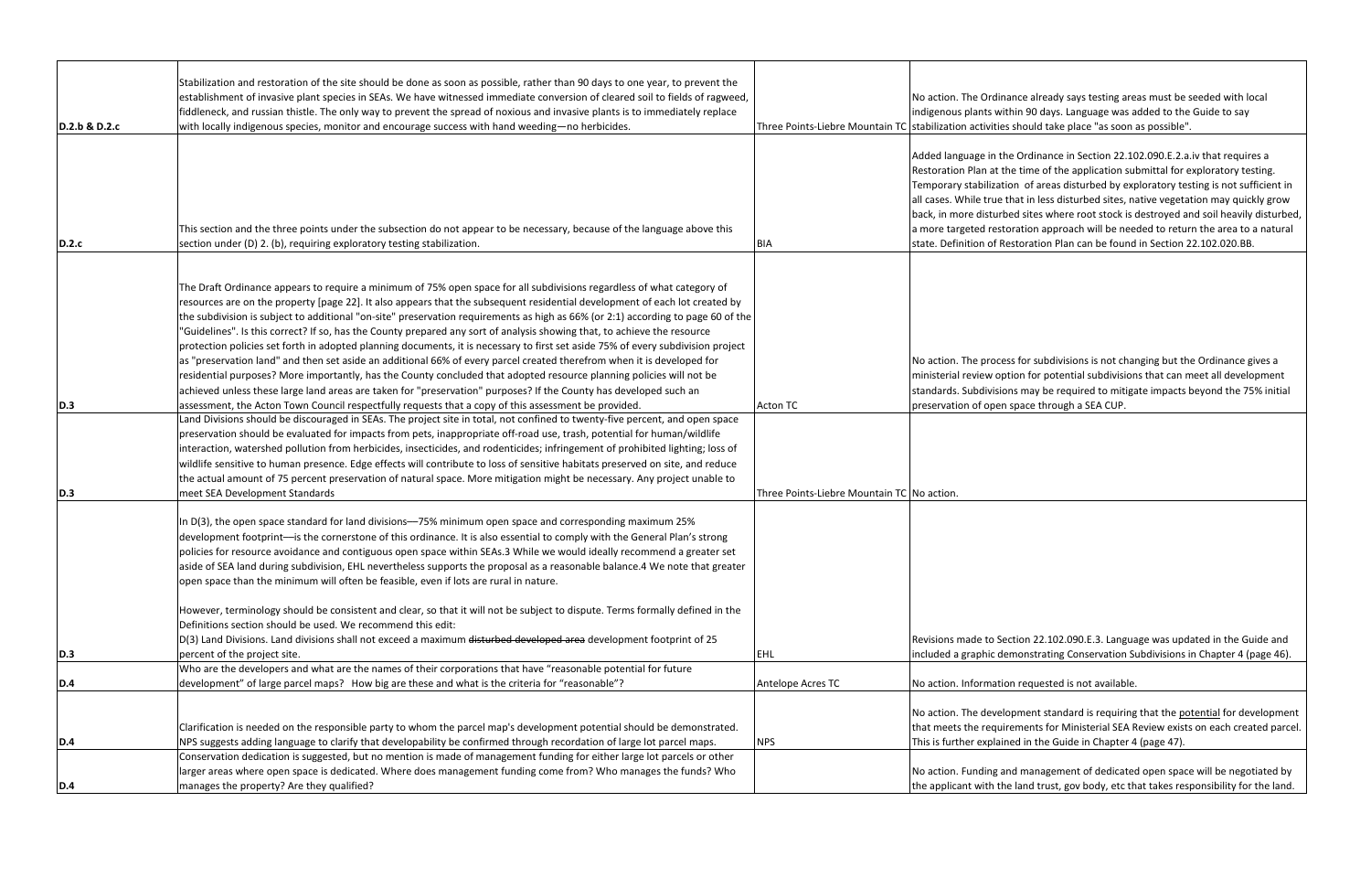|               | Stabilization and restoration of the site should be done as soon as possible, rather than 90 days to one year, to prevent the<br>establishment of invasive plant species in SEAs. We have witnessed immediate conversion of cleared soil to fields of ragweed,<br>fiddleneck, and russian thistle. The only way to prevent the spread of noxious and invasive plants is to immediately replace                                                                                                                                                                                                                                                                                                                                                                                                                                                                                                                                                                                                                                    |                                                         | No action. The Ordin<br>indigenous plants wi                                                                                                                              |
|---------------|-----------------------------------------------------------------------------------------------------------------------------------------------------------------------------------------------------------------------------------------------------------------------------------------------------------------------------------------------------------------------------------------------------------------------------------------------------------------------------------------------------------------------------------------------------------------------------------------------------------------------------------------------------------------------------------------------------------------------------------------------------------------------------------------------------------------------------------------------------------------------------------------------------------------------------------------------------------------------------------------------------------------------------------|---------------------------------------------------------|---------------------------------------------------------------------------------------------------------------------------------------------------------------------------|
| D.2.b & D.2.c | with locally indigenous species, monitor and encourage success with hand weeding-no herbicides.                                                                                                                                                                                                                                                                                                                                                                                                                                                                                                                                                                                                                                                                                                                                                                                                                                                                                                                                   | Three Points-Liebre Mountain TC stabilization activitie |                                                                                                                                                                           |
| D.2.c         | This section and the three points under the subsection do not appear to be necessary, because of the language above this<br>section under (D) 2. (b), requiring exploratory testing stabilization.                                                                                                                                                                                                                                                                                                                                                                                                                                                                                                                                                                                                                                                                                                                                                                                                                                | <b>BIA</b>                                              | Added language in tl<br>Restoration Plan at t<br>Temporary stabilizat<br>all cases. While true<br>back, in more disturl<br>a more targeted rest<br>state. Definition of R |
|               | The Draft Ordinance appears to require a minimum of 75% open space for all subdivisions regardless of what category of<br>resources are on the property [page 22]. It also appears that the subsequent residential development of each lot created by<br>the subdivision is subject to additional "on-site" preservation requirements as high as 66% (or 2:1) according to page 60 of the<br>'Guidelines''. Is this correct? If so, has the County prepared any sort of analysis showing that, to achieve the resource<br>protection policies set forth in adopted planning documents, it is necessary to first set aside 75% of every subdivision project<br>as "preservation land" and then set aside an additional 66% of every parcel created therefrom when it is developed for<br>residential purposes? More importantly, has the County concluded that adopted resource planning policies will not be<br>achieved unless these large land areas are taken for "preservation" purposes? If the County has developed such an |                                                         | No action. The proce<br>ministerial review op<br>standards. Subdivisio                                                                                                    |
| D.3           | assessment, the Acton Town Council respectfully requests that a copy of this assessment be provided.                                                                                                                                                                                                                                                                                                                                                                                                                                                                                                                                                                                                                                                                                                                                                                                                                                                                                                                              | <b>Acton TC</b>                                         | preservation of oper                                                                                                                                                      |
| D.3           | Land Divisions should be discouraged in SEAs. The project site in total, not confined to twenty-five percent, and open space<br>preservation should be evaluated for impacts from pets, inappropriate off-road use, trash, potential for human/wildlife<br>interaction, watershed pollution from herbicides, insecticides, and rodenticides; infringement of prohibited lighting; loss of<br>wildlife sensitive to human presence. Edge effects will contribute to loss of sensitive habitats preserved on site, and reduce<br>the actual amount of 75 percent preservation of natural space. More mitigation might be necessary. Any project unable to<br>meet SEA Development Standards                                                                                                                                                                                                                                                                                                                                         | Three Points-Liebre Mountain TC No action.              |                                                                                                                                                                           |
|               | In D(3), the open space standard for land divisions—75% minimum open space and corresponding maximum 25%<br>development footprint—is the cornerstone of this ordinance. It is also essential to comply with the General Plan's strong<br>policies for resource avoidance and contiguous open space within SEAs.3 While we would ideally recommend a greater set<br>aside of SEA land during subdivision, EHL nevertheless supports the proposal as a reasonable balance.4 We note that greater<br>open space than the minimum will often be feasible, even if lots are rural in nature.<br>However, terminology should be consistent and clear, so that it will not be subject to dispute. Terms formally defined in the<br>Definitions section should be used. We recommend this edit:<br>D(3) Land Divisions. Land divisions shall not exceed a maximum disturbed developed area development footprint of 25                                                                                                                    |                                                         | Revisions made to Se                                                                                                                                                      |
| <b>D.3</b>    | percent of the project site.                                                                                                                                                                                                                                                                                                                                                                                                                                                                                                                                                                                                                                                                                                                                                                                                                                                                                                                                                                                                      | <b>EHL</b>                                              | included a graphic d                                                                                                                                                      |
|               | Who are the developers and what are the names of their corporations that have "reasonable potential for future                                                                                                                                                                                                                                                                                                                                                                                                                                                                                                                                                                                                                                                                                                                                                                                                                                                                                                                    |                                                         |                                                                                                                                                                           |
| <b>D.4</b>    | development" of large parcel maps? How big are these and what is the criteria for "reasonable"?                                                                                                                                                                                                                                                                                                                                                                                                                                                                                                                                                                                                                                                                                                                                                                                                                                                                                                                                   | Antelope Acres TC                                       | No action. Informati                                                                                                                                                      |
| <b>D.4</b>    | Clarification is needed on the responsible party to whom the parcel map's development potential should be demonstrated.<br>NPS suggests adding language to clarify that developability be confirmed through recordation of large lot parcel maps.                                                                                                                                                                                                                                                                                                                                                                                                                                                                                                                                                                                                                                                                                                                                                                                 | <b>NPS</b>                                              | No action. The devel<br>that meets the requi<br>This is further explai                                                                                                    |
| D.4           | Conservation dedication is suggested, but no mention is made of management funding for either large lot parcels or other<br>larger areas where open space is dedicated. Where does management funding come from? Who manages the funds? Who<br>manages the property? Are they qualified?                                                                                                                                                                                                                                                                                                                                                                                                                                                                                                                                                                                                                                                                                                                                          |                                                         | No action. Funding a<br>the applicant with th                                                                                                                             |

nance already says testing areas must be seeded with local ithin 90 days. Language was added to the Guide to say es should take place "as soon as possible".

he Ordinance in Section 22.102.090.E.2.a.iv that requires a the time of the application submittal for exploratory testing. tion of areas disturbed by exploratory testing is not sufficient in that in less disturbed sites, native vegetation may quickly grow bed sites where root stock is destroyed and soil heavily disturbed, toration approach will be needed to return the area to a natural Restoration Plan can be found in Section 22.102.020.BB.

ess for subdivisions is not changing but the Ordinance gives a ption for potential subdivisions that can meet all development ons may be required to mitigate impacts beyond the 75% initial n space through a SEA CUP.

ection 22.102.090.E.3. Language was updated in the Guide and emonstrating Conservation Subdivisions in Chapter 4 (page 46).

on requested is not available.

lopment standard is requiring that the potential for development irements for Ministerial SEA Review exists on each created parcel. ned in the Guide in Chapter 4 (page 47).

and management of dedicated open space will be negotiated by he land trust, gov body, etc that takes responsibility for the land.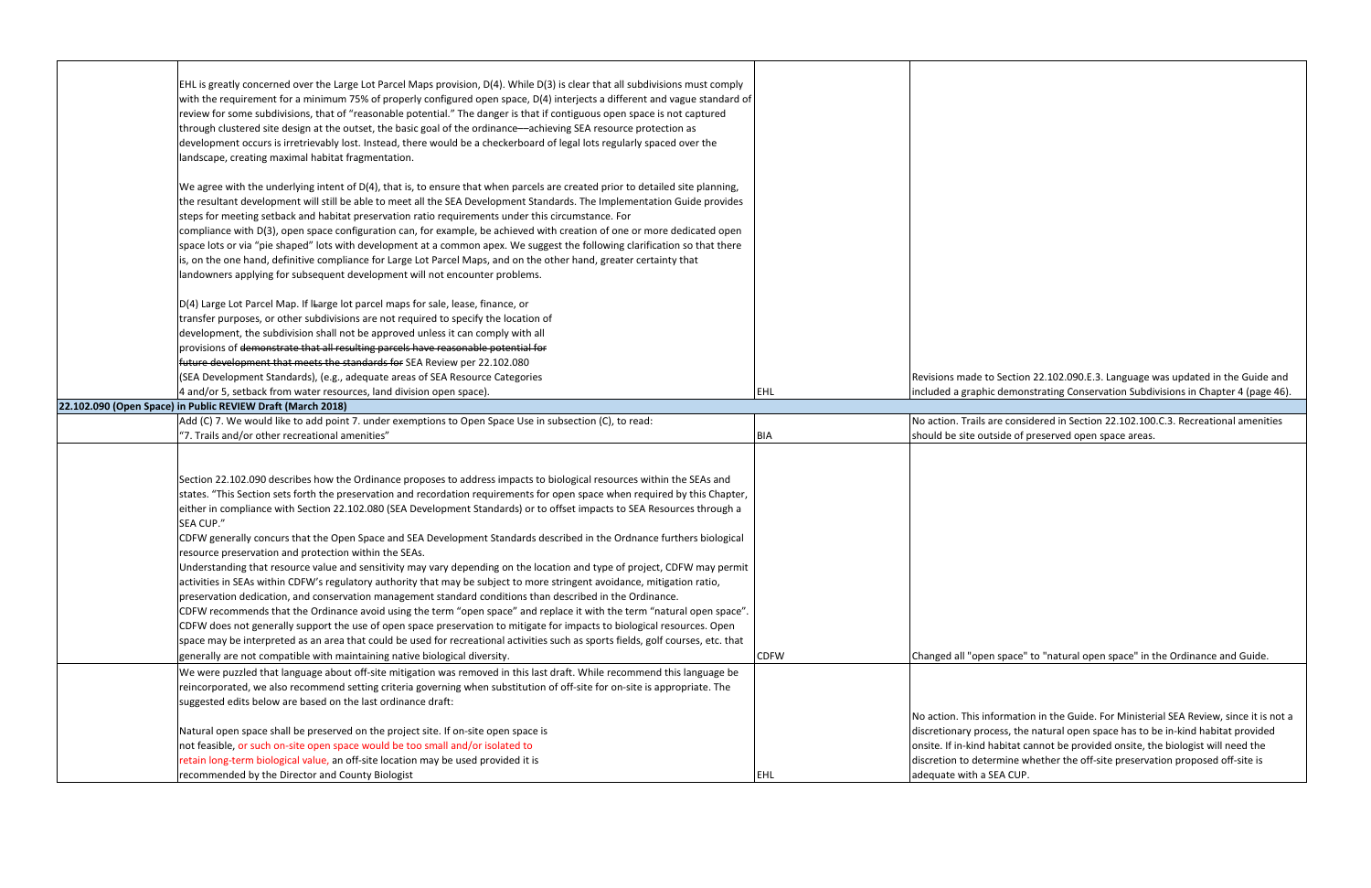| EHL is greatly concerned over the Large Lot Parcel Maps provision, D(4). While D(3) is clear that all subdivisions must comply<br>with the requirement for a minimum 75% of properly configured open space, D(4) interjects a different and vague standard of<br>review for some subdivisions, that of "reasonable potential." The danger is that if contiguous open space is not captured<br>through clustered site design at the outset, the basic goal of the ordinance—achieving SEA resource protection as<br>development occurs is irretrievably lost. Instead, there would be a checkerboard of legal lots regularly spaced over the<br>landscape, creating maximal habitat fragmentation.                                                                                                                                                                                                                                                                                                                                                                                                                                                                                                                                                                                                                                                                                                                                                                                                                                                                                                                                                                                            |             |                        |
|----------------------------------------------------------------------------------------------------------------------------------------------------------------------------------------------------------------------------------------------------------------------------------------------------------------------------------------------------------------------------------------------------------------------------------------------------------------------------------------------------------------------------------------------------------------------------------------------------------------------------------------------------------------------------------------------------------------------------------------------------------------------------------------------------------------------------------------------------------------------------------------------------------------------------------------------------------------------------------------------------------------------------------------------------------------------------------------------------------------------------------------------------------------------------------------------------------------------------------------------------------------------------------------------------------------------------------------------------------------------------------------------------------------------------------------------------------------------------------------------------------------------------------------------------------------------------------------------------------------------------------------------------------------------------------------------|-------------|------------------------|
| We agree with the underlying intent of D(4), that is, to ensure that when parcels are created prior to detailed site planning,<br>the resultant development will still be able to meet all the SEA Development Standards. The Implementation Guide provides<br>steps for meeting setback and habitat preservation ratio requirements under this circumstance. For<br>compliance with D(3), open space configuration can, for example, be achieved with creation of one or more dedicated open<br>space lots or via "pie shaped" lots with development at a common apex. We suggest the following clarification so that there<br>is, on the one hand, definitive compliance for Large Lot Parcel Maps, and on the other hand, greater certainty that<br>landowners applying for subsequent development will not encounter problems.                                                                                                                                                                                                                                                                                                                                                                                                                                                                                                                                                                                                                                                                                                                                                                                                                                                           |             |                        |
| D(4) Large Lot Parcel Map. If ILarge lot parcel maps for sale, lease, finance, or<br>transfer purposes, or other subdivisions are not required to specify the location of<br>development, the subdivision shall not be approved unless it can comply with all<br>provisions of demonstrate that all resulting parcels have reasonable potential for                                                                                                                                                                                                                                                                                                                                                                                                                                                                                                                                                                                                                                                                                                                                                                                                                                                                                                                                                                                                                                                                                                                                                                                                                                                                                                                                          |             |                        |
| future development that meets the standards for SEA Review per 22.102.080<br>(SEA Development Standards), (e.g., adequate areas of SEA Resource Categories                                                                                                                                                                                                                                                                                                                                                                                                                                                                                                                                                                                                                                                                                                                                                                                                                                                                                                                                                                                                                                                                                                                                                                                                                                                                                                                                                                                                                                                                                                                                   |             | Revisions made to S    |
| 4 and/or 5, setback from water resources, land division open space).                                                                                                                                                                                                                                                                                                                                                                                                                                                                                                                                                                                                                                                                                                                                                                                                                                                                                                                                                                                                                                                                                                                                                                                                                                                                                                                                                                                                                                                                                                                                                                                                                         | EHL         | included a graphic d   |
| 22.102.090 (Open Space) in Public REVIEW Draft (March 2018)                                                                                                                                                                                                                                                                                                                                                                                                                                                                                                                                                                                                                                                                                                                                                                                                                                                                                                                                                                                                                                                                                                                                                                                                                                                                                                                                                                                                                                                                                                                                                                                                                                  |             |                        |
| Add (C) 7. We would like to add point 7. under exemptions to Open Space Use in subsection (C), to read:                                                                                                                                                                                                                                                                                                                                                                                                                                                                                                                                                                                                                                                                                                                                                                                                                                                                                                                                                                                                                                                                                                                                                                                                                                                                                                                                                                                                                                                                                                                                                                                      |             | No action. Trails are  |
| "7. Trails and/or other recreational amenities"                                                                                                                                                                                                                                                                                                                                                                                                                                                                                                                                                                                                                                                                                                                                                                                                                                                                                                                                                                                                                                                                                                                                                                                                                                                                                                                                                                                                                                                                                                                                                                                                                                              | <b>BIA</b>  | should be site outsi   |
| Section 22.102.090 describes how the Ordinance proposes to address impacts to biological resources within the SEAs and<br>states. "This Section sets forth the preservation and recordation requirements for open space when required by this Chapter,<br>either in compliance with Section 22.102.080 (SEA Development Standards) or to offset impacts to SEA Resources through a<br>SEA CUP."<br>CDFW generally concurs that the Open Space and SEA Development Standards described in the Ordnance furthers biological<br>resource preservation and protection within the SEAs.<br>Understanding that resource value and sensitivity may vary depending on the location and type of project, CDFW may permit<br>activities in SEAs within CDFW's regulatory authority that may be subject to more stringent avoidance, mitigation ratio,<br>preservation dedication, and conservation management standard conditions than described in the Ordinance.<br>CDFW recommends that the Ordinance avoid using the term "open space" and replace it with the term "natural open space".<br>CDFW does not generally support the use of open space preservation to mitigate for impacts to biological resources. Open<br>space may be interpreted as an area that could be used for recreational activities such as sports fields, golf courses, etc. that<br>generally are not compatible with maintaining native biological diversity.<br>We were puzzled that language about off-site mitigation was removed in this last draft. While recommend this language be<br>reincorporated, we also recommend setting criteria governing when substitution of off-site for on-site is appropriate. The | <b>CDFW</b> | Changed all "open s    |
| suggested edits below are based on the last ordinance draft:                                                                                                                                                                                                                                                                                                                                                                                                                                                                                                                                                                                                                                                                                                                                                                                                                                                                                                                                                                                                                                                                                                                                                                                                                                                                                                                                                                                                                                                                                                                                                                                                                                 |             |                        |
|                                                                                                                                                                                                                                                                                                                                                                                                                                                                                                                                                                                                                                                                                                                                                                                                                                                                                                                                                                                                                                                                                                                                                                                                                                                                                                                                                                                                                                                                                                                                                                                                                                                                                              |             | No action. This infor  |
| Natural open space shall be preserved on the project site. If on-site open space is                                                                                                                                                                                                                                                                                                                                                                                                                                                                                                                                                                                                                                                                                                                                                                                                                                                                                                                                                                                                                                                                                                                                                                                                                                                                                                                                                                                                                                                                                                                                                                                                          |             | discretionary proces   |
| not feasible, or such on-site open space would be too small and/or isolated to                                                                                                                                                                                                                                                                                                                                                                                                                                                                                                                                                                                                                                                                                                                                                                                                                                                                                                                                                                                                                                                                                                                                                                                                                                                                                                                                                                                                                                                                                                                                                                                                               |             | onsite. If in-kind hal |
| retain long-term biological value, an off-site location may be used provided it is                                                                                                                                                                                                                                                                                                                                                                                                                                                                                                                                                                                                                                                                                                                                                                                                                                                                                                                                                                                                                                                                                                                                                                                                                                                                                                                                                                                                                                                                                                                                                                                                           |             | discretion to detern   |
| recommended by the Director and County Biologist                                                                                                                                                                                                                                                                                                                                                                                                                                                                                                                                                                                                                                                                                                                                                                                                                                                                                                                                                                                                                                                                                                                                                                                                                                                                                                                                                                                                                                                                                                                                                                                                                                             | <b>EHL</b>  | adequate with a SE/    |

Section 22.102.090.E.3. Language was updated in the Guide and demonstrating Conservation Subdivisions in Chapter 4 (page 46).

e considered in Section 22.102.100.C.3. Recreational amenities ide of preserved open space areas.

space" to "natural open space" in the Ordinance and Guide.

Intertion in the Guide. For Ministerial SEA Review, since it is not a ess, the natural open space has to be in-kind habitat provided bitat cannot be provided onsite, the biologist will need the mine whether the off-site preservation proposed off-site is A CUP.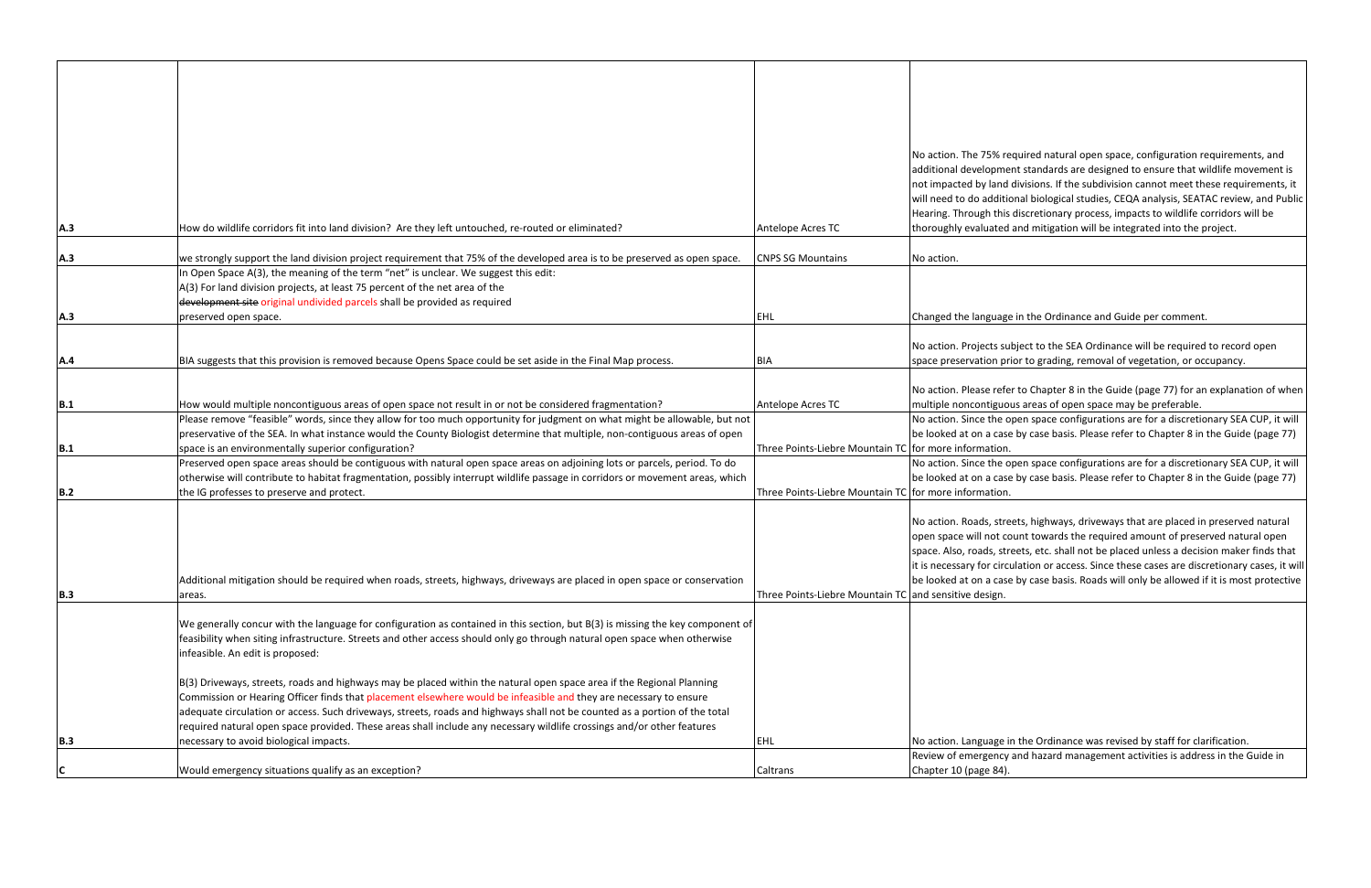|            |                                                                                                                                                                                                                                                 |                                                       | No action. The 75% re                              |
|------------|-------------------------------------------------------------------------------------------------------------------------------------------------------------------------------------------------------------------------------------------------|-------------------------------------------------------|----------------------------------------------------|
|            |                                                                                                                                                                                                                                                 |                                                       | additional developme                               |
|            |                                                                                                                                                                                                                                                 |                                                       | not impacted by land                               |
|            |                                                                                                                                                                                                                                                 |                                                       | will need to do additic                            |
|            |                                                                                                                                                                                                                                                 |                                                       | Hearing. Through this                              |
| A.3        | How do wildlife corridors fit into land division? Are they left untouched, re-routed or eliminated?                                                                                                                                             | Antelope Acres TC                                     | thoroughly evaluated                               |
| A.3        | we strongly support the land division project requirement that 75% of the developed area is to be preserved as open space.                                                                                                                      | <b>CNPS SG Mountains</b>                              | No action.                                         |
|            | In Open Space A(3), the meaning of the term "net" is unclear. We suggest this edit:                                                                                                                                                             |                                                       |                                                    |
|            | A(3) For land division projects, at least 75 percent of the net area of the                                                                                                                                                                     |                                                       |                                                    |
|            | development site original undivided parcels shall be provided as required                                                                                                                                                                       |                                                       |                                                    |
| A.3        | preserved open space.                                                                                                                                                                                                                           | EHL                                                   | Changed the language                               |
|            |                                                                                                                                                                                                                                                 |                                                       |                                                    |
|            |                                                                                                                                                                                                                                                 |                                                       | No action. Projects sul                            |
| <b>A.4</b> | BIA suggests that this provision is removed because Opens Space could be set aside in the Final Map process.                                                                                                                                    | <b>BIA</b>                                            | space preservation pri                             |
|            |                                                                                                                                                                                                                                                 |                                                       | No action. Please refe                             |
| B.1        | How would multiple noncontiguous areas of open space not result in or not be considered fragmentation?                                                                                                                                          | Antelope Acres TC                                     | multiple noncontiguor                              |
|            | Please remove "feasible" words, since they allow for too much opportunity for judgment on what might be allowable, but not                                                                                                                      |                                                       | No action. Since the o                             |
|            | preservative of the SEA. In what instance would the County Biologist determine that multiple, non-contiguous areas of open                                                                                                                      |                                                       | be looked at on a case                             |
| B.1        | space is an environmentally superior configuration?                                                                                                                                                                                             | Three Points-Liebre Mountain TC for more information. |                                                    |
|            | Preserved open space areas should be contiguous with natural open space areas on adjoining lots or parcels, period. To do                                                                                                                       |                                                       | No action. Since the o                             |
|            | otherwise will contribute to habitat fragmentation, possibly interrupt wildlife passage in corridors or movement areas, which                                                                                                                   |                                                       | be looked at on a case                             |
| <b>B.2</b> | the IG professes to preserve and protect.                                                                                                                                                                                                       | Three Points-Liebre Mountain TC for more information. |                                                    |
|            |                                                                                                                                                                                                                                                 |                                                       |                                                    |
|            |                                                                                                                                                                                                                                                 |                                                       | No action. Roads, stre                             |
|            |                                                                                                                                                                                                                                                 |                                                       | open space will not co<br>space. Also, roads, stro |
|            |                                                                                                                                                                                                                                                 |                                                       | it is necessary for circul                         |
|            | Additional mitigation should be required when roads, streets, highways, driveways are placed in open space or conservation                                                                                                                      |                                                       | be looked at on a case                             |
| B.3        | areas.                                                                                                                                                                                                                                          | Three Points-Liebre Mountain TC and sensitive design. |                                                    |
|            |                                                                                                                                                                                                                                                 |                                                       |                                                    |
|            | We generally concur with the language for configuration as contained in this section, but B(3) is missing the key component of                                                                                                                  |                                                       |                                                    |
|            | feasibility when siting infrastructure. Streets and other access should only go through natural open space when otherwise                                                                                                                       |                                                       |                                                    |
|            | infeasible. An edit is proposed:                                                                                                                                                                                                                |                                                       |                                                    |
|            |                                                                                                                                                                                                                                                 |                                                       |                                                    |
|            | B(3) Driveways, streets, roads and highways may be placed within the natural open space area if the Regional Planning                                                                                                                           |                                                       |                                                    |
|            | Commission or Hearing Officer finds that placement elsewhere would be infeasible and they are necessary to ensure<br>adequate circulation or access. Such driveways, streets, roads and highways shall not be counted as a portion of the total |                                                       |                                                    |
|            | required natural open space provided. These areas shall include any necessary wildlife crossings and/or other features                                                                                                                          |                                                       |                                                    |
| B.3        | necessary to avoid biological impacts.                                                                                                                                                                                                          | EHL                                                   | No action. Language in                             |
|            |                                                                                                                                                                                                                                                 |                                                       | Review of emergency                                |
| C          | Would emergency situations qualify as an exception?                                                                                                                                                                                             | Caltrans                                              | Chapter 10 (page 84).                              |

required natural open space, configuration requirements, and ent standards are designed to ensure that wildlife movement is d divisions. If the subdivision cannot meet these requirements, it tional biological studies, CEQA analysis, SEATAC review, and Public is discretionary process, impacts to wildlife corridors will be d and mitigation will be integrated into the project.

ge in the Ordinance and Guide per comment.

ubject to the SEA Ordinance will be required to record open prior to grading, removal of vegetation, or occupancy.

fer to Chapter 8 in the Guide (page 77) for an explanation of when ous areas of open space may be preferable.

open space configurations are for a discretionary SEA CUP, it will se by case basis. Please refer to Chapter 8 in the Guide (page 77)

open space configurations are for a discretionary SEA CUP, it will se by case basis. Please refer to Chapter 8 in the Guide (page 77)

reets, highways, driveways that are placed in preserved natural count towards the required amount of preserved natural open treets, etc. shall not be placed unless a decision maker finds that culation or access. Since these cases are discretionary cases, it will se by case basis. Roads will only be allowed if it is most protective

in the Ordinance was revised by staff for clarification.

y and hazard management activities is address in the Guide in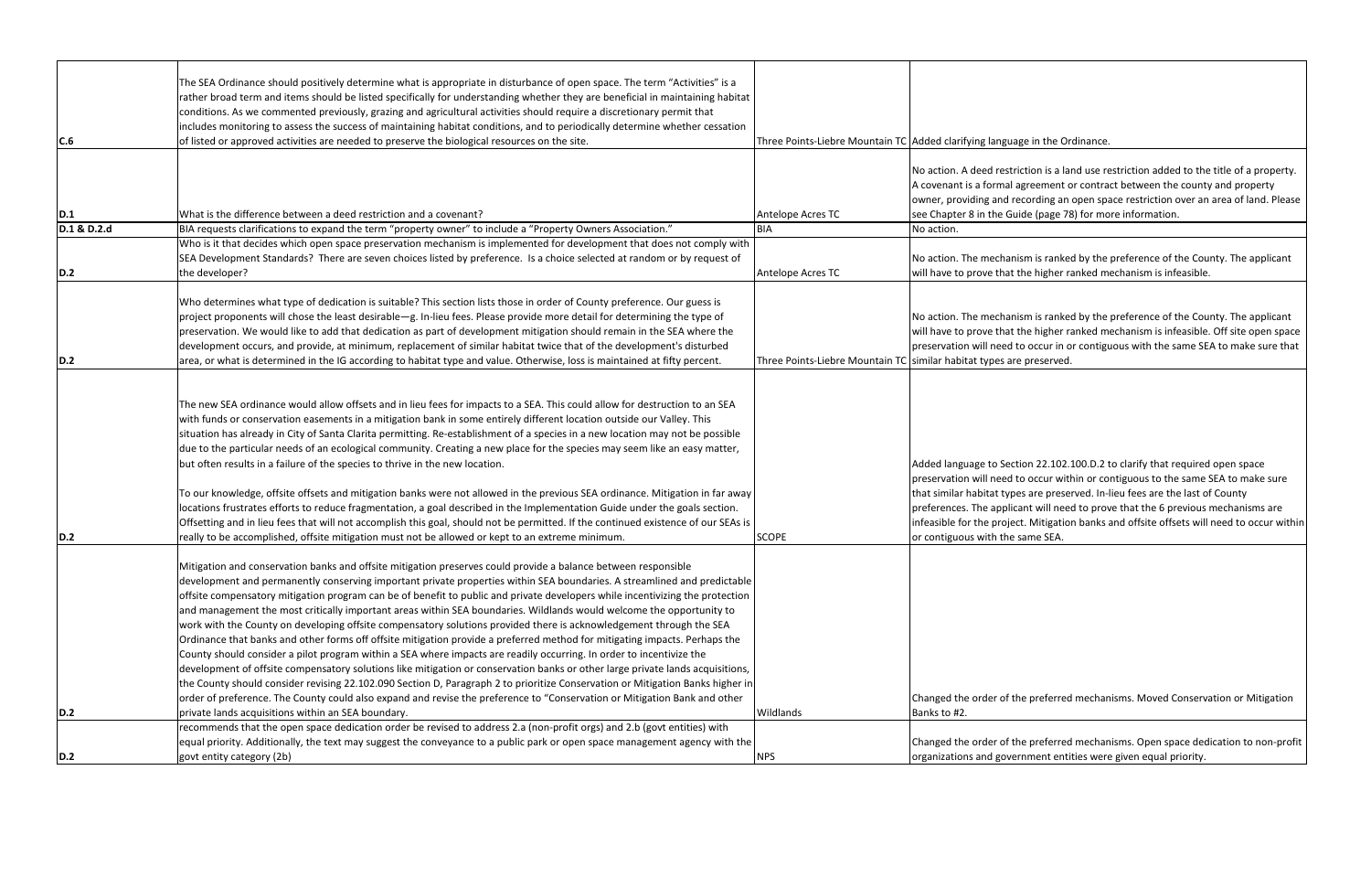| C.6         | The SEA Ordinance should positively determine what is appropriate in disturbance of open space. The term "Activities" is a<br>rather broad term and items should be listed specifically for understanding whether they are beneficial in maintaining habitat<br>conditions. As we commented previously, grazing and agricultural activities should require a discretionary permit that<br>includes monitoring to assess the success of maintaining habitat conditions, and to periodically determine whether cessation<br>of listed or approved activities are needed to preserve the biological resources on the site.                                                                                                                                                                                                                                                                                                                                                                                                                                                                                                                                                                                                                                                           | Three Points-Liebre Mountain TC Added clarifying lang |                                                                                                                                                     |
|-------------|-----------------------------------------------------------------------------------------------------------------------------------------------------------------------------------------------------------------------------------------------------------------------------------------------------------------------------------------------------------------------------------------------------------------------------------------------------------------------------------------------------------------------------------------------------------------------------------------------------------------------------------------------------------------------------------------------------------------------------------------------------------------------------------------------------------------------------------------------------------------------------------------------------------------------------------------------------------------------------------------------------------------------------------------------------------------------------------------------------------------------------------------------------------------------------------------------------------------------------------------------------------------------------------|-------------------------------------------------------|-----------------------------------------------------------------------------------------------------------------------------------------------------|
|             |                                                                                                                                                                                                                                                                                                                                                                                                                                                                                                                                                                                                                                                                                                                                                                                                                                                                                                                                                                                                                                                                                                                                                                                                                                                                                   |                                                       |                                                                                                                                                     |
|             |                                                                                                                                                                                                                                                                                                                                                                                                                                                                                                                                                                                                                                                                                                                                                                                                                                                                                                                                                                                                                                                                                                                                                                                                                                                                                   |                                                       | No action. A deed res                                                                                                                               |
|             |                                                                                                                                                                                                                                                                                                                                                                                                                                                                                                                                                                                                                                                                                                                                                                                                                                                                                                                                                                                                                                                                                                                                                                                                                                                                                   |                                                       | A covenant is a forma                                                                                                                               |
|             |                                                                                                                                                                                                                                                                                                                                                                                                                                                                                                                                                                                                                                                                                                                                                                                                                                                                                                                                                                                                                                                                                                                                                                                                                                                                                   |                                                       | owner, providing and                                                                                                                                |
| D.1         | What is the difference between a deed restriction and a covenant?                                                                                                                                                                                                                                                                                                                                                                                                                                                                                                                                                                                                                                                                                                                                                                                                                                                                                                                                                                                                                                                                                                                                                                                                                 | Antelope Acres TC                                     | see Chapter 8 in the                                                                                                                                |
| D.1 & D.2.d | BIA requests clarifications to expand the term "property owner" to include a "Property Owners Association."                                                                                                                                                                                                                                                                                                                                                                                                                                                                                                                                                                                                                                                                                                                                                                                                                                                                                                                                                                                                                                                                                                                                                                       | <b>BIA</b>                                            | No action.                                                                                                                                          |
|             | Who is it that decides which open space preservation mechanism is implemented for development that does not comply with                                                                                                                                                                                                                                                                                                                                                                                                                                                                                                                                                                                                                                                                                                                                                                                                                                                                                                                                                                                                                                                                                                                                                           |                                                       |                                                                                                                                                     |
| D.2         | SEA Development Standards? There are seven choices listed by preference. Is a choice selected at random or by request of<br>the developer?                                                                                                                                                                                                                                                                                                                                                                                                                                                                                                                                                                                                                                                                                                                                                                                                                                                                                                                                                                                                                                                                                                                                        | Antelope Acres TC                                     | No action. The mecha<br>will have to prove tha                                                                                                      |
|             |                                                                                                                                                                                                                                                                                                                                                                                                                                                                                                                                                                                                                                                                                                                                                                                                                                                                                                                                                                                                                                                                                                                                                                                                                                                                                   |                                                       |                                                                                                                                                     |
|             | Who determines what type of dedication is suitable? This section lists those in order of County preference. Our guess is                                                                                                                                                                                                                                                                                                                                                                                                                                                                                                                                                                                                                                                                                                                                                                                                                                                                                                                                                                                                                                                                                                                                                          |                                                       |                                                                                                                                                     |
|             | project proponents will chose the least desirable-g. In-lieu fees. Please provide more detail for determining the type of                                                                                                                                                                                                                                                                                                                                                                                                                                                                                                                                                                                                                                                                                                                                                                                                                                                                                                                                                                                                                                                                                                                                                         |                                                       | No action. The mecha                                                                                                                                |
|             | preservation. We would like to add that dedication as part of development mitigation should remain in the SEA where the                                                                                                                                                                                                                                                                                                                                                                                                                                                                                                                                                                                                                                                                                                                                                                                                                                                                                                                                                                                                                                                                                                                                                           |                                                       | will have to prove tha                                                                                                                              |
|             | development occurs, and provide, at minimum, replacement of similar habitat twice that of the development's disturbed                                                                                                                                                                                                                                                                                                                                                                                                                                                                                                                                                                                                                                                                                                                                                                                                                                                                                                                                                                                                                                                                                                                                                             |                                                       | preservation will nee                                                                                                                               |
| D.2         | area, or what is determined in the IG according to habitat type and value. Otherwise, loss is maintained at fifty percent.                                                                                                                                                                                                                                                                                                                                                                                                                                                                                                                                                                                                                                                                                                                                                                                                                                                                                                                                                                                                                                                                                                                                                        | Three Points-Liebre Mountain TC similar habitat types |                                                                                                                                                     |
| D.2         | The new SEA ordinance would allow offsets and in lieu fees for impacts to a SEA. This could allow for destruction to an SEA<br>with funds or conservation easements in a mitigation bank in some entirely different location outside our Valley. This<br>situation has already in City of Santa Clarita permitting. Re-establishment of a species in a new location may not be possible<br>due to the particular needs of an ecological community. Creating a new place for the species may seem like an easy matter,<br>but often results in a failure of the species to thrive in the new location.<br>To our knowledge, offsite offsets and mitigation banks were not allowed in the previous SEA ordinance. Mitigation in far away<br>locations frustrates efforts to reduce fragmentation, a goal described in the Implementation Guide under the goals section.<br>Offsetting and in lieu fees that will not accomplish this goal, should not be permitted. If the continued existence of our SEAs is<br>really to be accomplished, offsite mitigation must not be allowed or kept to an extreme minimum.                                                                                                                                                                   | <b>SCOPE</b>                                          | Added language to Se<br>preservation will nee<br>that similar habitat ty<br>preferences. The app<br>infeasible for the pro<br>or contiguous with th |
|             |                                                                                                                                                                                                                                                                                                                                                                                                                                                                                                                                                                                                                                                                                                                                                                                                                                                                                                                                                                                                                                                                                                                                                                                                                                                                                   |                                                       |                                                                                                                                                     |
|             | Mitigation and conservation banks and offsite mitigation preserves could provide a balance between responsible<br>development and permanently conserving important private properties within SEA boundaries. A streamlined and predictable<br>offsite compensatory mitigation program can be of benefit to public and private developers while incentivizing the protection<br>and management the most critically important areas within SEA boundaries. Wildlands would welcome the opportunity to<br>work with the County on developing offsite compensatory solutions provided there is acknowledgement through the SEA<br>Ordinance that banks and other forms off offsite mitigation provide a preferred method for mitigating impacts. Perhaps the<br>County should consider a pilot program within a SEA where impacts are readily occurring. In order to incentivize the<br>development of offsite compensatory solutions like mitigation or conservation banks or other large private lands acquisitions,<br>the County should consider revising 22.102.090 Section D, Paragraph 2 to prioritize Conservation or Mitigation Banks higher in<br>order of preference. The County could also expand and revise the preference to "Conservation or Mitigation Bank and other |                                                       | Changed the order of                                                                                                                                |
| D.2         | private lands acquisitions within an SEA boundary.                                                                                                                                                                                                                                                                                                                                                                                                                                                                                                                                                                                                                                                                                                                                                                                                                                                                                                                                                                                                                                                                                                                                                                                                                                | Wildlands                                             | Banks to #2.                                                                                                                                        |
|             | recommends that the open space dedication order be revised to address 2.a (non-profit orgs) and 2.b (govt entities) with                                                                                                                                                                                                                                                                                                                                                                                                                                                                                                                                                                                                                                                                                                                                                                                                                                                                                                                                                                                                                                                                                                                                                          |                                                       |                                                                                                                                                     |
|             | equal priority. Additionally, the text may suggest the conveyance to a public park or open space management agency with the                                                                                                                                                                                                                                                                                                                                                                                                                                                                                                                                                                                                                                                                                                                                                                                                                                                                                                                                                                                                                                                                                                                                                       |                                                       | Changed the order of                                                                                                                                |
| D.2         | govt entity category (2b)                                                                                                                                                                                                                                                                                                                                                                                                                                                                                                                                                                                                                                                                                                                                                                                                                                                                                                                                                                                                                                                                                                                                                                                                                                                         | <b>NPS</b>                                            | organizations and got                                                                                                                               |

quage in the Ordinance.

striction is a land use restriction added to the title of a property. al agreement or contract between the county and property I recording an open space restriction over an area of land. Please Guide (page 78) for more information.

anism is ranked by the preference of the County. The applicant at the higher ranked mechanism is infeasible.

anism is ranked by the preference of the County. The applicant at the higher ranked mechanism is infeasible. Off site open space ed to occur in or contiguous with the same SEA to make sure that are preserved.

ection 22.102.100.D.2 to clarify that required open space ed to occur within or contiguous to the same SEA to make sure ypes are preserved. In-lieu fees are the last of County plicant will need to prove that the 6 previous mechanisms are bject. Mitigation banks and offsite offsets will need to occur within ne same SEA.

f the preferred mechanisms. Moved Conservation or Mitigation

f the preferred mechanisms. Open space dedication to non-profit vernment entities were given equal priority.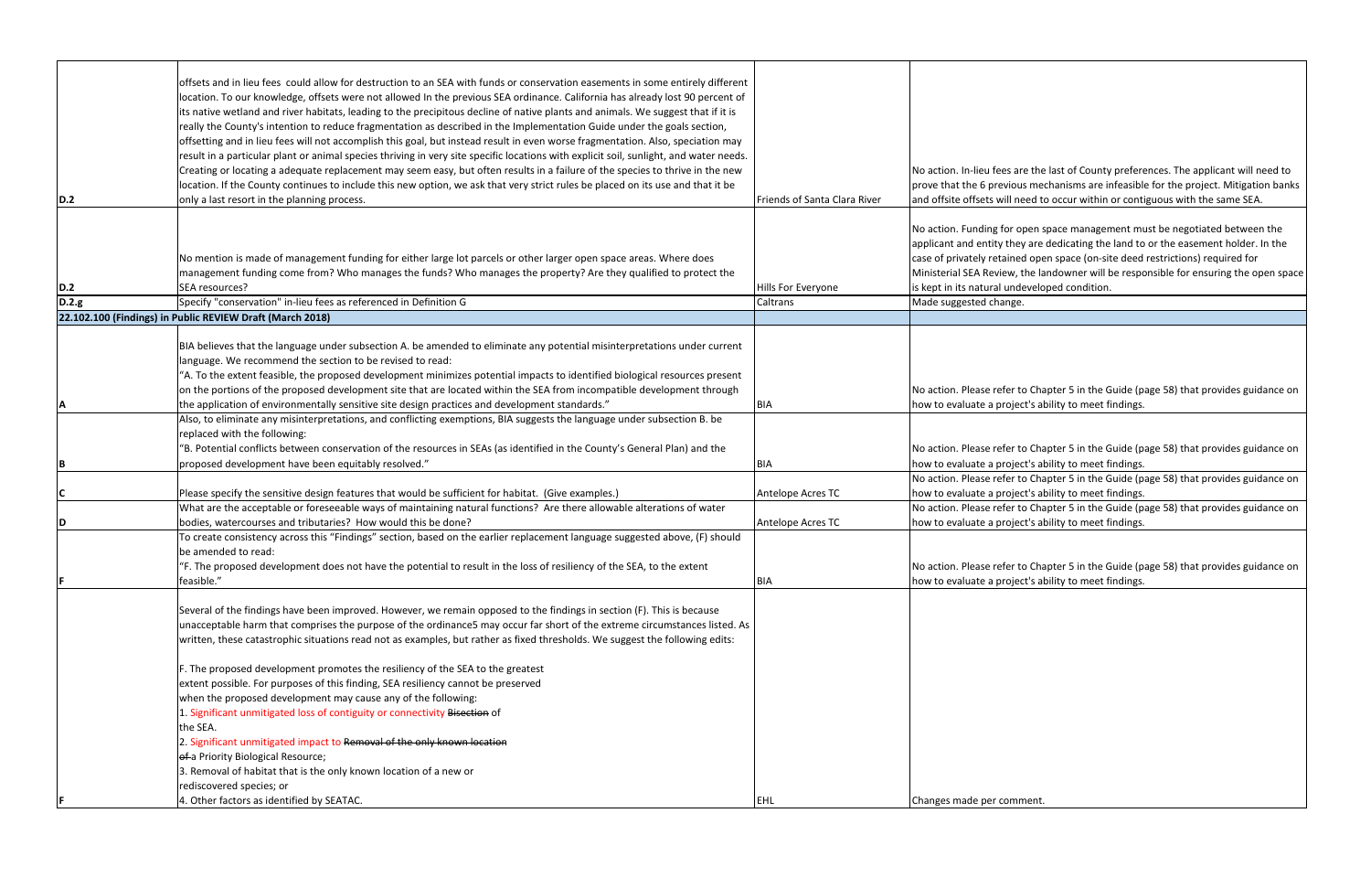| D.2   | offsets and in lieu fees could allow for destruction to an SEA with funds or conservation easements in some entirely different<br>location. To our knowledge, offsets were not allowed In the previous SEA ordinance. California has already lost 90 percent of<br>its native wetland and river habitats, leading to the precipitous decline of native plants and animals. We suggest that if it is<br>really the County's intention to reduce fragmentation as described in the Implementation Guide under the goals section,<br>offsetting and in lieu fees will not accomplish this goal, but instead result in even worse fragmentation. Also, speciation may<br>result in a particular plant or animal species thriving in very site specific locations with explicit soil, sunlight, and water needs.<br>Creating or locating a adequate replacement may seem easy, but often results in a failure of the species to thrive in the new<br>location. If the County continues to include this new option, we ask that very strict rules be placed on its use and that it be<br>only a last resort in the planning process. | Friends of Santa Clara River | No action. In-lieu fees are the<br>prove that the 6 previous me<br>and offsite offsets will need to                                                                   |
|-------|--------------------------------------------------------------------------------------------------------------------------------------------------------------------------------------------------------------------------------------------------------------------------------------------------------------------------------------------------------------------------------------------------------------------------------------------------------------------------------------------------------------------------------------------------------------------------------------------------------------------------------------------------------------------------------------------------------------------------------------------------------------------------------------------------------------------------------------------------------------------------------------------------------------------------------------------------------------------------------------------------------------------------------------------------------------------------------------------------------------------------------|------------------------------|-----------------------------------------------------------------------------------------------------------------------------------------------------------------------|
| D.2   | No mention is made of management funding for either large lot parcels or other larger open space areas. Where does<br>management funding come from? Who manages the funds? Who manages the property? Are they qualified to protect the<br>SEA resources?                                                                                                                                                                                                                                                                                                                                                                                                                                                                                                                                                                                                                                                                                                                                                                                                                                                                       | Hills For Everyone           | No action. Funding for open s<br>applicant and entity they are<br>case of privately retained ope<br>Ministerial SEA Review, the la<br>is kept in its natural undevelo |
| D.2.g | Specify "conservation" in-lieu fees as referenced in Definition G<br>22.102.100 (Findings) in Public REVIEW Draft (March 2018)                                                                                                                                                                                                                                                                                                                                                                                                                                                                                                                                                                                                                                                                                                                                                                                                                                                                                                                                                                                                 | Caltrans                     | Made suggested change.                                                                                                                                                |
| ΙA    | BIA believes that the language under subsection A. be amended to eliminate any potential misinterpretations under current<br>language. We recommend the section to be revised to read:<br>"A. To the extent feasible, the proposed development minimizes potential impacts to identified biological resources present<br>on the portions of the proposed development site that are located within the SEA from incompatible development through<br>the application of environmentally sensitive site design practices and development standards."                                                                                                                                                                                                                                                                                                                                                                                                                                                                                                                                                                              | <b>BIA</b>                   | No action. Please refer to Cha<br>how to evaluate a project's al                                                                                                      |
| lВ    | Also, to eliminate any misinterpretations, and conflicting exemptions, BIA suggests the language under subsection B. be<br>replaced with the following:<br>'B. Potential conflicts between conservation of the resources in SEAs (as identified in the County's General Plan) and the<br>proposed development have been equitably resolved."                                                                                                                                                                                                                                                                                                                                                                                                                                                                                                                                                                                                                                                                                                                                                                                   | <b>BIA</b>                   | No action. Please refer to Cha<br>how to evaluate a project's al                                                                                                      |
| C     | Please specify the sensitive design features that would be sufficient for habitat. (Give examples.)                                                                                                                                                                                                                                                                                                                                                                                                                                                                                                                                                                                                                                                                                                                                                                                                                                                                                                                                                                                                                            | Antelope Acres TC            | No action. Please refer to Cha<br>how to evaluate a project's al                                                                                                      |
| ID    | What are the acceptable or foreseeable ways of maintaining natural functions? Are there allowable alterations of water<br>bodies, watercourses and tributaries? How would this be done?<br>To create consistency across this "Findings" section, based on the earlier replacement language suggested above, (F) should<br>be amended to read:                                                                                                                                                                                                                                                                                                                                                                                                                                                                                                                                                                                                                                                                                                                                                                                  | Antelope Acres TC            | No action. Please refer to Cha<br>how to evaluate a project's al                                                                                                      |
|       | 'F. The proposed development does not have the potential to result in the loss of resiliency of the SEA, to the extent<br>feasible."                                                                                                                                                                                                                                                                                                                                                                                                                                                                                                                                                                                                                                                                                                                                                                                                                                                                                                                                                                                           | <b>BIA</b>                   | No action. Please refer to Cha<br>how to evaluate a project's al                                                                                                      |
|       | Several of the findings have been improved. However, we remain opposed to the findings in section (F). This is because<br>unacceptable harm that comprises the purpose of the ordinance5 may occur far short of the extreme circumstances listed. As<br>written, these catastrophic situations read not as examples, but rather as fixed thresholds. We suggest the following edits:<br>F. The proposed development promotes the resiliency of the SEA to the greatest<br>extent possible. For purposes of this finding, SEA resiliency cannot be preserved<br>when the proposed development may cause any of the following:<br>1. Significant unmitigated loss of contiguity or connectivity Bisection of<br>the SEA.<br>2. Significant unmitigated impact to Removal of the only known location                                                                                                                                                                                                                                                                                                                              |                              |                                                                                                                                                                       |
|       | of a Priority Biological Resource;<br>3. Removal of habitat that is the only known location of a new or<br>rediscovered species; or<br>4. Other factors as identified by SEATAC.                                                                                                                                                                                                                                                                                                                                                                                                                                                                                                                                                                                                                                                                                                                                                                                                                                                                                                                                               | EHL                          | Changes made per comment.                                                                                                                                             |

es are the last of County preferences. The applicant will need to vious mechanisms are infeasible for the project. Mitigation banks ill need to occur within or contiguous with the same SEA.

or open space management must be negotiated between the they are dedicating the land to or the easement holder. In the ained open space (on-site deed restrictions) required for ew, the landowner will be responsible for ensuring the open space undeveloped condition.

fer to Chapter 5 in the Guide (page 58) that provides guidance on roject's ability to meet findings.

fer to Chapter 5 in the Guide (page 58) that provides guidance on roject's ability to meet findings.

fer to Chapter 5 in the Guide (page 58) that provides guidance on roject's ability to meet findings.

fer to Chapter 5 in the Guide (page 58) that provides guidance on roject's ability to meet findings.

fer to Chapter 5 in the Guide (page 58) that provides guidance on roject's ability to meet findings.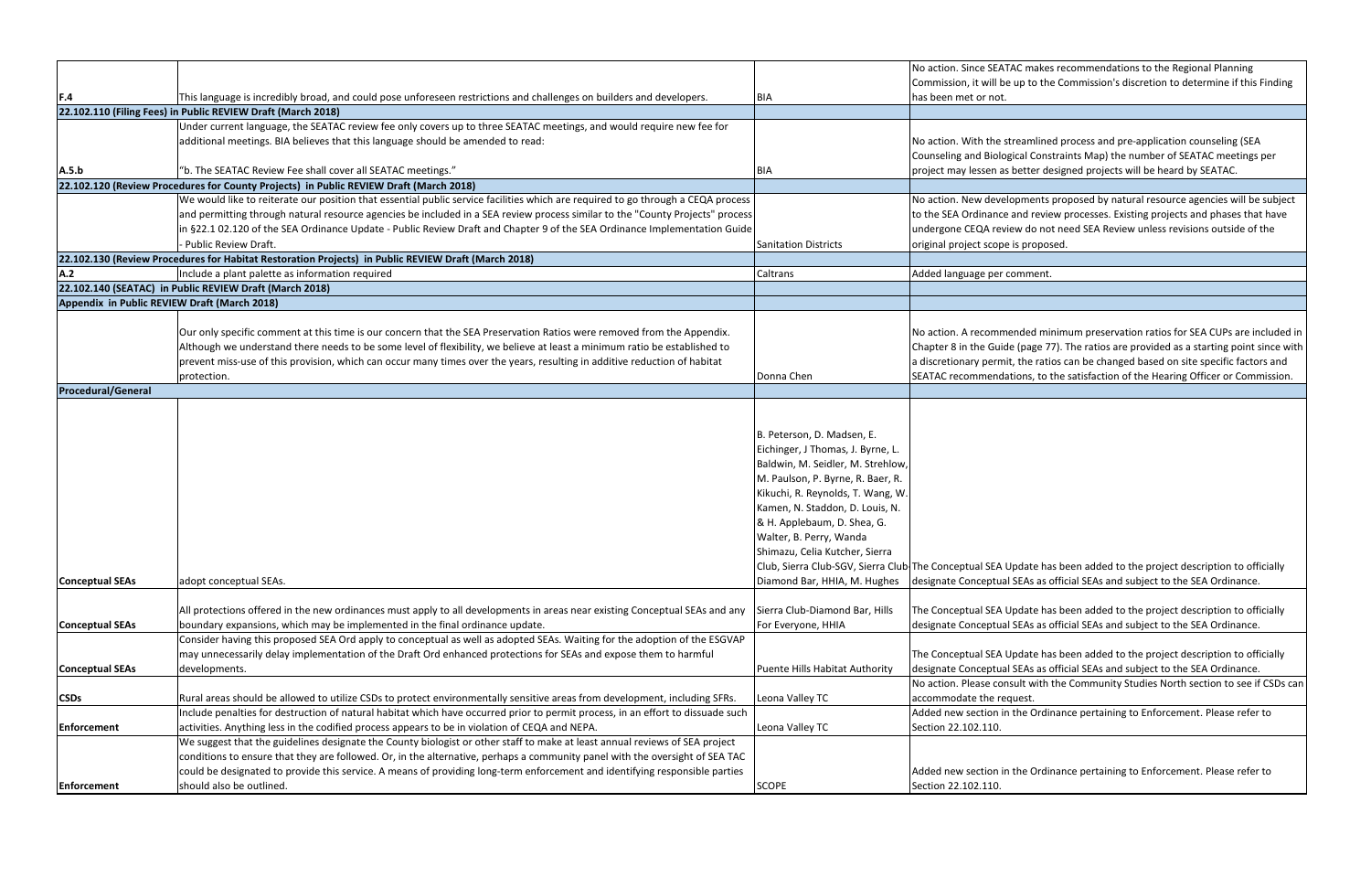|                           |                                                                                                                                                                                                                                                                |                                                                                                                                                                                                                                                                                                                                                                                                                  | No action. Since SEATAC makes                                  |
|---------------------------|----------------------------------------------------------------------------------------------------------------------------------------------------------------------------------------------------------------------------------------------------------------|------------------------------------------------------------------------------------------------------------------------------------------------------------------------------------------------------------------------------------------------------------------------------------------------------------------------------------------------------------------------------------------------------------------|----------------------------------------------------------------|
|                           |                                                                                                                                                                                                                                                                |                                                                                                                                                                                                                                                                                                                                                                                                                  | Commission, it will be up to the                               |
| F.4                       | This language is incredibly broad, and could pose unforeseen restrictions and challenges on builders and developers.                                                                                                                                           | BIA                                                                                                                                                                                                                                                                                                                                                                                                              | has been met or not.                                           |
|                           | 22.102.110 (Filing Fees) in Public REVIEW Draft (March 2018)                                                                                                                                                                                                   |                                                                                                                                                                                                                                                                                                                                                                                                                  |                                                                |
|                           | Under current language, the SEATAC review fee only covers up to three SEATAC meetings, and would require new fee for                                                                                                                                           |                                                                                                                                                                                                                                                                                                                                                                                                                  |                                                                |
|                           | additional meetings. BIA believes that this language should be amended to read:                                                                                                                                                                                |                                                                                                                                                                                                                                                                                                                                                                                                                  | No action. With the streamline                                 |
|                           |                                                                                                                                                                                                                                                                |                                                                                                                                                                                                                                                                                                                                                                                                                  | Counseling and Biological Cons                                 |
| A.5.b                     | "b. The SEATAC Review Fee shall cover all SEATAC meetings."                                                                                                                                                                                                    | BIA                                                                                                                                                                                                                                                                                                                                                                                                              | project may lessen as better de                                |
|                           | 22.102.120 (Review Procedures for County Projects) in Public REVIEW Draft (March 2018)                                                                                                                                                                         |                                                                                                                                                                                                                                                                                                                                                                                                                  |                                                                |
|                           | We would like to reiterate our position that essential public service facilities which are required to go through a CEQA process                                                                                                                               |                                                                                                                                                                                                                                                                                                                                                                                                                  | No action. New developments                                    |
|                           | and permitting through natural resource agencies be included in a SEA review process similar to the "County Projects" process                                                                                                                                  |                                                                                                                                                                                                                                                                                                                                                                                                                  | to the SEA Ordinance and revie                                 |
|                           | in §22.1 02.120 of the SEA Ordinance Update - Public Review Draft and Chapter 9 of the SEA Ordinance Implementation Guide                                                                                                                                      |                                                                                                                                                                                                                                                                                                                                                                                                                  | undergone CEQA review do no                                    |
|                           | Public Review Draft.                                                                                                                                                                                                                                           | <b>Sanitation Districts</b>                                                                                                                                                                                                                                                                                                                                                                                      | original project scope is propos                               |
|                           | 22.102.130 (Review Procedures for Habitat Restoration Projects) in Public REVIEW Draft (March 2018)                                                                                                                                                            |                                                                                                                                                                                                                                                                                                                                                                                                                  |                                                                |
| A.2                       | Include a plant palette as information required                                                                                                                                                                                                                | Caltrans                                                                                                                                                                                                                                                                                                                                                                                                         | Added language per comment.                                    |
|                           | 22.102.140 (SEATAC) in Public REVIEW Draft (March 2018)                                                                                                                                                                                                        |                                                                                                                                                                                                                                                                                                                                                                                                                  |                                                                |
|                           | Appendix in Public REVIEW Draft (March 2018)                                                                                                                                                                                                                   |                                                                                                                                                                                                                                                                                                                                                                                                                  |                                                                |
|                           |                                                                                                                                                                                                                                                                |                                                                                                                                                                                                                                                                                                                                                                                                                  |                                                                |
|                           | Our only specific comment at this time is our concern that the SEA Preservation Ratios were removed from the Appendix.                                                                                                                                         |                                                                                                                                                                                                                                                                                                                                                                                                                  | No action. A recommended mi                                    |
|                           | Although we understand there needs to be some level of flexibility, we believe at least a minimum ratio be established to                                                                                                                                      |                                                                                                                                                                                                                                                                                                                                                                                                                  | Chapter 8 in the Guide (page 7                                 |
|                           | prevent miss-use of this provision, which can occur many times over the years, resulting in additive reduction of habitat                                                                                                                                      |                                                                                                                                                                                                                                                                                                                                                                                                                  | a discretionary permit, the rati                               |
|                           | protection.                                                                                                                                                                                                                                                    | Donna Chen                                                                                                                                                                                                                                                                                                                                                                                                       | SEATAC recommendations, to t                                   |
| <b>Procedural/General</b> |                                                                                                                                                                                                                                                                |                                                                                                                                                                                                                                                                                                                                                                                                                  |                                                                |
| <b>Conceptual SEAs</b>    | adopt conceptual SEAs.                                                                                                                                                                                                                                         | B. Peterson, D. Madsen, E.<br>Eichinger, J Thomas, J. Byrne, L.<br>Baldwin, M. Seidler, M. Strehlow,<br>M. Paulson, P. Byrne, R. Baer, R.<br>Kikuchi, R. Reynolds, T. Wang, W.<br>Kamen, N. Staddon, D. Louis, N.<br>& H. Applebaum, D. Shea, G.<br>Walter, B. Perry, Wanda<br>Shimazu, Celia Kutcher, Sierra<br>Club, Sierra Club-SGV, Sierra Club The Conceptual SEA Update ha<br>Diamond Bar, HHIA, M. Hughes | designate Conceptual SEAs as o                                 |
| <b>Conceptual SEAs</b>    | All protections offered in the new ordinances must apply to all developments in areas near existing Conceptual SEAs and any<br>boundary expansions, which may be implemented in the final ordinance update.                                                    | Sierra Club-Diamond Bar, Hills<br>For Everyone, HHIA                                                                                                                                                                                                                                                                                                                                                             | The Conceptual SEA Update ha<br>designate Conceptual SEAs as o |
| <b>Conceptual SEAs</b>    | Consider having this proposed SEA Ord apply to conceptual as well as adopted SEAs. Waiting for the adoption of the ESGVAP<br>may unnecessarily delay implementation of the Draft Ord enhanced protections for SEAs and expose them to harmful<br>developments. | Puente Hills Habitat Authority                                                                                                                                                                                                                                                                                                                                                                                   | The Conceptual SEA Update ha<br>designate Conceptual SEAs as o |
| <b>CSDs</b>               | Rural areas should be allowed to utilize CSDs to protect environmentally sensitive areas from development, including SFRs.                                                                                                                                     | Leona Valley TC                                                                                                                                                                                                                                                                                                                                                                                                  | No action. Please consult with<br>accommodate the request.     |
|                           | Include penalties for destruction of natural habitat which have occurred prior to permit process, in an effort to dissuade such                                                                                                                                |                                                                                                                                                                                                                                                                                                                                                                                                                  | Added new section in the Ordi                                  |
| Enforcement               | activities. Anything less in the codified process appears to be in violation of CEQA and NEPA.                                                                                                                                                                 | Leona Valley TC                                                                                                                                                                                                                                                                                                                                                                                                  | Section 22.102.110.                                            |
|                           | We suggest that the guidelines designate the County biologist or other staff to make at least annual reviews of SEA project                                                                                                                                    |                                                                                                                                                                                                                                                                                                                                                                                                                  |                                                                |
|                           | conditions to ensure that they are followed. Or, in the alternative, perhaps a community panel with the oversight of SEA TAC                                                                                                                                   |                                                                                                                                                                                                                                                                                                                                                                                                                  |                                                                |
|                           | could be designated to provide this service. A means of providing long-term enforcement and identifying responsible parties                                                                                                                                    |                                                                                                                                                                                                                                                                                                                                                                                                                  | Added new section in the Ordi                                  |
| Enforcement               | should also be outlined.                                                                                                                                                                                                                                       | <b>SCOPE</b>                                                                                                                                                                                                                                                                                                                                                                                                     | Section 22.102.110.                                            |

TAC makes recommendations to the Regional Planning e up to the Commission's discretion to determine if this Finding

streamlined process and pre-application counseling (SEA ogical Constraints Map) the number of SEATAC meetings per s better designed projects will be heard by SEATAC.

elopments proposed by natural resource agencies will be subject e and review processes. Existing projects and phases that have view do not need SEA Review unless revisions outside of the e is proposed.

nended minimum preservation ratios for SEA CUPs are included in de (page 77). The ratios are provided as a starting point since with hit, the ratios can be changed based on site specific factors and lations, to the satisfaction of the Hearing Officer or Commission.

Update has been added to the project description to officially al SEAs as official SEAs and subject to the SEA Ordinance.

Update has been added to the project description to officially al SEAs as official SEAs and subject to the SEA Ordinance.

Update has been added to the project description to officially al SEAs as official SEAs and subject to the SEA Ordinance.

nsult with the Community Studies North section to see if CSDs can equest.

In the Ordinance pertaining to Enforcement. Please refer to

In the Ordinance pertaining to Enforcement. Please refer to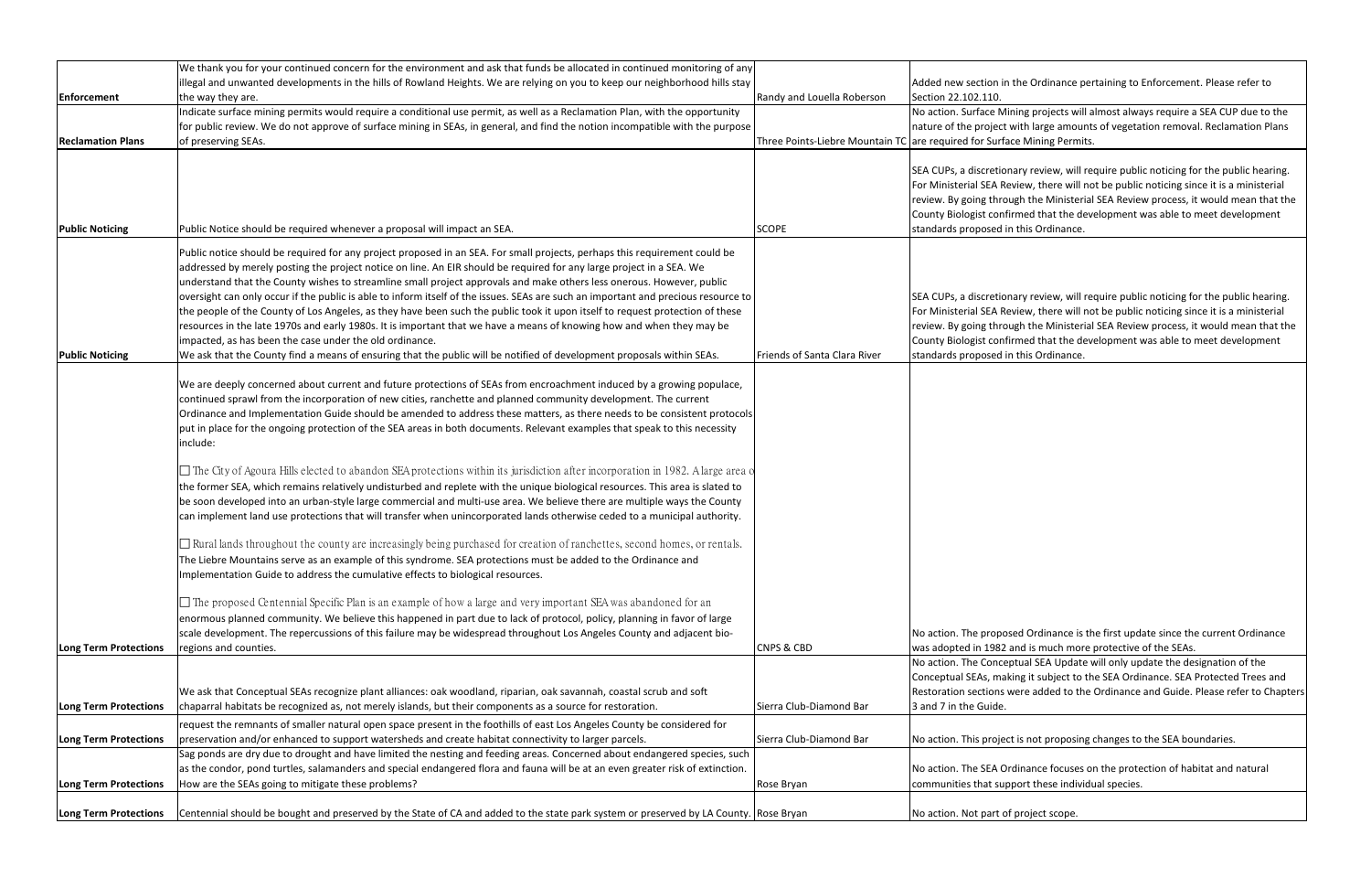|                              | We thank you for your continued concern for the environment and ask that funds be allocated in continued monitoring of any             |                              |                                                                            |
|------------------------------|----------------------------------------------------------------------------------------------------------------------------------------|------------------------------|----------------------------------------------------------------------------|
|                              | illegal and unwanted developments in the hills of Rowland Heights. We are relying on you to keep our neighborhood hills stay           |                              | Added new section in the Ordinance                                         |
| Enforcement                  | the way they are.                                                                                                                      | Randy and Louella Roberson   | Section 22.102.110.                                                        |
|                              | Indicate surface mining permits would require a conditional use permit, as well as a Reclamation Plan, with the opportunity            |                              | No action. Surface Mining projects w                                       |
|                              | for public review. We do not approve of surface mining in SEAs, in general, and find the notion incompatible with the purpose          |                              | nature of the project with large amo                                       |
| <b>Reclamation Plans</b>     | of preserving SEAs.                                                                                                                    |                              | Three Points-Liebre Mountain TC are required for Surface Mining Pern       |
|                              |                                                                                                                                        |                              | SEA CUPs, a discretionary review, wi                                       |
|                              |                                                                                                                                        |                              | For Ministerial SEA Review, there wil                                      |
|                              |                                                                                                                                        |                              | review. By going through the Ministe                                       |
| <b>Public Noticing</b>       | Public Notice should be required whenever a proposal will impact an SEA.                                                               | <b>SCOPE</b>                 | County Biologist confirmed that the<br>standards proposed in this Ordinanc |
|                              |                                                                                                                                        |                              |                                                                            |
|                              | Public notice should be required for any project proposed in an SEA. For small projects, perhaps this requirement could be             |                              |                                                                            |
|                              | addressed by merely posting the project notice on line. An EIR should be required for any large project in a SEA. We                   |                              |                                                                            |
|                              | understand that the County wishes to streamline small project approvals and make others less onerous. However, public                  |                              |                                                                            |
|                              | oversight can only occur if the public is able to inform itself of the issues. SEAs are such an important and precious resource to     |                              | SEA CUPs, a discretionary review, wi                                       |
|                              | the people of the County of Los Angeles, as they have been such the public took it upon itself to request protection of these          |                              | For Ministerial SEA Review, there wil                                      |
|                              | resources in the late 1970s and early 1980s. It is important that we have a means of knowing how and when they may be                  |                              | review. By going through the Ministe                                       |
|                              | impacted, as has been the case under the old ordinance.                                                                                |                              | County Biologist confirmed that the                                        |
| <b>Public Noticing</b>       | We ask that the County find a means of ensuring that the public will be notified of development proposals within SEAs.                 | Friends of Santa Clara River | standards proposed in this Ordinanc                                        |
|                              | We are deeply concerned about current and future protections of SEAs from encroachment induced by a growing populace,                  |                              |                                                                            |
|                              | continued sprawl from the incorporation of new cities, ranchette and planned community development. The current                        |                              |                                                                            |
|                              | Ordinance and Implementation Guide should be amended to address these matters, as there needs to be consistent protocols               |                              |                                                                            |
|                              | put in place for the ongoing protection of the SEA areas in both documents. Relevant examples that speak to this necessity<br>include: |                              |                                                                            |
|                              | $\Box$ The City of Agoura Hills elected to abandon SEA protections within its jurisdiction after incorporation in 1982. A large area o |                              |                                                                            |
|                              | the former SEA, which remains relatively undisturbed and replete with the unique biological resources. This area is slated to          |                              |                                                                            |
|                              | be soon developed into an urban-style large commercial and multi-use area. We believe there are multiple ways the County               |                              |                                                                            |
|                              | can implement land use protections that will transfer when unincorporated lands otherwise ceded to a municipal authority.              |                              |                                                                            |
|                              | $\Box$ Rural lands throughout the county are increasingly being purchased for creation of ranchettes, second homes, or rentals.        |                              |                                                                            |
|                              | The Liebre Mountains serve as an example of this syndrome. SEA protections must be added to the Ordinance and                          |                              |                                                                            |
|                              | Implementation Guide to address the cumulative effects to biological resources.                                                        |                              |                                                                            |
|                              |                                                                                                                                        |                              |                                                                            |
|                              | $\Box$ The proposed Centennial Specific Plan is an example of how a large and very important SEA was abandoned for an                  |                              |                                                                            |
|                              | enormous planned community. We believe this happened in part due to lack of protocol, policy, planning in favor of large               |                              |                                                                            |
|                              | scale development. The repercussions of this failure may be widespread throughout Los Angeles County and adjacent bio-                 |                              | No action. The proposed Ordinance                                          |
| Long Term Protections        | regions and counties.                                                                                                                  | <b>CNPS &amp; CBD</b>        | was adopted in 1982 and is much mo                                         |
|                              |                                                                                                                                        |                              | No action. The Conceptual SEA Upda                                         |
|                              |                                                                                                                                        |                              | Conceptual SEAs, making it subject t                                       |
|                              | We ask that Conceptual SEAs recognize plant alliances: oak woodland, riparian, oak savannah, coastal scrub and soft                    |                              | Restoration sections were added to                                         |
| <b>Long Term Protections</b> | chaparral habitats be recognized as, not merely islands, but their components as a source for restoration.                             | Sierra Club-Diamond Bar      | 3 and 7 in the Guide.                                                      |
|                              | request the remnants of smaller natural open space present in the foothills of east Los Angeles County be considered for               |                              |                                                                            |
| Long Term Protections        | preservation and/or enhanced to support watersheds and create habitat connectivity to larger parcels.                                  | Sierra Club-Diamond Bar      | No action. This project is not propos                                      |
|                              | Sag ponds are dry due to drought and have limited the nesting and feeding areas. Concerned about endangered species, such              |                              |                                                                            |
|                              | as the condor, pond turtles, salamanders and special endangered flora and fauna will be at an even greater risk of extinction.         |                              | No action. The SEA Ordinance focuse                                        |
| Long Term Protections        | How are the SEAs going to mitigate these problems?                                                                                     | Rose Bryan                   | communities that support these indi                                        |
| Long Term Protections        | Centennial should be bought and preserved by the State of CA and added to the state park system or preserved by LA County. Rose Bryan  |                              | No action. Not part of project scope.                                      |
|                              |                                                                                                                                        |                              |                                                                            |

In the Ordinance pertaining to Enforcement. Please refer to

Ining projects will almost always require a SEA CUP due to the t with large amounts of vegetation removal. Reclamation Plans face Mining Permits.

onary review, will require public noticing for the public hearing. Review, there will not be public noticing since it is a ministerial ough the Ministerial SEA Review process, it would mean that the firmed that the development was able to meet development in this Ordinance.

onary review, will require public noticing for the public hearing. Review, there will not be public noticing since it is a ministerial ough the Ministerial SEA Review process, it would mean that the firmed that the development was able to meet development in this Ordinance.

osed Ordinance is the first update since the current Ordinance 2 and is much more protective of the SEAs.

eptual SEA Update will only update the designation of the aking it subject to the SEA Ordinance. SEA Protected Trees and Restoration section sections were added to the Ordinance and Guide. Please refer to Chapters

ect is not proposing changes to the SEA boundaries.

Ordinance focuses on the protection of habitat and natural pport these individual species.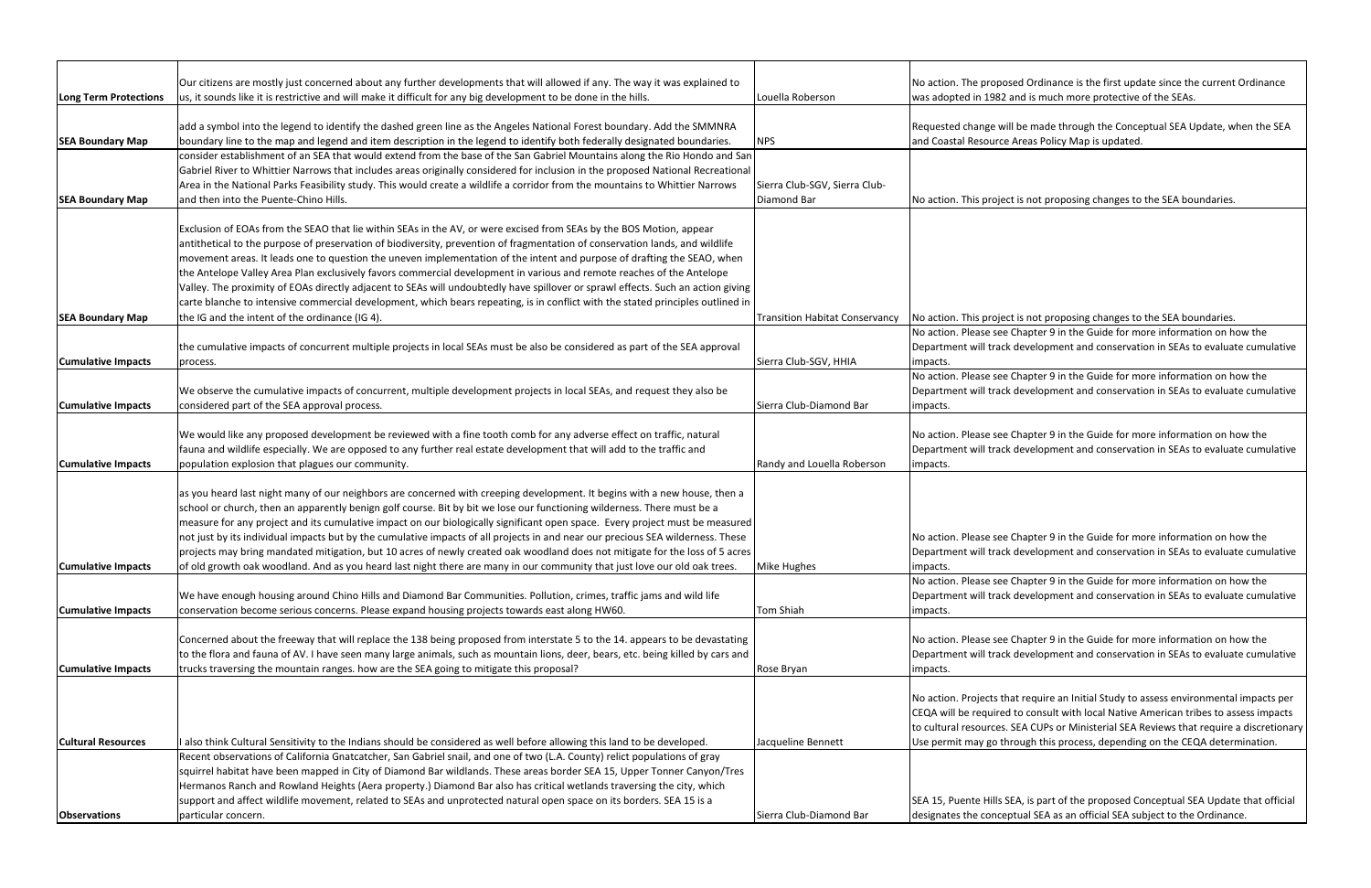|                           | Our citizens are mostly just concerned about any further developments that will allowed if any. The way it was explained to      |                                       | No action. The propo   |
|---------------------------|----------------------------------------------------------------------------------------------------------------------------------|---------------------------------------|------------------------|
| Long Term Protections     | us, it sounds like it is restrictive and will make it difficult for any big development to be done in the hills.                 | Louella Roberson                      | was adopted in 1982    |
|                           | add a symbol into the legend to identify the dashed green line as the Angeles National Forest boundary. Add the SMMNRA           |                                       | Requested change wi    |
| <b>SEA Boundary Map</b>   | boundary line to the map and legend and item description in the legend to identify both federally designated boundaries.         | <b>NPS</b>                            | and Coastal Resource   |
|                           | consider establishment of an SEA that would extend from the base of the San Gabriel Mountains along the Rio Hondo and San        |                                       |                        |
|                           | Gabriel River to Whittier Narrows that includes areas originally considered for inclusion in the proposed National Recreational  |                                       |                        |
|                           | Area in the National Parks Feasibility study. This would create a wildlife a corridor from the mountains to Whittier Narrows     | Sierra Club-SGV, Sierra Club-         |                        |
| <b>SEA Boundary Map</b>   | and then into the Puente-Chino Hills.                                                                                            | Diamond Bar                           | No action. This projed |
|                           |                                                                                                                                  |                                       |                        |
|                           | Exclusion of EOAs from the SEAO that lie within SEAs in the AV, or were excised from SEAs by the BOS Motion, appear              |                                       |                        |
|                           | antithetical to the purpose of preservation of biodiversity, prevention of fragmentation of conservation lands, and wildlife     |                                       |                        |
|                           | movement areas. It leads one to question the uneven implementation of the intent and purpose of drafting the SEAO, when          |                                       |                        |
|                           | the Antelope Valley Area Plan exclusively favors commercial development in various and remote reaches of the Antelope            |                                       |                        |
|                           | Valley. The proximity of EOAs directly adjacent to SEAs will undoubtedly have spillover or sprawl effects. Such an action giving |                                       |                        |
|                           | carte blanche to intensive commercial development, which bears repeating, is in conflict with the stated principles outlined in  |                                       |                        |
| <b>SEA Boundary Map</b>   | the IG and the intent of the ordinance (IG 4).                                                                                   | <b>Transition Habitat Conservancy</b> | No action. This projed |
|                           |                                                                                                                                  |                                       | No action. Please see  |
|                           | the cumulative impacts of concurrent multiple projects in local SEAs must be also be considered as part of the SEA approval      |                                       | Department will track  |
| <b>Cumulative Impacts</b> | process.                                                                                                                         | Sierra Club-SGV, HHIA                 | impacts.               |
|                           |                                                                                                                                  |                                       | No action. Please see  |
|                           | We observe the cumulative impacts of concurrent, multiple development projects in local SEAs, and request they also be           |                                       | Department will track  |
| <b>Cumulative Impacts</b> | considered part of the SEA approval process.                                                                                     | Sierra Club-Diamond Bar               | impacts.               |
|                           |                                                                                                                                  |                                       |                        |
|                           | We would like any proposed development be reviewed with a fine tooth comb for any adverse effect on traffic, natural             |                                       | No action. Please see  |
|                           | fauna and wildlife especially. We are opposed to any further real estate development that will add to the traffic and            |                                       | Department will track  |
| <b>Cumulative Impacts</b> | population explosion that plagues our community.                                                                                 | Randy and Louella Roberson            | impacts.               |
|                           | as you heard last night many of our neighbors are concerned with creeping development. It begins with a new house, then a        |                                       |                        |
|                           | school or church, then an apparently benign golf course. Bit by bit we lose our functioning wilderness. There must be a          |                                       |                        |
|                           | measure for any project and its cumulative impact on our biologically significant open space. Every project must be measured     |                                       |                        |
|                           | not just by its individual impacts but by the cumulative impacts of all projects in and near our precious SEA wilderness. These  |                                       | No action. Please see  |
|                           | projects may bring mandated mitigation, but 10 acres of newly created oak woodland does not mitigate for the loss of 5 acres     |                                       | Department will track  |
| <b>Cumulative Impacts</b> | of old growth oak woodland. And as you heard last night there are many in our community that just love our old oak trees.        | <b>Mike Hughes</b>                    | impacts.               |
|                           |                                                                                                                                  |                                       | No action. Please see  |
|                           | We have enough housing around Chino Hills and Diamond Bar Communities. Pollution, crimes, traffic jams and wild life             |                                       | Department will track  |
| <b>Cumulative Impacts</b> | conservation become serious concerns. Please expand housing projects towards east along HW60.                                    | <b>Tom Shiah</b>                      | impacts.               |
|                           |                                                                                                                                  |                                       |                        |
|                           | Concerned about the freeway that will replace the 138 being proposed from interstate 5 to the 14. appears to be devastating      |                                       | No action. Please see  |
|                           | to the flora and fauna of AV. I have seen many large animals, such as mountain lions, deer, bears, etc. being killed by cars and |                                       | Department will track  |
| <b>Cumulative Impacts</b> | trucks traversing the mountain ranges. how are the SEA going to mitigate this proposal?                                          | Rose Bryan                            | impacts.               |
|                           |                                                                                                                                  |                                       |                        |
|                           |                                                                                                                                  |                                       | No action. Projects th |
|                           |                                                                                                                                  |                                       | CEQA will be required  |
|                           |                                                                                                                                  |                                       | to cultural resources. |
| <b>Cultural Resources</b> | I also think Cultural Sensitivity to the Indians should be considered as well before allowing this land to be developed.         | Jacqueline Bennett                    | Use permit may go th   |
|                           | Recent observations of California Gnatcatcher, San Gabriel snail, and one of two (L.A. County) relict populations of gray        |                                       |                        |
|                           | squirrel habitat have been mapped in City of Diamond Bar wildlands. These areas border SEA 15, Upper Tonner Canyon/Tres          |                                       |                        |
|                           | Hermanos Ranch and Rowland Heights (Aera property.) Diamond Bar also has critical wetlands traversing the city, which            |                                       |                        |
|                           | support and affect wildlife movement, related to SEAs and unprotected natural open space on its borders. SEA 15 is a             |                                       | SEA 15, Puente Hills S |
| <b>Observations</b>       | particular concern.                                                                                                              | Sierra Club-Diamond Bar               | designates the conce   |

sed Ordinance is the first update since the current Ordinance and is much more protective of the SEAs.

ill be made through the Conceptual SEA Update, when the SEA Areas Policy Map is updated.

ct is not proposing changes to the SEA boundaries.

the IG and the proposing changes to the SEA boundaries.

Chapter 9 in the Guide for more information on how the of development and conservation in SEAs to evaluate cumulative

Chapter 9 in the Guide for more information on how the development and conservation in SEAs to evaluate cumulative

Chapter 9 in the Guide for more information on how the  $\kappa$  development and conservation in SEAs to evaluate cumulative

Chapter 9 in the Guide for more information on how the odevelopment and conservation in SEAs to evaluate cumulative

Chapter 9 in the Guide for more information on how the development and conservation in SEAs to evaluate cumulative

Chapter 9 in the Guide for more information on how the c development and conservation in SEAs to evaluate cumulative

nat require an Initial Study to assess environmental impacts per d to consult with local Native American tribes to assess impacts SEA CUPs or Ministerial SEA Reviews that require a discretionary Irough this process, depending on the CEQA determination.

SEA, is part of the proposed Conceptual SEA Update that official ptual SEA as an official SEA subject to the Ordinance.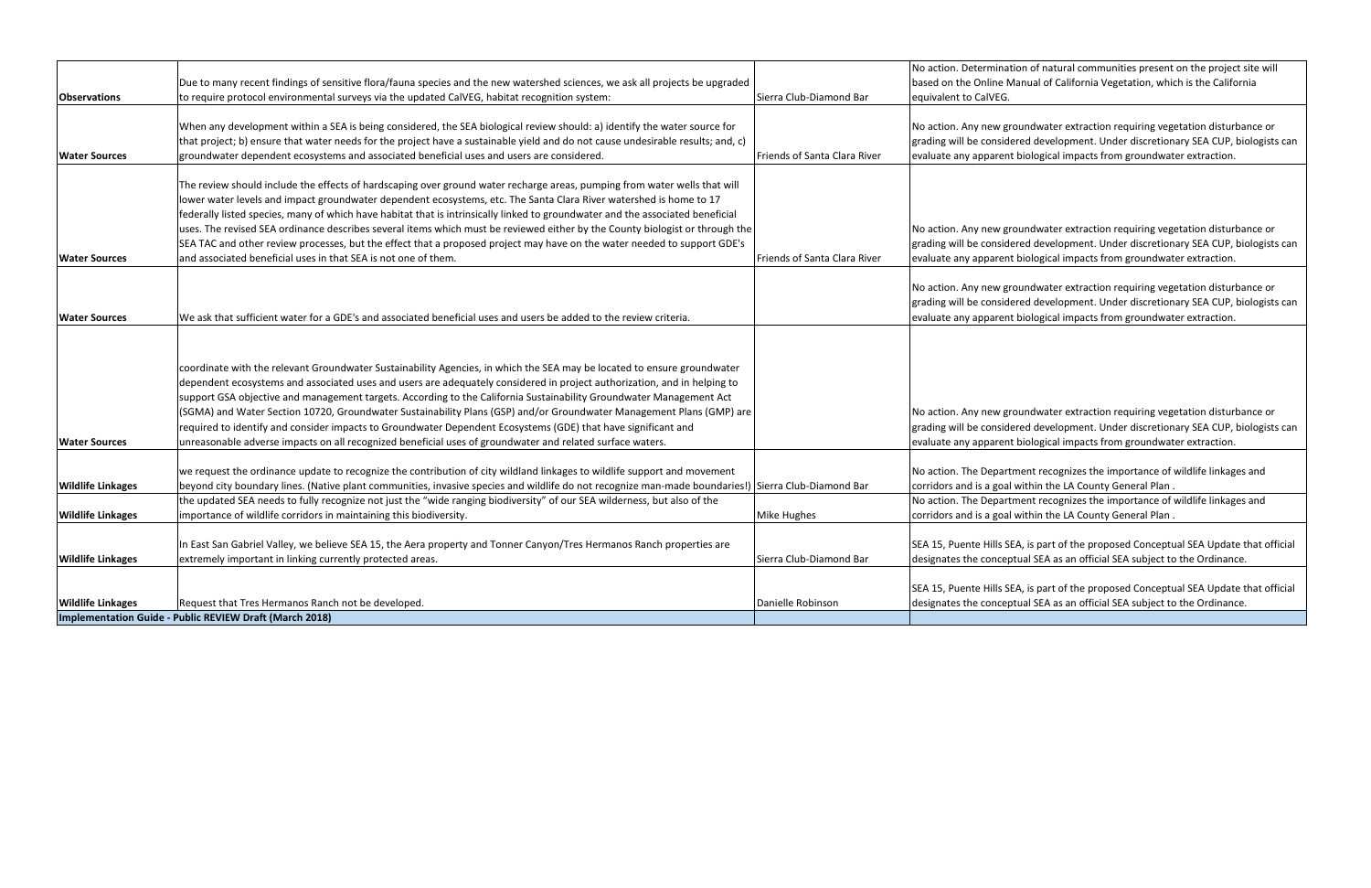|                          |                                                                                                                                                     |                              | No action. Determina   |
|--------------------------|-----------------------------------------------------------------------------------------------------------------------------------------------------|------------------------------|------------------------|
|                          | Due to many recent findings of sensitive flora/fauna species and the new watershed sciences, we ask all projects be upgraded                        |                              | based on the Online N  |
| <b>Observations</b>      | to require protocol environmental surveys via the updated CalVEG, habitat recognition system:                                                       | Sierra Club-Diamond Bar      | equivalent to CalVEG.  |
|                          |                                                                                                                                                     |                              |                        |
|                          | When any development within a SEA is being considered, the SEA biological review should: a) identify the water source for                           |                              | No action. Any new g   |
|                          | that project; b) ensure that water needs for the project have a sustainable yield and do not cause undesirable results; and, c)                     |                              | grading will be consid |
| <b>Water Sources</b>     | groundwater dependent ecosystems and associated beneficial uses and users are considered.                                                           | Friends of Santa Clara River | evaluate any apparen   |
|                          |                                                                                                                                                     |                              |                        |
|                          | The review should include the effects of hardscaping over ground water recharge areas, pumping from water wells that will                           |                              |                        |
|                          | lower water levels and impact groundwater dependent ecosystems, etc. The Santa Clara River watershed is home to 17                                  |                              |                        |
|                          | federally listed species, many of which have habitat that is intrinsically linked to groundwater and the associated beneficial                      |                              |                        |
|                          | uses. The revised SEA ordinance describes several items which must be reviewed either by the County biologist or through the                        |                              | No action. Any new g   |
|                          | SEA TAC and other review processes, but the effect that a proposed project may have on the water needed to support GDE's                            |                              | grading will be consid |
| <b>Water Sources</b>     | and associated beneficial uses in that SEA is not one of them.                                                                                      | Friends of Santa Clara River | evaluate any apparen   |
|                          |                                                                                                                                                     |                              |                        |
|                          |                                                                                                                                                     |                              | No action. Any new g   |
|                          |                                                                                                                                                     |                              | grading will be consid |
| <b>Water Sources</b>     | We ask that sufficient water for a GDE's and associated beneficial uses and users be added to the review criteria.                                  |                              | evaluate any apparen   |
|                          |                                                                                                                                                     |                              |                        |
|                          |                                                                                                                                                     |                              |                        |
|                          | coordinate with the relevant Groundwater Sustainability Agencies, in which the SEA may be located to ensure groundwater                             |                              |                        |
|                          | dependent ecosystems and associated uses and users are adequately considered in project authorization, and in helping to                            |                              |                        |
|                          | support GSA objective and management targets. According to the California Sustainability Groundwater Management Act                                 |                              |                        |
|                          | (SGMA) and Water Section 10720, Groundwater Sustainability Plans (GSP) and/or Groundwater Management Plans (GMP) are                                |                              | No action. Any new g   |
|                          | required to identify and consider impacts to Groundwater Dependent Ecosystems (GDE) that have significant and                                       |                              | grading will be consid |
| <b>Water Sources</b>     | unreasonable adverse impacts on all recognized beneficial uses of groundwater and related surface waters.                                           |                              | evaluate any apparen   |
|                          |                                                                                                                                                     |                              |                        |
|                          | we request the ordinance update to recognize the contribution of city wildland linkages to wildlife support and movement                            |                              | No action. The Depart  |
| <b>Wildlife Linkages</b> | beyond city boundary lines. (Native plant communities, invasive species and wildlife do not recognize man-made boundaries!) Sierra Club-Diamond Bar |                              | corridors and is a goa |
|                          | the updated SEA needs to fully recognize not just the "wide ranging biodiversity" of our SEA wilderness, but also of the                            |                              | No action. The Depart  |
| <b>Wildlife Linkages</b> | importance of wildlife corridors in maintaining this biodiversity.                                                                                  | Mike Hughes                  | corridors and is a goa |
|                          |                                                                                                                                                     |                              |                        |
|                          | In East San Gabriel Valley, we believe SEA 15, the Aera property and Tonner Canyon/Tres Hermanos Ranch properties are                               |                              | SEA 15, Puente Hills S |
| <b>Wildlife Linkages</b> | extremely important in linking currently protected areas.                                                                                           | Sierra Club-Diamond Bar      | designates the concer  |
|                          |                                                                                                                                                     |                              |                        |
|                          |                                                                                                                                                     |                              | SEA 15, Puente Hills S |
| <b>Wildlife Linkages</b> | Request that Tres Hermanos Ranch not be developed.                                                                                                  | Danielle Robinson            | designates the concer  |
|                          | Implementation Guide - Public REVIEW Draft (March 2018)                                                                                             |                              |                        |

ation of natural communities present on the project site will Manual of California Vegetation, which is the California

groundwater extraction requiring vegetation disturbance or dered development. Under discretionary SEA CUP, biologists can nt biological impacts from groundwater extraction.

groundwater extraction requiring vegetation disturbance or dered development. Under discretionary SEA CUP, biologists can nt biological impacts from groundwater extraction.

groundwater extraction requiring vegetation disturbance or dered development. Under discretionary SEA CUP, biologists can nt biological impacts from groundwater extraction.

groundwater extraction requiring vegetation disturbance or dered development. Under discretionary SEA CUP, biologists can nt biological impacts from groundwater extraction.

rtment recognizes the importance of wildlife linkages and al within the LA County General Plan.

rtment recognizes the importance of wildlife linkages and al within the LA County General Plan.

SEA, is part of the proposed Conceptual SEA Update that official eptual SEA as an official SEA subject to the Ordinance.

SEA, is part of the proposed Conceptual SEA Update that official eptual SEA as an official SEA subject to the Ordinance.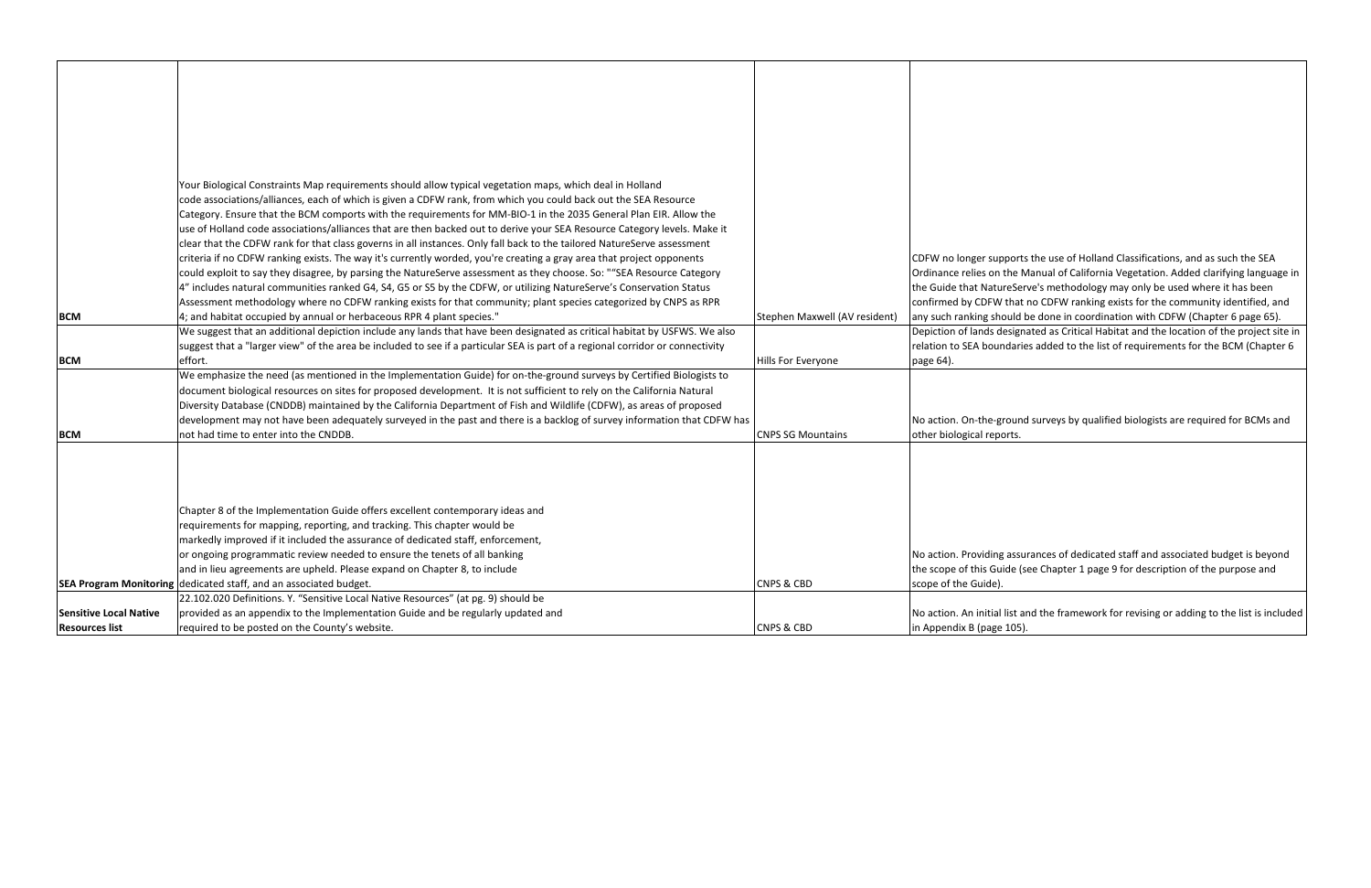|                               | Your Biological Constraints Map requirements should allow typical vegetation maps, which deal in Holland                       |                               |                         |
|-------------------------------|--------------------------------------------------------------------------------------------------------------------------------|-------------------------------|-------------------------|
|                               | code associations/alliances, each of which is given a CDFW rank, from which you could back out the SEA Resource                |                               |                         |
|                               | Category. Ensure that the BCM comports with the requirements for MM-BIO-1 in the 2035 General Plan EIR. Allow the              |                               |                         |
|                               | use of Holland code associations/alliances that are then backed out to derive your SEA Resource Category levels. Make it       |                               |                         |
|                               | clear that the CDFW rank for that class governs in all instances. Only fall back to the tailored NatureServe assessment        |                               |                         |
|                               | criteria if no CDFW ranking exists. The way it's currently worded, you're creating a gray area that project opponents          |                               | CDFW no longer supp     |
|                               | could exploit to say they disagree, by parsing the NatureServe assessment as they choose. So: ""SEA Resource Category          |                               | Ordinance relies on t   |
|                               | 4" includes natural communities ranked G4, S4, G5 or S5 by the CDFW, or utilizing NatureServe's Conservation Status            |                               | the Guide that Natur    |
|                               | Assessment methodology where no CDFW ranking exists for that community; plant species categorized by CNPS as RPR               |                               | confirmed by CDFW 1     |
| <b>BCM</b>                    | 4; and habitat occupied by annual or herbaceous RPR 4 plant species."                                                          | Stephen Maxwell (AV resident) | any such ranking sho    |
|                               | We suggest that an additional depiction include any lands that have been designated as critical habitat by USFWS. We also      |                               | Depiction of lands de   |
|                               | suggest that a "larger view" of the area be included to see if a particular SEA is part of a regional corridor or connectivity |                               | relation to SEA boun    |
| <b>BCM</b>                    | effort.                                                                                                                        | Hills For Everyone            | page 64).               |
|                               | We emphasize the need (as mentioned in the Implementation Guide) for on-the-ground surveys by Certified Biologists to          |                               |                         |
|                               | document biological resources on sites for proposed development. It is not sufficient to rely on the California Natural        |                               |                         |
|                               | Diversity Database (CNDDB) maintained by the California Department of Fish and Wildlife (CDFW), as areas of proposed           |                               |                         |
|                               | development may not have been adequately surveyed in the past and there is a backlog of survey information that CDFW has       |                               | No action. On-the-gr    |
| <b>BCM</b>                    | not had time to enter into the CNDDB.                                                                                          | <b>CNPS SG Mountains</b>      | other biological repo   |
|                               |                                                                                                                                |                               |                         |
|                               |                                                                                                                                |                               |                         |
|                               |                                                                                                                                |                               |                         |
|                               |                                                                                                                                |                               |                         |
|                               | Chapter 8 of the Implementation Guide offers excellent contemporary ideas and                                                  |                               |                         |
|                               | requirements for mapping, reporting, and tracking. This chapter would be                                                       |                               |                         |
|                               | markedly improved if it included the assurance of dedicated staff, enforcement,                                                |                               |                         |
|                               | or ongoing programmatic review needed to ensure the tenets of all banking                                                      |                               | No action. Providing    |
|                               | and in lieu agreements are upheld. Please expand on Chapter 8, to include                                                      |                               | the scope of this Gui   |
|                               | <b>SEA Program Monitoring dedicated staff, and an associated budget.</b>                                                       | <b>CNPS &amp; CBD</b>         | scope of the Guide).    |
|                               | 22.102.020 Definitions. Y. "Sensitive Local Native Resources" (at pg. 9) should be                                             |                               |                         |
| <b>Sensitive Local Native</b> | provided as an appendix to the Implementation Guide and be regularly updated and                                               |                               | No action. An initial l |
| <b>Resources list</b>         | required to be posted on the County's website.                                                                                 | <b>CNPS &amp; CBD</b>         | in Appendix B (page     |

ports the use of Holland Classifications, and as such the SEA the Manual of California Vegetation. Added clarifying language in reServe's methodology may only be used where it has been that no CDFW ranking exists for the community identified, and buld be done in coordination with CDFW (Chapter 6 page 65). esignated as Critical Habitat and the location of the project site in rdaries added to the list of requirements for the BCM (Chapter 6

round surveys by qualified biologists are required for BCMs and orts.

assurances of dedicated staff and associated budget is beyond ide (see Chapter 1 page 9 for description of the purpose and

list and the framework for revising or adding to the list is included  $105$ ).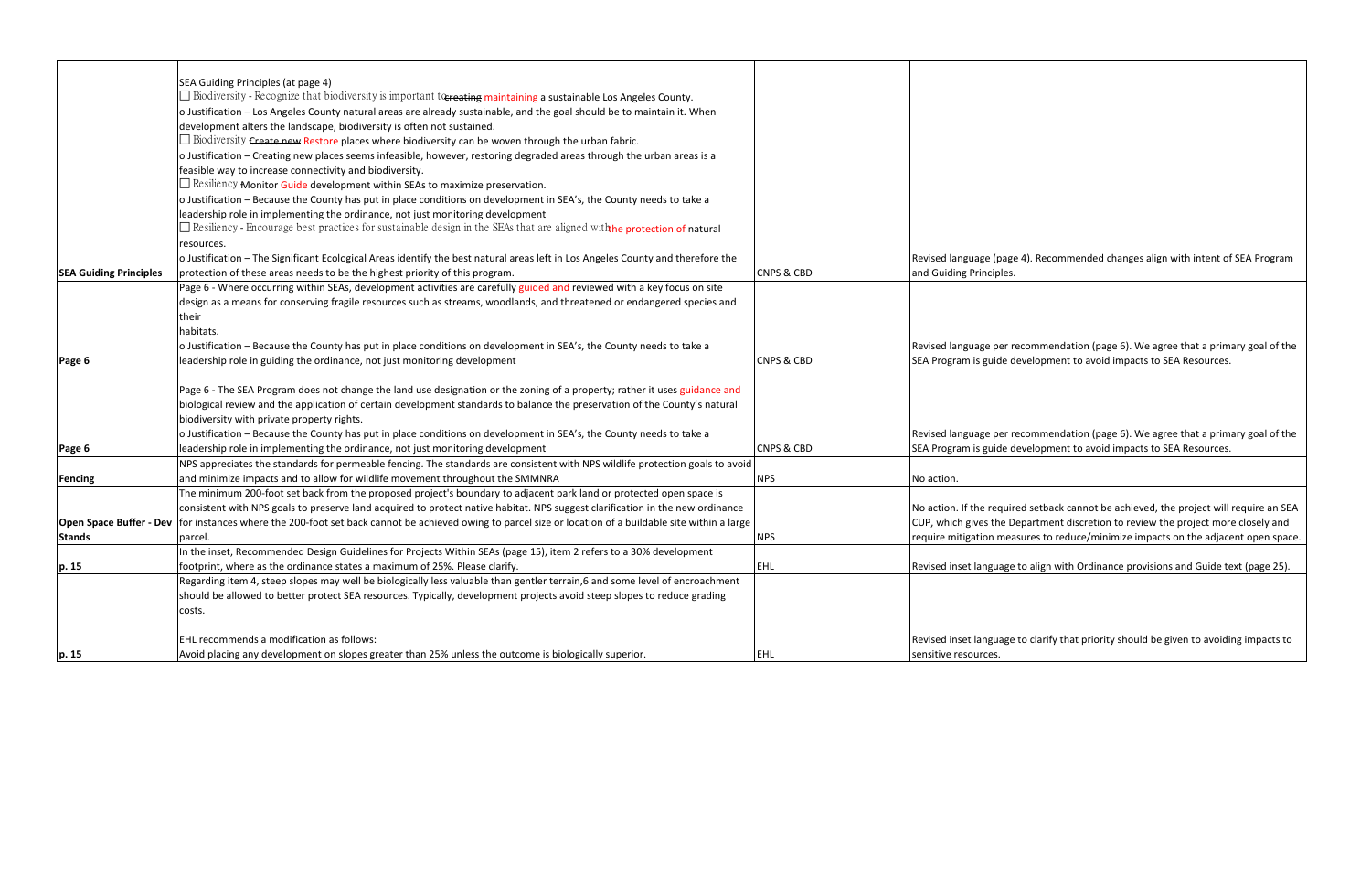|                               | SEA Guiding Principles (at page 4)                                                                                                                       |                       |                        |
|-------------------------------|----------------------------------------------------------------------------------------------------------------------------------------------------------|-----------------------|------------------------|
|                               | $\Box$ Biodiversity - Recognize that biodiversity is important to the maintaining a sustainable Los Angeles County.                                      |                       |                        |
|                               | o Justification – Los Angeles County natural areas are already sustainable, and the goal should be to maintain it. When                                  |                       |                        |
|                               | development alters the landscape, biodiversity is often not sustained.                                                                                   |                       |                        |
|                               | $\Box$ Biodiversity $\epsilon$ reate new Restore places where biodiversity can be woven through the urban fabric.                                        |                       |                        |
|                               | o Justification - Creating new places seems infeasible, however, restoring degraded areas through the urban areas is a                                   |                       |                        |
|                               | feasible way to increase connectivity and biodiversity.                                                                                                  |                       |                        |
|                               | $\Box$ Resiliency <b>Monitor Guide</b> development within SEAs to maximize preservation.                                                                 |                       |                        |
|                               | o Justification - Because the County has put in place conditions on development in SEA's, the County needs to take a                                     |                       |                        |
|                               | leadership role in implementing the ordinance, not just monitoring development                                                                           |                       |                        |
|                               | $\Box$ Resiliency - Encourage best practices for sustainable design in the SEAs that are aligned with the protection of natural                          |                       |                        |
|                               | resources.                                                                                                                                               |                       |                        |
|                               | o Justification - The Significant Ecological Areas identify the best natural areas left in Los Angeles County and therefore the                          |                       | Revised language (pa   |
| <b>SEA Guiding Principles</b> | protection of these areas needs to be the highest priority of this program.                                                                              | <b>CNPS &amp; CBD</b> | and Guiding Principle  |
|                               | Page 6 - Where occurring within SEAs, development activities are carefully guided and reviewed with a key focus on site                                  |                       |                        |
|                               | design as a means for conserving fragile resources such as streams, woodlands, and threatened or endangered species and                                  |                       |                        |
|                               | their                                                                                                                                                    |                       |                        |
|                               | habitats.                                                                                                                                                |                       |                        |
|                               | o Justification - Because the County has put in place conditions on development in SEA's, the County needs to take a                                     |                       | Revised language per   |
| Page 6                        | leadership role in guiding the ordinance, not just monitoring development                                                                                | <b>CNPS &amp; CBD</b> | SEA Program is guide   |
|                               |                                                                                                                                                          |                       |                        |
|                               | Page 6 - The SEA Program does not change the land use designation or the zoning of a property; rather it uses guidance and                               |                       |                        |
|                               | biological review and the application of certain development standards to balance the preservation of the County's natural                               |                       |                        |
|                               | biodiversity with private property rights.                                                                                                               |                       |                        |
|                               | o Justification - Because the County has put in place conditions on development in SEA's, the County needs to take a                                     |                       | Revised language per   |
| Page 6                        | leadership role in implementing the ordinance, not just monitoring development                                                                           | <b>CNPS &amp; CBD</b> | SEA Program is guide   |
|                               | NPS appreciates the standards for permeable fencing. The standards are consistent with NPS wildlife protection goals to avoid                            |                       |                        |
| Fencing                       | and minimize impacts and to allow for wildlife movement throughout the SMMNRA                                                                            | <b>NPS</b>            | No action.             |
|                               | The minimum 200-foot set back from the proposed project's boundary to adjacent park land or protected open space is                                      |                       |                        |
|                               | consistent with NPS goals to preserve land acquired to protect native habitat. NPS suggest clarification in the new ordinance                            |                       | No action. If the requ |
|                               | Open Space Buffer - Dev for instances where the 200-foot set back cannot be achieved owing to parcel size or location of a buildable site within a large |                       | CUP, which gives the   |
| <b>Stands</b>                 | parcel.                                                                                                                                                  | <b>NPS</b>            | require mitigation m   |
|                               | In the inset, Recommended Design Guidelines for Projects Within SEAs (page 15), item 2 refers to a 30% development                                       |                       |                        |
| p. 15                         | footprint, where as the ordinance states a maximum of 25%. Please clarify.                                                                               | <b>EHL</b>            | Revised inset langua   |
|                               | Regarding item 4, steep slopes may well be biologically less valuable than gentler terrain,6 and some level of encroachment                              |                       |                        |
|                               | should be allowed to better protect SEA resources. Typically, development projects avoid steep slopes to reduce grading                                  |                       |                        |
|                               | costs.                                                                                                                                                   |                       |                        |
|                               |                                                                                                                                                          |                       |                        |
|                               | EHL recommends a modification as follows:                                                                                                                |                       | Revised inset langua   |
| p. 15                         | Avoid placing any development on slopes greater than 25% unless the outcome is biologically superior.                                                    | EHL                   | sensitive resources.   |

age 4). Recommended changes align with intent of SEA Program es.

r recommendation (page 6). We agree that a primary goal of the e development to avoid impacts to SEA Resources.

r recommendation (page 6). We agree that a primary goal of the development to avoid impacts to SEA Resources.

uired setback cannot be achieved, the project will require an SEA Pupartment discretion to review the project more closely and reasures to reduce/minimize impacts on the adjacent open space.

ge to align with Ordinance provisions and Guide text (page 25).

ge to clarify that priority should be given to avoiding impacts to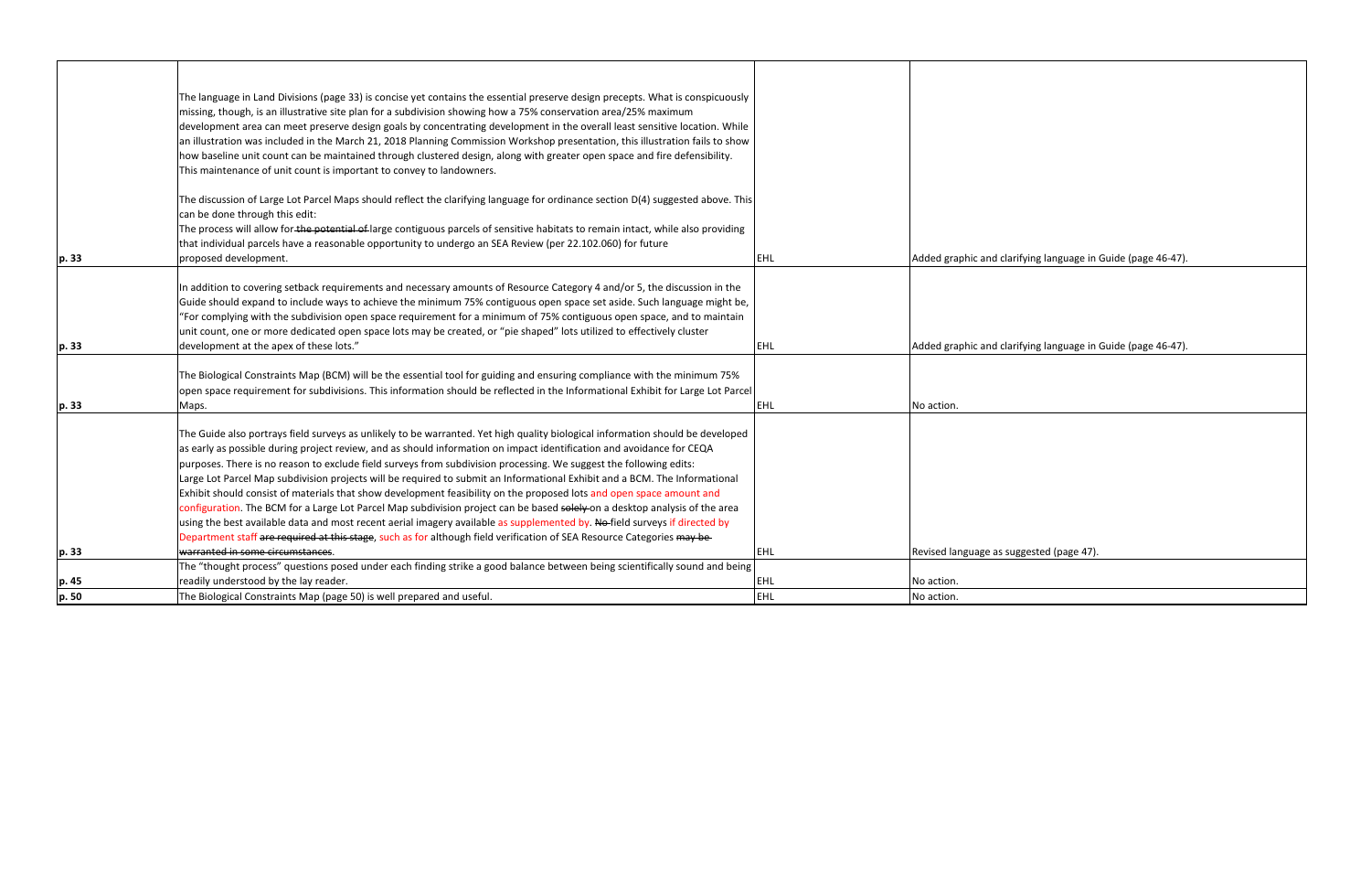|       | The language in Land Divisions (page 33) is concise yet contains the essential preserve design precepts. What is conspicuously<br>missing, though, is an illustrative site plan for a subdivision showing how a 75% conservation area/25% maximum<br>development area can meet preserve design goals by concentrating development in the overall least sensitive location. While<br>an illustration was included in the March 21, 2018 Planning Commission Workshop presentation, this illustration fails to show<br>how baseline unit count can be maintained through clustered design, along with greater open space and fire defensibility.                                                                                                                                                                                                                                                                                                                                                                              |            |                     |
|-------|-----------------------------------------------------------------------------------------------------------------------------------------------------------------------------------------------------------------------------------------------------------------------------------------------------------------------------------------------------------------------------------------------------------------------------------------------------------------------------------------------------------------------------------------------------------------------------------------------------------------------------------------------------------------------------------------------------------------------------------------------------------------------------------------------------------------------------------------------------------------------------------------------------------------------------------------------------------------------------------------------------------------------------|------------|---------------------|
| p. 33 | This maintenance of unit count is important to convey to landowners.<br>The discussion of Large Lot Parcel Maps should reflect the clarifying language for ordinance section D(4) suggested above. This<br>can be done through this edit:<br>The process will allow for the potential of large contiguous parcels of sensitive habitats to remain intact, while also providing<br>that individual parcels have a reasonable opportunity to undergo an SEA Review (per 22.102.060) for future<br>proposed development.                                                                                                                                                                                                                                                                                                                                                                                                                                                                                                       | EHL        | Added graphic and c |
|       | In addition to covering setback requirements and necessary amounts of Resource Category 4 and/or 5, the discussion in the<br>Guide should expand to include ways to achieve the minimum 75% contiguous open space set aside. Such language might be,<br>"For complying with the subdivision open space requirement for a minimum of 75% contiguous open space, and to maintain<br>unit count, one or more dedicated open space lots may be created, or "pie shaped" lots utilized to effectively cluster                                                                                                                                                                                                                                                                                                                                                                                                                                                                                                                    |            |                     |
| p. 33 | development at the apex of these lots."                                                                                                                                                                                                                                                                                                                                                                                                                                                                                                                                                                                                                                                                                                                                                                                                                                                                                                                                                                                     | <b>EHL</b> | Added graphic and c |
| p. 33 | The Biological Constraints Map (BCM) will be the essential tool for guiding and ensuring compliance with the minimum 75%<br>open space requirement for subdivisions. This information should be reflected in the Informational Exhibit for Large Lot Parcel<br>Maps.                                                                                                                                                                                                                                                                                                                                                                                                                                                                                                                                                                                                                                                                                                                                                        | EHL.       | No action.          |
|       | The Guide also portrays field surveys as unlikely to be warranted. Yet high quality biological information should be developed<br>as early as possible during project review, and as should information on impact identification and avoidance for CEQA<br>purposes. There is no reason to exclude field surveys from subdivision processing. We suggest the following edits:<br>Large Lot Parcel Map subdivision projects will be required to submit an Informational Exhibit and a BCM. The Informational<br>Exhibit should consist of materials that show development feasibility on the proposed lots and open space amount and<br>configuration. The BCM for a Large Lot Parcel Map subdivision project can be based solely on a desktop analysis of the area<br>using the best available data and most recent aerial imagery available as supplemented by. No-field surveys if directed by<br>Department staff are required at this stage, such as for although field verification of SEA Resource Categories may be- |            |                     |
| p. 33 | warranted in some circumstances.                                                                                                                                                                                                                                                                                                                                                                                                                                                                                                                                                                                                                                                                                                                                                                                                                                                                                                                                                                                            | <b>EHL</b> | Revised language as |
|       | The "thought process" questions posed under each finding strike a good balance between being scientifically sound and being                                                                                                                                                                                                                                                                                                                                                                                                                                                                                                                                                                                                                                                                                                                                                                                                                                                                                                 |            |                     |
| p. 45 | readily understood by the lay reader.                                                                                                                                                                                                                                                                                                                                                                                                                                                                                                                                                                                                                                                                                                                                                                                                                                                                                                                                                                                       | <b>EHL</b> | No action.          |
| p. 50 | The Biological Constraints Map (page 50) is well prepared and useful.                                                                                                                                                                                                                                                                                                                                                                                                                                                                                                                                                                                                                                                                                                                                                                                                                                                                                                                                                       | <b>EHL</b> | No action.          |

| Added graphic and clarifying language in Guide (page 46-47). |
|--------------------------------------------------------------|
|                                                              |
|                                                              |
| Added graphic and clarifying language in Guide (page 46-47). |
|                                                              |
| No action.                                                   |
|                                                              |
|                                                              |
|                                                              |
|                                                              |
| Revised language as suggested (page 47).                     |
| No action.                                                   |
| No action.                                                   |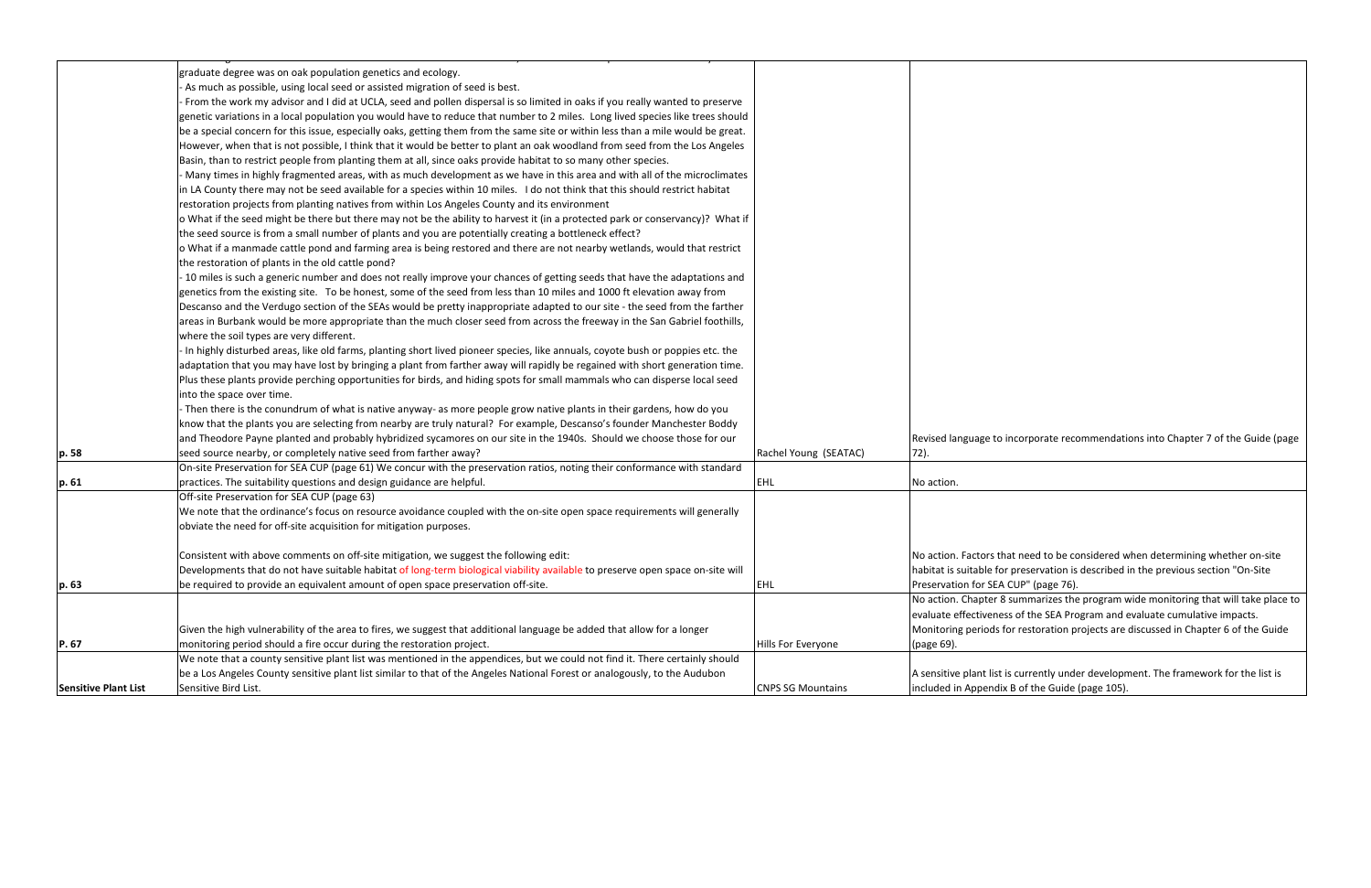|                             | graduate degree was on oak population genetics and ecology.                                                                      |                          |                       |
|-----------------------------|----------------------------------------------------------------------------------------------------------------------------------|--------------------------|-----------------------|
|                             | As much as possible, using local seed or assisted migration of seed is best.                                                     |                          |                       |
|                             | From the work my advisor and I did at UCLA, seed and pollen dispersal is so limited in oaks if you really wanted to preserve     |                          |                       |
|                             | genetic variations in a local population you would have to reduce that number to 2 miles. Long lived species like trees should   |                          |                       |
|                             | be a special concern for this issue, especially oaks, getting them from the same site or within less than a mile would be great. |                          |                       |
|                             | However, when that is not possible, I think that it would be better to plant an oak woodland from seed from the Los Angeles      |                          |                       |
|                             | Basin, than to restrict people from planting them at all, since oaks provide habitat to so many other species.                   |                          |                       |
|                             | Many times in highly fragmented areas, with as much development as we have in this area and with all of the microclimates        |                          |                       |
|                             | in LA County there may not be seed available for a species within 10 miles. I do not think that this should restrict habitat     |                          |                       |
|                             | restoration projects from planting natives from within Los Angeles County and its environment                                    |                          |                       |
|                             | o What if the seed might be there but there may not be the ability to harvest it (in a protected park or conservancy)? What if   |                          |                       |
|                             | the seed source is from a small number of plants and you are potentially creating a bottleneck effect?                           |                          |                       |
|                             | o What if a manmade cattle pond and farming area is being restored and there are not nearby wetlands, would that restrict        |                          |                       |
|                             | the restoration of plants in the old cattle pond?                                                                                |                          |                       |
|                             | - 10 miles is such a generic number and does not really improve your chances of getting seeds that have the adaptations and      |                          |                       |
|                             | genetics from the existing site. To be honest, some of the seed from less than 10 miles and 1000 ft elevation away from          |                          |                       |
|                             | Descanso and the Verdugo section of the SEAs would be pretty inappropriate adapted to our site - the seed from the farther       |                          |                       |
|                             | areas in Burbank would be more appropriate than the much closer seed from across the freeway in the San Gabriel foothills,       |                          |                       |
|                             | where the soil types are very different.                                                                                         |                          |                       |
|                             | In highly disturbed areas, like old farms, planting short lived pioneer species, like annuals, coyote bush or poppies etc. the   |                          |                       |
|                             | adaptation that you may have lost by bringing a plant from farther away will rapidly be regained with short generation time.     |                          |                       |
|                             | Plus these plants provide perching opportunities for birds, and hiding spots for small mammals who can disperse local seed       |                          |                       |
|                             | into the space over time.                                                                                                        |                          |                       |
|                             | Then there is the conundrum of what is native anyway- as more people grow native plants in their gardens, how do you             |                          |                       |
|                             | know that the plants you are selecting from nearby are truly natural? For example, Descanso's founder Manchester Boddy           |                          |                       |
|                             | and Theodore Payne planted and probably hybridized sycamores on our site in the 1940s. Should we choose those for our            |                          | Revised language to   |
| p. 58                       | seed source nearby, or completely native seed from farther away?                                                                 | Rachel Young (SEATAC)    | 72).                  |
|                             | On-site Preservation for SEA CUP (page 61) We concur with the preservation ratios, noting their conformance with standard        |                          |                       |
| p. 61                       | practices. The suitability questions and design guidance are helpful.                                                            | <b>EHL</b>               | No action.            |
|                             | Off-site Preservation for SEA CUP (page 63)                                                                                      |                          |                       |
|                             | We note that the ordinance's focus on resource avoidance coupled with the on-site open space requirements will generally         |                          |                       |
|                             | obviate the need for off-site acquisition for mitigation purposes.                                                               |                          |                       |
|                             |                                                                                                                                  |                          |                       |
|                             | Consistent with above comments on off-site mitigation, we suggest the following edit:                                            |                          | No action. Factors t  |
|                             | Developments that do not have suitable habitat of long-term biological viability available to preserve open space on-site will   |                          | habitat is suitable f |
|                             | be required to provide an equivalent amount of open space preservation off-site.                                                 | <b>EHL</b>               | Preservation for SE   |
| p. 63                       |                                                                                                                                  |                          | No action. Chapter    |
|                             |                                                                                                                                  |                          | evaluate effectiven   |
|                             |                                                                                                                                  |                          | Monitoring periods    |
|                             | Given the high vulnerability of the area to fires, we suggest that additional language be added that allow for a longer          |                          |                       |
| P. 67                       | monitoring period should a fire occur during the restoration project.                                                            | Hills For Everyone       | (page 69).            |
|                             | We note that a county sensitive plant list was mentioned in the appendices, but we could not find it. There certainly should     |                          |                       |
|                             | be a Los Angeles County sensitive plant list similar to that of the Angeles National Forest or analogously, to the Audubon       |                          | A sensitive plant lis |
| <b>Sensitive Plant List</b> | Sensitive Bird List.                                                                                                             | <b>CNPS SG Mountains</b> | included in Append    |

to incorporate recommendations into Chapter 7 of the Guide (page

s that need to be considered when determining whether on-site for preservation is described in the previous section "On-Site EA CUP" (page 76).

r 8 summarizes the program wide monitoring that will take place to ness of the SEA Program and evaluate cumulative impacts. s for restoration projects are discussed in Chapter 6 of the Guide

ist is currently under development. The framework for the list is dix B of the Guide (page 105).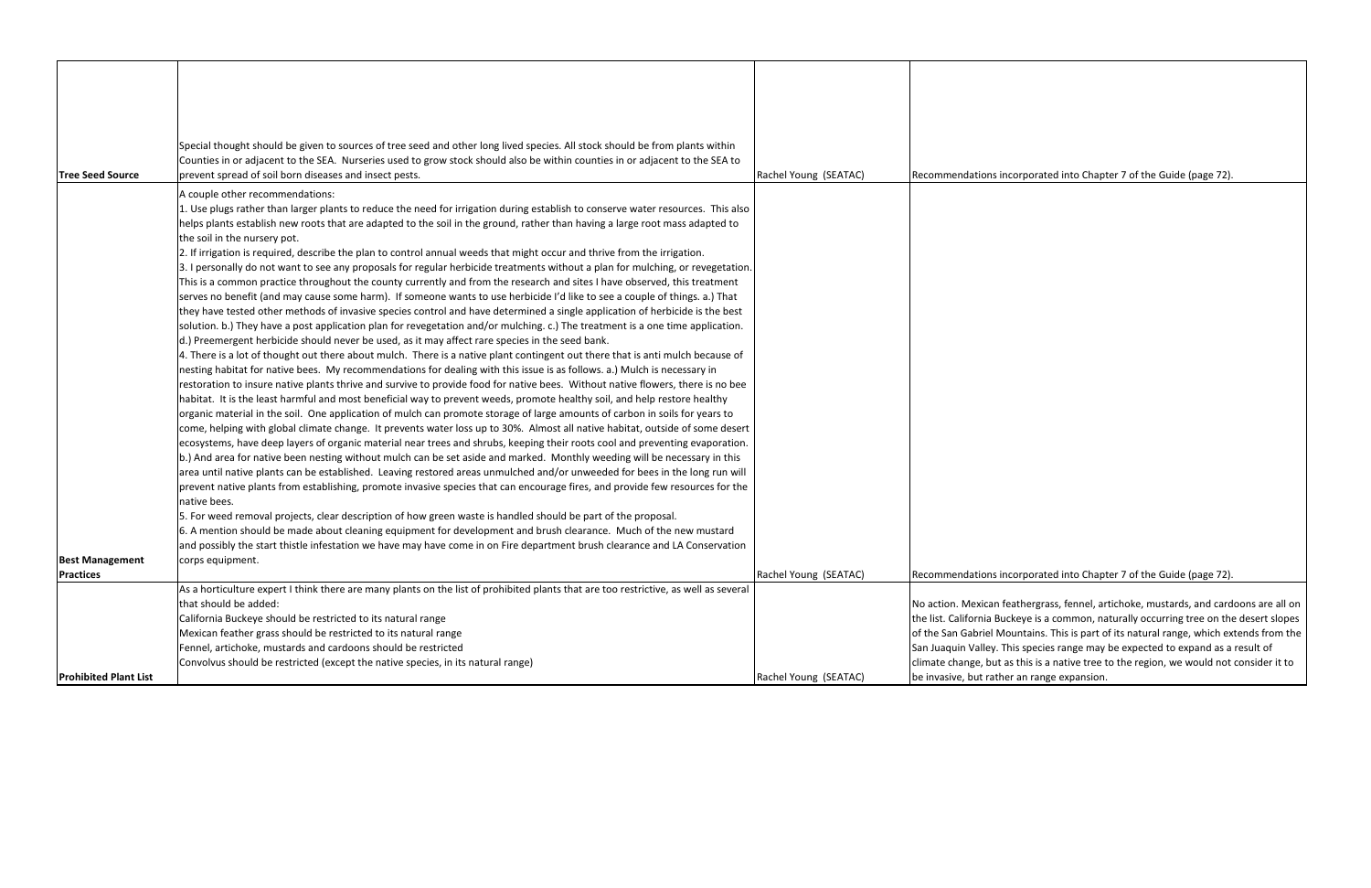|                              | Special thought should be given to sources of tree seed and other long lived species. All stock should be from plants within         |                       |                         |
|------------------------------|--------------------------------------------------------------------------------------------------------------------------------------|-----------------------|-------------------------|
|                              | Counties in or adjacent to the SEA. Nurseries used to grow stock should also be within counties in or adjacent to the SEA to         |                       |                         |
| <b>Tree Seed Source</b>      | prevent spread of soil born diseases and insect pests.                                                                               | Rachel Young (SEATAC) | Recommendations in      |
|                              | A couple other recommendations:                                                                                                      |                       |                         |
|                              |                                                                                                                                      |                       |                         |
|                              | 1. Use plugs rather than larger plants to reduce the need for irrigation during establish to conserve water resources. This also     |                       |                         |
|                              | helps plants establish new roots that are adapted to the soil in the ground, rather than having a large root mass adapted to         |                       |                         |
|                              | the soil in the nursery pot.                                                                                                         |                       |                         |
|                              | 2. If irrigation is required, describe the plan to control annual weeds that might occur and thrive from the irrigation.             |                       |                         |
|                              | 3. I personally do not want to see any proposals for regular herbicide treatments without a plan for mulching, or revegetation.      |                       |                         |
|                              | This is a common practice throughout the county currently and from the research and sites I have observed, this treatment            |                       |                         |
|                              | serves no benefit (and may cause some harm). If someone wants to use herbicide I'd like to see a couple of things. a.) That          |                       |                         |
|                              | they have tested other methods of invasive species control and have determined a single application of herbicide is the best         |                       |                         |
|                              | solution. b.) They have a post application plan for revegetation and/or mulching. c.) The treatment is a one time application.       |                       |                         |
|                              | d.) Preemergent herbicide should never be used, as it may affect rare species in the seed bank.                                      |                       |                         |
|                              | 4. There is a lot of thought out there about mulch. There is a native plant contingent out there that is anti mulch because of       |                       |                         |
|                              | nesting habitat for native bees. My recommendations for dealing with this issue is as follows. a.) Mulch is necessary in             |                       |                         |
|                              | restoration to insure native plants thrive and survive to provide food for native bees. Without native flowers, there is no bee      |                       |                         |
|                              | habitat. It is the least harmful and most beneficial way to prevent weeds, promote healthy soil, and help restore healthy            |                       |                         |
|                              | organic material in the soil. One application of mulch can promote storage of large amounts of carbon in soils for years to          |                       |                         |
|                              | come, helping with global climate change. It prevents water loss up to 30%. Almost all native habitat, outside of some desert        |                       |                         |
|                              | ecosystems, have deep layers of organic material near trees and shrubs, keeping their roots cool and preventing evaporation.         |                       |                         |
|                              | b.) And area for native been nesting without mulch can be set aside and marked. Monthly weeding will be necessary in this            |                       |                         |
|                              | area until native plants can be established. Leaving restored areas unmulched and/or unweeded for bees in the long run will          |                       |                         |
|                              | prevent native plants from establishing, promote invasive species that can encourage fires, and provide few resources for the        |                       |                         |
|                              | native bees.                                                                                                                         |                       |                         |
|                              | 5. For weed removal projects, clear description of how green waste is handled should be part of the proposal.                        |                       |                         |
|                              | 6. A mention should be made about cleaning equipment for development and brush clearance. Much of the new mustard                    |                       |                         |
|                              | and possibly the start thistle infestation we have may have come in on Fire department brush clearance and LA Conservation           |                       |                         |
| <b>Best Management</b>       | corps equipment.                                                                                                                     |                       |                         |
| <b>Practices</b>             |                                                                                                                                      | Rachel Young (SEATAC) | Recommendations in      |
|                              | As a horticulture expert I think there are many plants on the list of prohibited plants that are too restrictive, as well as several |                       |                         |
|                              | that should be added:                                                                                                                |                       | No action. Mexican f    |
|                              | California Buckeye should be restricted to its natural range                                                                         |                       | the list. California Bu |
|                              | Mexican feather grass should be restricted to its natural range                                                                      |                       | of the San Gabriel M    |
|                              | Fennel, artichoke, mustards and cardoons should be restricted                                                                        |                       | San Juaquin Valley. 1   |
|                              | Convolvus should be restricted (except the native species, in its natural range)                                                     |                       | climate change, but     |
| <b>Prohibited Plant List</b> |                                                                                                                                      | Rachel Young (SEATAC) | be invasive, but rath   |
|                              |                                                                                                                                      |                       |                         |

incorporated into Chapter 7 of the Guide (page 72).

## incorporated into Chapter 7 of the Guide (page 72).

feathergrass, fennel, artichoke, mustards, and cardoons are all on uckeye is a common, naturally occurring tree on the desert slopes Aountains. This is part of its natural range, which extends from the This species range may be expected to expand as a result of  $\alpha$  as this is a native tree to the region, we would not consider it to her an range expansion.